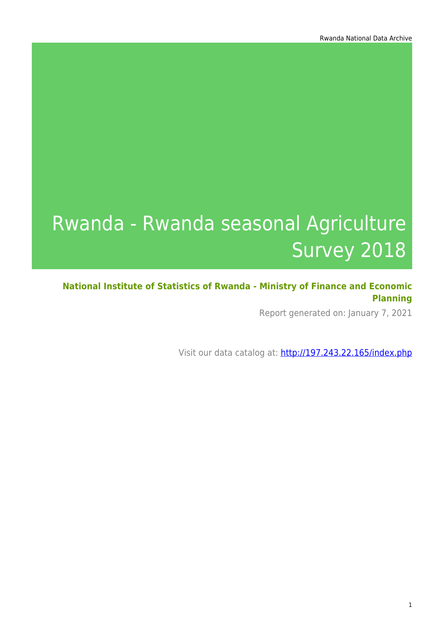# Rwanda - Rwanda seasonal Agriculture Survey 2018

#### **National Institute of Statistics of Rwanda - Ministry of Finance and Economic Planning**

Report generated on: January 7, 2021

Visit our data catalog at: http://197.243.22.165/index.php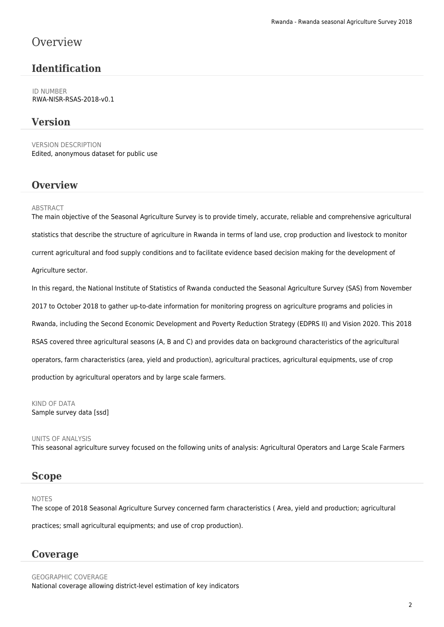#### **Overview**

#### **Identification**

ID NUMBER RWA-NISR-RSAS-2018-v0.1

#### **Version**

VERSION DESCRIPTION Edited, anonymous dataset for public use

#### **Overview**

#### ABSTRACT

The main objective of the Seasonal Agriculture Survey is to provide timely, accurate, reliable and comprehensive agricultural statistics that describe the structure of agriculture in Rwanda in terms of land use, crop production and livestock to monitor current agricultural and food supply conditions and to facilitate evidence based decision making for the development of Agriculture sector.

In this regard, the National Institute of Statistics of Rwanda conducted the Seasonal Agriculture Survey (SAS) from November 2017 to October 2018 to gather up-to-date information for monitoring progress on agriculture programs and policies in Rwanda, including the Second Economic Development and Poverty Reduction Strategy (EDPRS II) and Vision 2020. This 2018 RSAS covered three agricultural seasons (A, B and C) and provides data on background characteristics of the agricultural operators, farm characteristics (area, yield and production), agricultural practices, agricultural equipments, use of crop production by agricultural operators and by large scale farmers.

KIND OF DATA Sample survey data [ssd]

#### UNITS OF ANALYSIS

This seasonal agriculture survey focused on the following units of analysis: Agricultural Operators and Large Scale Farmers

#### **Scope**

#### NOTES

The scope of 2018 Seasonal Agriculture Survey concerned farm characteristics ( Area, yield and production; agricultural

practices; small agricultural equipments; and use of crop production).

#### **Coverage**

#### GEOGRAPHIC COVERAGE

National coverage allowing district-level estimation of key indicators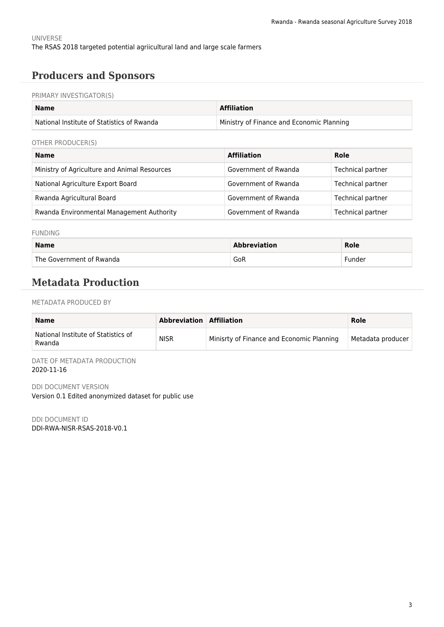#### **Producers and Sponsors**

PRIMARY INVESTIGATOR(S)

| <b>Name</b>                                | <b>Affiliation</b>                        |
|--------------------------------------------|-------------------------------------------|
| National Institute of Statistics of Rwanda | Ministry of Finance and Economic Planning |

OTHER PRODUCER(S)

| <b>Name</b>                                  | <b>Affiliation</b>   | Role              |
|----------------------------------------------|----------------------|-------------------|
| Ministry of Agriculture and Animal Resources | Government of Rwanda | Technical partner |
| National Agriculture Export Board            | Government of Rwanda | Technical partner |
| Rwanda Agricultural Board                    | Government of Rwanda | Technical partner |
| Rwanda Environmental Management Authority    | Government of Rwanda | Technical partner |

#### FUNDING

| <b>Name</b>                           | <b>Abbreviation</b> | Role               |
|---------------------------------------|---------------------|--------------------|
| <sup>1</sup> The Government of Rwanda | GoR                 | <sup>=</sup> under |

#### **Metadata Production**

#### METADATA PRODUCED BY

| <b>Name</b>                                   | <b>Abbreviation Affiliation</b> |                                           | Role              |
|-----------------------------------------------|---------------------------------|-------------------------------------------|-------------------|
| National Institute of Statistics of<br>Rwanda | <b>NISR</b>                     | Minisrty of Finance and Economic Planning | Metadata producer |

DATE OF METADATA PRODUCTION 2020-11-16

DDI DOCUMENT VERSION Version 0.1 Edited anonymized dataset for public use

DDI DOCUMENT ID DDI-RWA-NISR-RSAS-2018-V0.1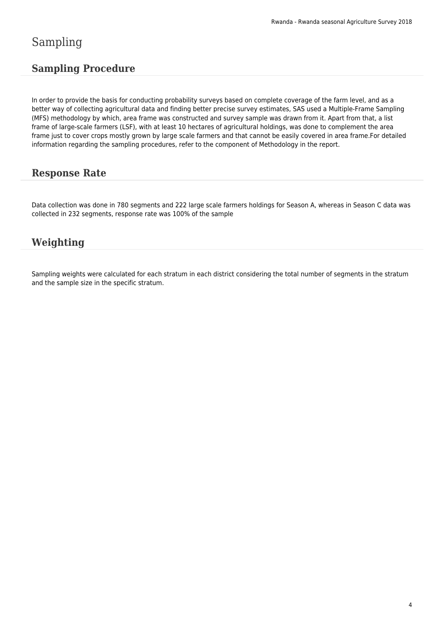### Sampling

#### **Sampling Procedure**

In order to provide the basis for conducting probability surveys based on complete coverage of the farm level, and as a better way of collecting agricultural data and finding better precise survey estimates, SAS used a Multiple-Frame Sampling (MFS) methodology by which, area frame was constructed and survey sample was drawn from it. Apart from that, a list frame of large-scale farmers (LSF), with at least 10 hectares of agricultural holdings, was done to complement the area frame just to cover crops mostly grown by large scale farmers and that cannot be easily covered in area frame.For detailed information regarding the sampling procedures, refer to the component of Methodology in the report.

#### **Response Rate**

Data collection was done in 780 segments and 222 large scale farmers holdings for Season A, whereas in Season C data was collected in 232 segments, response rate was 100% of the sample

#### **Weighting**

Sampling weights were calculated for each stratum in each district considering the total number of segments in the stratum and the sample size in the specific stratum.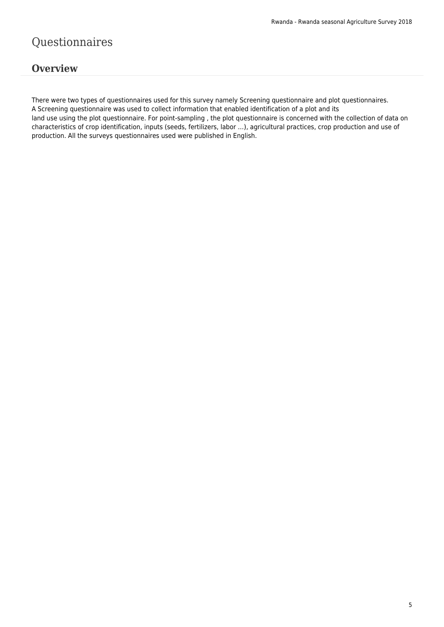# Questionnaires

#### **Overview**

There were two types of questionnaires used for this survey namely Screening questionnaire and plot questionnaires. A Screening questionnaire was used to collect information that enabled identification of a plot and its land use using the plot questionnaire. For point-sampling , the plot questionnaire is concerned with the collection of data on characteristics of crop identification, inputs (seeds, fertilizers, labor …), agricultural practices, crop production and use of production. All the surveys questionnaires used were published in English.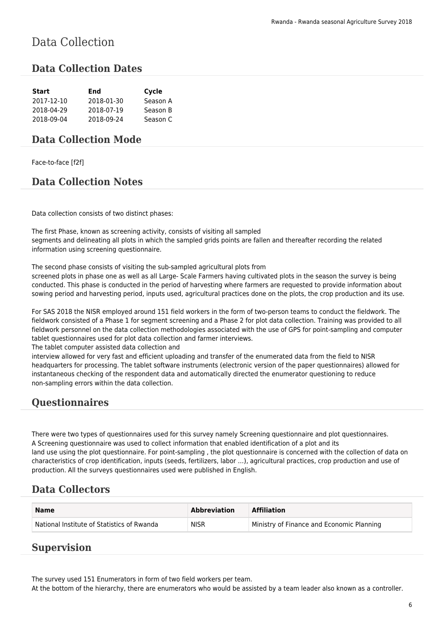### Data Collection

#### **Data Collection Dates**

| Start      | End        | Cycle    |
|------------|------------|----------|
| 2017-12-10 | 2018-01-30 | Season A |
| 2018-04-29 | 2018-07-19 | Season B |
| 2018-09-04 | 2018-09-24 | Season C |

#### **Data Collection Mode**

Face-to-face [f2f]

#### **Data Collection Notes**

Data collection consists of two distinct phases:

The first Phase, known as screening activity, consists of visiting all sampled segments and delineating all plots in which the sampled grids points are fallen and thereafter recording the related information using screening questionnaire.

The second phase consists of visiting the sub-sampled agricultural plots from

screened plots in phase one as well as all Large- Scale Farmers having cultivated plots in the season the survey is being conducted. This phase is conducted in the period of harvesting where farmers are requested to provide information about sowing period and harvesting period, inputs used, agricultural practices done on the plots, the crop production and its use.

For SAS 2018 the NISR employed around 151 field workers in the form of two-person teams to conduct the fieldwork. The fieldwork consisted of a Phase 1 for segment screening and a Phase 2 for plot data collection. Training was provided to all fieldwork personnel on the data collection methodologies associated with the use of GPS for point-sampling and computer tablet questionnaires used for plot data collection and farmer interviews.

The tablet computer assisted data collection and

interview allowed for very fast and efficient uploading and transfer of the enumerated data from the field to NISR headquarters for processing. The tablet software instruments (electronic version of the paper questionnaires) allowed for instantaneous checking of the respondent data and automatically directed the enumerator questioning to reduce non-sampling errors within the data collection.

#### **Questionnaires**

There were two types of questionnaires used for this survey namely Screening questionnaire and plot questionnaires. A Screening questionnaire was used to collect information that enabled identification of a plot and its land use using the plot questionnaire. For point-sampling , the plot questionnaire is concerned with the collection of data on characteristics of crop identification, inputs (seeds, fertilizers, labor …), agricultural practices, crop production and use of production. All the surveys questionnaires used were published in English.

#### **Data Collectors**

| Name                                       | <b>Abbreviation</b> | <b>Affiliation</b>                        |
|--------------------------------------------|---------------------|-------------------------------------------|
| National Institute of Statistics of Rwanda | <b>NISR</b>         | Ministry of Finance and Economic Planning |

#### **Supervision**

The survey used 151 Enumerators in form of two field workers per team.

At the bottom of the hierarchy, there are enumerators who would be assisted by a team leader also known as a controller.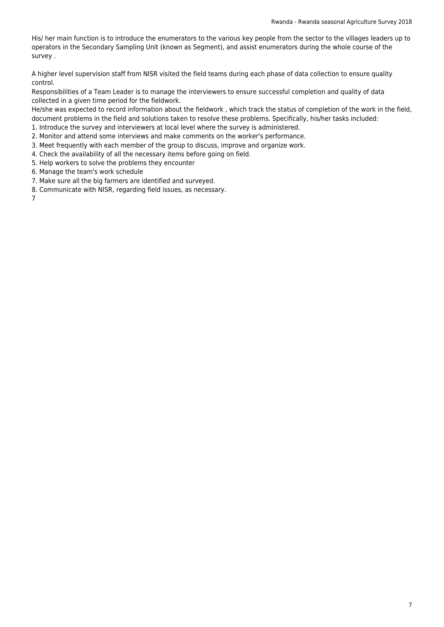His/ her main function is to introduce the enumerators to the various key people from the sector to the villages leaders up to operators in the Secondary Sampling Unit (known as Segment), and assist enumerators during the whole course of the survey .

A higher level supervision staff from NISR visited the field teams during each phase of data collection to ensure quality control.

Responsibilities of a Team Leader is to manage the interviewers to ensure successful completion and quality of data collected in a given time period for the fieldwork.

He/she was expected to record information about the fieldwork , which track the status of completion of the work in the field, document problems in the field and solutions taken to resolve these problems. Specifically, his/her tasks included:

1. Introduce the survey and interviewers at local level where the survey is administered.

2. Monitor and attend some interviews and make comments on the worker's performance.

3. Meet frequently with each member of the group to discuss, improve and organize work.

4. Check the availability of all the necessary items before going on field.

5. Help workers to solve the problems they encounter

6. Manage the team's work schedule

7. Make sure all the big farmers are identified and surveyed.

8. Communicate with NISR, regarding field issues, as necessary.

7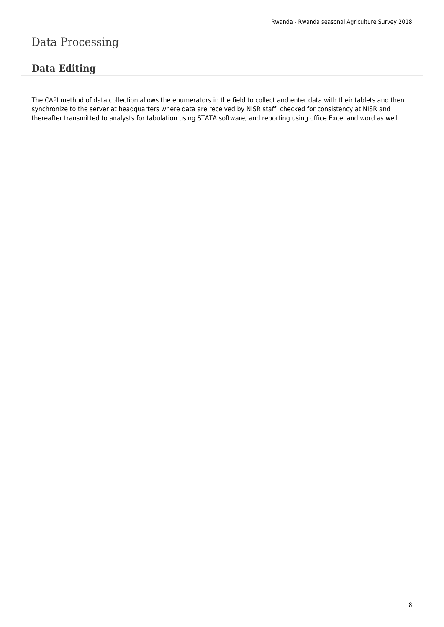# Data Processing

#### **Data Editing**

The CAPI method of data collection allows the enumerators in the field to collect and enter data with their tablets and then synchronize to the server at headquarters where data are received by NISR staff, checked for consistency at NISR and thereafter transmitted to analysts for tabulation using STATA software, and reporting using office Excel and word as well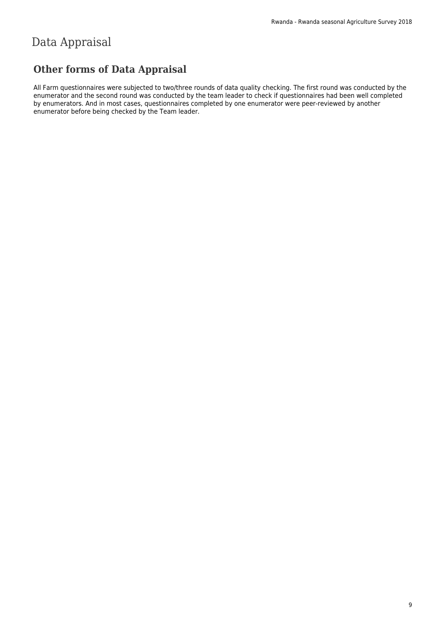### Data Appraisal

#### **Other forms of Data Appraisal**

All Farm questionnaires were subjected to two/three rounds of data quality checking. The first round was conducted by the enumerator and the second round was conducted by the team leader to check if questionnaires had been well completed by enumerators. And in most cases, questionnaires completed by one enumerator were peer-reviewed by another enumerator before being checked by the Team leader.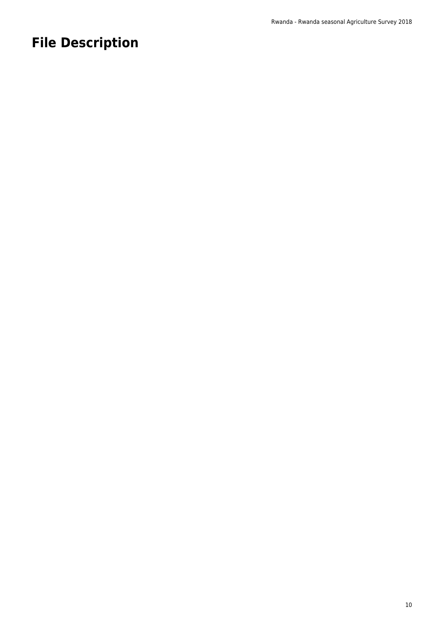# **File Description**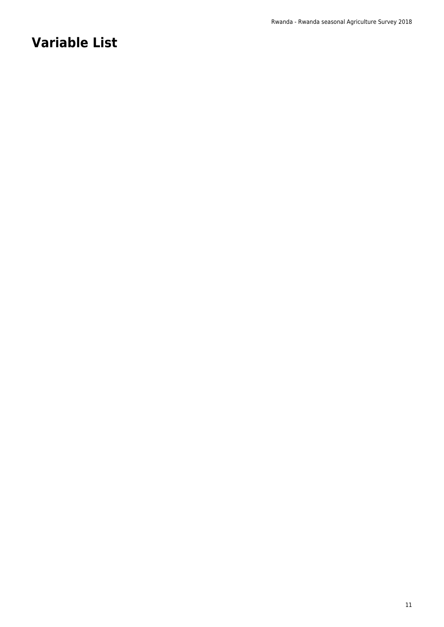# **Variable List**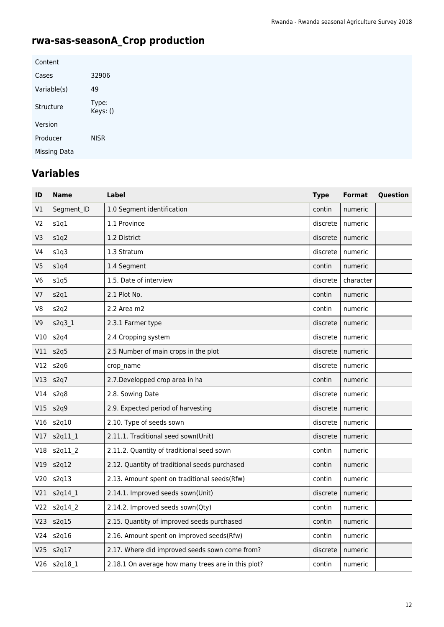# **rwa-sas-seasonA\_Crop production**

| Content      |                   |
|--------------|-------------------|
| Cases        | 32906             |
| Variable(s)  | 49                |
| Structure    | Type:<br>Keys: () |
| Version      |                   |
| Producer     | <b>NISR</b>       |
| Missing Data |                   |

| ID              | <b>Name</b>   | <b>Label</b>                                       | <b>Type</b> | Format    | Question |
|-----------------|---------------|----------------------------------------------------|-------------|-----------|----------|
| V1              | Segment ID    | 1.0 Segment identification                         | contin      | numeric   |          |
| V <sub>2</sub>  | slq1          | 1.1 Province                                       | discrete    | numeric   |          |
| V3              | s1q2          | 1.2 District                                       | discrete    | numeric   |          |
| V <sub>4</sub>  | s1q3          | 1.3 Stratum                                        | discrete    | numeric   |          |
| V <sub>5</sub>  | s1q4          | 1.4 Segment                                        | contin      | numeric   |          |
| V <sub>6</sub>  | s1q5          | 1.5. Date of interview                             | discrete    | character |          |
| V7              | s2q1          | 2.1 Plot No.                                       | contin      | numeric   |          |
| V8              | s2q2          | 2.2 Area m2                                        | contin      | numeric   |          |
| V <sub>9</sub>  | $s2q3_1$      | 2.3.1 Farmer type                                  | discrete    | numeric   |          |
| V10             | s2q4          | 2.4 Cropping system                                | discrete    | numeric   |          |
| V11             | s2q5          | 2.5 Number of main crops in the plot               | discrete    | numeric   |          |
| V12             | s2q6          | crop_name                                          | discrete    | numeric   |          |
| V13             | s2q7          | 2.7. Developped crop area in ha                    | contin      | numeric   |          |
| V14             | s2q8          | 2.8. Sowing Date                                   | discrete    | numeric   |          |
| V15             | s2q9          | 2.9. Expected period of harvesting                 | discrete    | numeric   |          |
| V16             | s2q10         | 2.10. Type of seeds sown                           | discrete    | numeric   |          |
| V17             | s2q11_1       | 2.11.1. Traditional seed sown(Unit)                | discrete    | numeric   |          |
| V18             | s2q11 2       | 2.11.2. Quantity of traditional seed sown          | contin      | numeric   |          |
| V19             | s2q12         | 2.12. Quantity of traditional seeds purchased      | contin      | numeric   |          |
| V20             | s2q13         | 2.13. Amount spent on traditional seeds(Rfw)       | contin      | numeric   |          |
| V21             | s2q14 1       | 2.14.1. Improved seeds sown(Unit)                  | discrete    | numeric   |          |
| V <sub>22</sub> | s2q14 2       | 2.14.2. Improved seeds sown(Qty)                   | contin      | numeric   |          |
| V <sub>23</sub> | s2q15         | 2.15. Quantity of improved seeds purchased         | contin      | numeric   |          |
| V <sub>24</sub> | s2q16         | 2.16. Amount spent on improved seeds(Rfw)          | contin      | numeric   |          |
| V <sub>25</sub> | s2q17         | 2.17. Where did improved seeds sown come from?     | discrete    | numeric   |          |
|                 | $V26$ s2q18_1 | 2.18.1 On average how many trees are in this plot? | contin      | numeric   |          |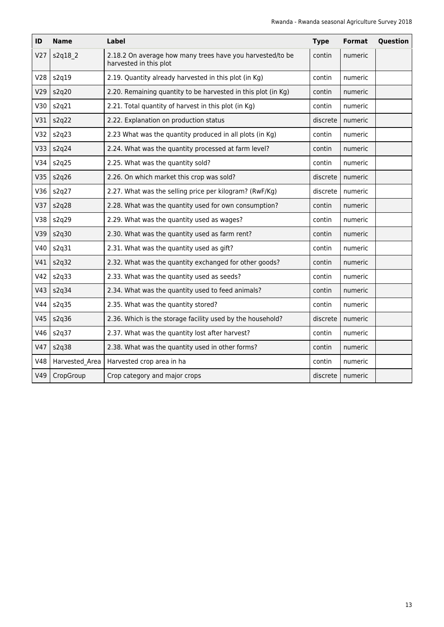| ID              | <b>Name</b>    | Label                                                                               | <b>Type</b> | <b>Format</b> | Question |
|-----------------|----------------|-------------------------------------------------------------------------------------|-------------|---------------|----------|
| V <sub>27</sub> | s2q18 2        | 2.18.2 On average how many trees have you harvested/to be<br>harvested in this plot | contin      | numeric       |          |
| V28             | s2q19          | 2.19. Quantity already harvested in this plot (in Kg)                               | contin      | numeric       |          |
| V29             | s2q20          | 2.20. Remaining quantity to be harvested in this plot (in Kg)                       | contin      | numeric       |          |
| V30             | s2q21          | 2.21. Total quantity of harvest in this plot (in Kg)                                | contin      | numeric       |          |
| V31             | s2q22          | 2.22. Explanation on production status                                              | discrete    | numeric       |          |
| V32             | s2q23          | 2.23 What was the quantity produced in all plots (in Kg)                            | contin      | numeric       |          |
| V33             | s2q24          | 2.24. What was the quantity processed at farm level?                                | contin      | numeric       |          |
| V34             | s2q25          | 2.25. What was the quantity sold?                                                   | contin      | numeric       |          |
| V35             | s2q26          | 2.26. On which market this crop was sold?                                           | discrete    | numeric       |          |
| V36             | s2q27          | 2.27. What was the selling price per kilogram? (RwF/Kg)                             | discrete    | numeric       |          |
| V37             | s2q28          | 2.28. What was the quantity used for own consumption?                               | contin      | numeric       |          |
| V38             | s2q29          | 2.29. What was the quantity used as wages?                                          | contin      | numeric       |          |
| V39             | s2q30          | 2.30. What was the quantity used as farm rent?                                      | contin      | numeric       |          |
| V40             | s2q31          | 2.31. What was the quantity used as gift?                                           | contin      | numeric       |          |
| V41             | s2q32          | 2.32. What was the quantity exchanged for other goods?                              | contin      | numeric       |          |
| V42             | s2q33          | 2.33. What was the quantity used as seeds?                                          | contin      | numeric       |          |
| V43             | s2q34          | 2.34. What was the quantity used to feed animals?                                   | contin      | numeric       |          |
| V44             | s2q35          | 2.35. What was the quantity stored?                                                 | contin      | numeric       |          |
| V <sub>45</sub> | s2q36          | 2.36. Which is the storage facility used by the household?                          | discrete    | numeric       |          |
| V46             | s2q37          | 2.37. What was the quantity lost after harvest?                                     | contin      | numeric       |          |
| V47             | s2q38          | 2.38. What was the quantity used in other forms?                                    | contin      | numeric       |          |
| <b>V48</b>      | Harvested Area | Harvested crop area in ha                                                           | contin      | numeric       |          |
| V49             | CropGroup      | Crop category and major crops                                                       | discrete    | numeric       |          |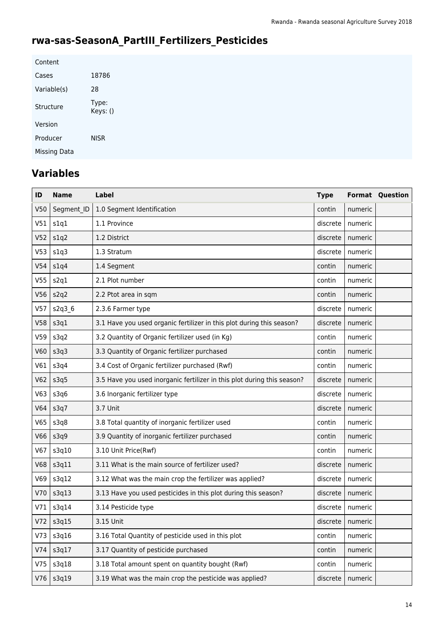# **rwa-sas-SeasonA\_PartIII\_Fertilizers\_Pesticides**

| Content      |                   |
|--------------|-------------------|
| Cases        | 18786             |
| Variable(s)  | 28                |
| Structure    | Type:<br>Keys: () |
| Version      |                   |
| Producer     | NISR              |
| Missing Data |                   |

| ID              | <b>Name</b> | Label                                                                   | <b>Type</b> |                    | <b>Format Question</b> |
|-----------------|-------------|-------------------------------------------------------------------------|-------------|--------------------|------------------------|
| V50             | Segment ID  | 1.0 Segment Identification                                              | contin      | numeric            |                        |
| V51             | slq1        | 1.1 Province                                                            | discrete    | numeric            |                        |
| V <sub>52</sub> | s1q2        | 1.2 District                                                            | discrete    | numeric            |                        |
| V <sub>53</sub> | s1q3        | 1.3 Stratum                                                             | discrete    | numeric            |                        |
| V <sub>54</sub> | s1q4        | 1.4 Segment                                                             | contin      | numeric            |                        |
| V55             | s2q1        | 2.1 Plot number                                                         | contin      | numeric            |                        |
| V56             | s2q2        | 2.2 Ptot area in sqm                                                    | contin      | numeric            |                        |
| V57             | $s2q3_6$    | 2.3.6 Farmer type                                                       | discrete    | numeric            |                        |
| V58             | s3q1        | 3.1 Have you used organic fertilizer in this plot during this season?   | discrete    | numeric            |                        |
| V59             | s3q2        | 3.2 Quantity of Organic fertilizer used (in Kg)                         | contin      | numeric            |                        |
| V60             | s3q3        | 3.3 Quantity of Organic fertilizer purchased                            | contin      | numeric            |                        |
| V61             | s3q4        | 3.4 Cost of Organic fertilizer purchased (Rwf)                          | contin      | numeric            |                        |
| V62             | s3q5        | 3.5 Have you used inorganic fertilizer in this plot during this season? | discrete    | numeric            |                        |
| V63             | s3q6        | 3.6 Inorganic fertilizer type                                           | discrete    | numeric            |                        |
| V64             | s3q7        | 3.7 Unit                                                                | discrete    | numeric            |                        |
| V65             | s3q8        | 3.8 Total quantity of inorganic fertilizer used                         | contin      | numeric            |                        |
| V66             | s3q9        | 3.9 Quantity of inorganic fertilizer purchased                          | contin      | numeric            |                        |
| V67             | s3q10       | 3.10 Unit Price(Rwf)                                                    | contin      | numeric            |                        |
| V68             | s3q11       | 3.11 What is the main source of fertilizer used?                        | discrete    | numeric            |                        |
| V69             | s3q12       | 3.12 What was the main crop the fertilizer was applied?                 | discrete    | numeric            |                        |
| V70             | s3q13       | 3.13 Have you used pesticides in this plot during this season?          | discrete    | numeric            |                        |
| V71             | s3q14       | 3.14 Pesticide type                                                     | discrete    | numeric            |                        |
| V72             | s3q15       | 3.15 Unit                                                               |             | discrete   numeric |                        |
| V <sub>73</sub> | s3q16       | 3.16 Total Quantity of pesticide used in this plot                      | contin      | numeric            |                        |
| V74             | s3q17       | 3.17 Quantity of pesticide purchased                                    | contin      | numeric            |                        |
| V75             | s3q18       | 3.18 Total amount spent on quantity bought (Rwf)                        | contin      | numeric            |                        |
| V76             | s3q19       | 3.19 What was the main crop the pesticide was applied?                  | discrete    | numeric            |                        |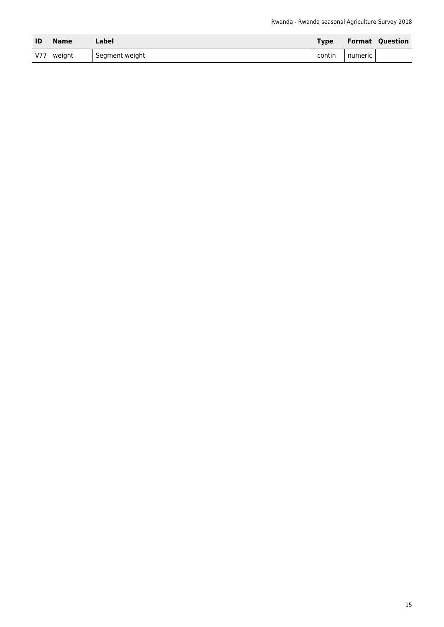| l ID | <b>Name</b>  | Label          | <b>Type</b> |         | <b>Format Question</b> |
|------|--------------|----------------|-------------|---------|------------------------|
|      | V77   weight | Segment weight | contin      | numeric |                        |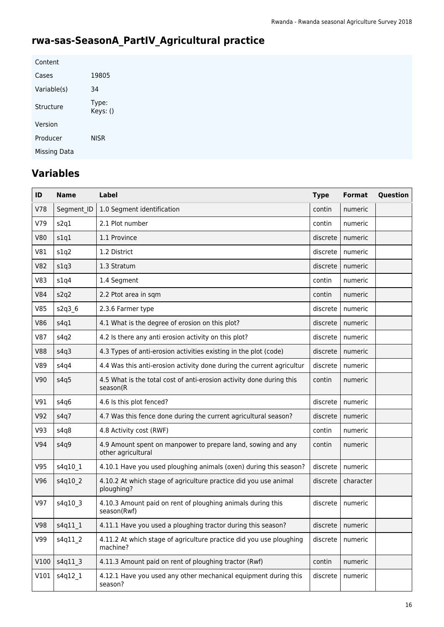# **rwa-sas-SeasonA\_PartIV\_Agricultural practice**

| Content      |                   |
|--------------|-------------------|
| Cases        | 19805             |
| Variable(s)  | 34                |
| Structure    | Type:<br>Keys: () |
| Version      |                   |
| Producer     | NISR              |
| Missing Data |                   |

| ID         | <b>Name</b> | <b>Label</b>                                                                       | <b>Type</b> | <b>Format</b> | Question |
|------------|-------------|------------------------------------------------------------------------------------|-------------|---------------|----------|
| V78        | Segment ID  | 1.0 Segment identification                                                         | contin      | numeric       |          |
| V79        | s2q1        | 2.1 Plot number                                                                    | contin      | numeric       |          |
| <b>V80</b> | s1q1        | 1.1 Province                                                                       | discrete    | numeric       |          |
| V81        | s1q2        | 1.2 District                                                                       | discrete    | numeric       |          |
| V82        | s1q3        | 1.3 Stratum                                                                        | discrete    | numeric       |          |
| V83        | s1q4        | 1.4 Segment                                                                        | contin      | numeric       |          |
| <b>V84</b> | s2q2        | 2.2 Ptot area in sqm                                                               | contin      | numeric       |          |
| V85        | $s2q3_6$    | 2.3.6 Farmer type                                                                  | discrete    | numeric       |          |
| <b>V86</b> | s4q1        | 4.1 What is the degree of erosion on this plot?                                    | discrete    | numeric       |          |
| V87        | s4q2        | 4.2 Is there any anti erosion activity on this plot?                               | discrete    | numeric       |          |
| <b>V88</b> | s4q3        | 4.3 Types of anti-erosion activities existing in the plot (code)                   | discrete    | numeric       |          |
| V89        | s4q4        | 4.4 Was this anti-erosion activity done during the current agricultur              | discrete    | numeric       |          |
| V90        | s4q5        | 4.5 What is the total cost of anti-erosion activity done during this<br>season(R   | contin      | numeric       |          |
| V91        | s4q6        | 4.6 Is this plot fenced?                                                           | discrete    | numeric       |          |
| V92        | s4q7        | 4.7 Was this fence done during the current agricultural season?                    | discrete    | numeric       |          |
| V93        | s4q8        | 4.8 Activity cost (RWF)                                                            | contin      | numeric       |          |
| V94        | s4q9        | 4.9 Amount spent on manpower to prepare land, sowing and any<br>other agricultural | contin      | numeric       |          |
| V95        | s4q10 1     | 4.10.1 Have you used ploughing animals (oxen) during this season?                  | discrete    | numeric       |          |
| V96        | s4q10 2     | 4.10.2 At which stage of agriculture practice did you use animal<br>ploughing?     | discrete    | character     |          |
| V97        | s4q10 3     | 4.10.3 Amount paid on rent of ploughing animals during this<br>season(Rwf)         | discrete    | numeric       |          |
| V98        | s4q11 1     | 4.11.1 Have you used a ploughing tractor during this season?                       | discrete    | numeric       |          |
| V99        | s4q11 2     | 4.11.2 At which stage of agriculture practice did you use ploughing<br>machine?    | discrete    | numeric       |          |
| V100       | s4q11 3     | 4.11.3 Amount paid on rent of ploughing tractor (Rwf)                              | contin      | numeric       |          |
| V101       | $s4q12_1$   | 4.12.1 Have you used any other mechanical equipment during this<br>season?         | discrete    | numeric       |          |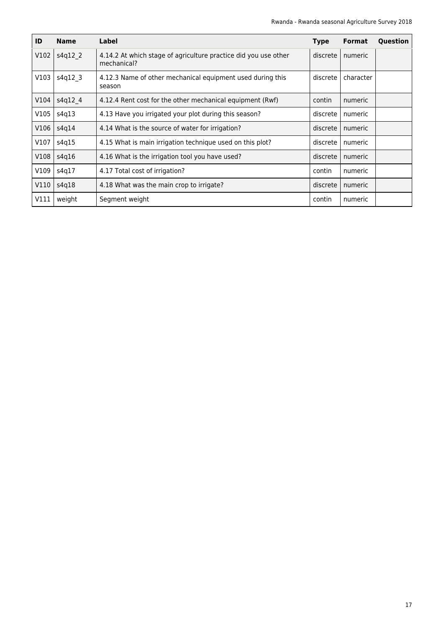| ID   | <b>Name</b> | Label                                                                          | Type     | <b>Format</b> | <b>Question</b> |
|------|-------------|--------------------------------------------------------------------------------|----------|---------------|-----------------|
| V102 | s4q12 2     | 4.14.2 At which stage of agriculture practice did you use other<br>mechanical? | discrete | numeric       |                 |
| V103 | s4q12 3     | 4.12.3 Name of other mechanical equipment used during this<br>season           | discrete | character     |                 |
| V104 | s4q12 4     | 4.12.4 Rent cost for the other mechanical equipment (Rwf)                      | contin   | numeric       |                 |
| V105 | s4q13       | 4.13 Have you irrigated your plot during this season?                          | discrete | numeric       |                 |
| V106 | s4q14       | 4.14 What is the source of water for irrigation?                               | discrete | numeric       |                 |
| V107 | s4q15       | 4.15 What is main irrigation technique used on this plot?                      | discrete | numeric       |                 |
| V108 | s4q16       | 4.16 What is the irrigation tool you have used?                                | discrete | numeric       |                 |
| V109 | s4q17       | 4.17 Total cost of irrigation?                                                 | contin   | numeric       |                 |
| V110 | s4q18       | 4.18 What was the main crop to irrigate?                                       | discrete | numeric       |                 |
| V111 | weight      | Segment weight                                                                 | contin   | numeric       |                 |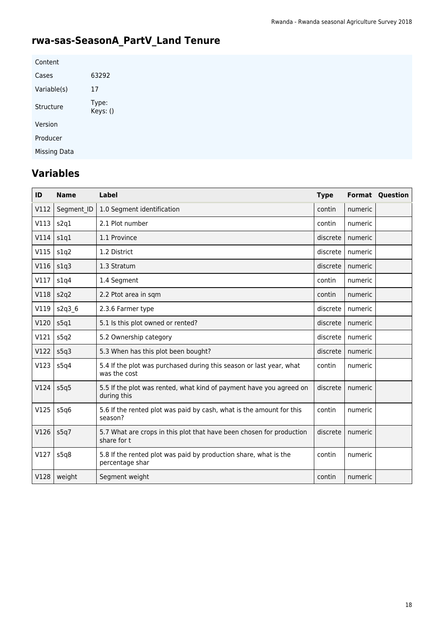# **rwa-sas-SeasonA\_PartV\_Land Tenure**

| Content      |                   |
|--------------|-------------------|
| Cases        | 63292             |
| Variable(s)  | 17                |
| Structure    | Type:<br>Keys: () |
| Version      |                   |
| Producer     |                   |
| Missing Data |                   |

| ID   | <b>Name</b> | Label                                                                               | <b>Type</b> |         | <b>Format Question</b> |
|------|-------------|-------------------------------------------------------------------------------------|-------------|---------|------------------------|
| V112 | Segment ID  | 1.0 Segment identification                                                          | contin      | numeric |                        |
| V113 | s2q1        | 2.1 Plot number                                                                     | contin      | numeric |                        |
| V114 | s1q1        | 1.1 Province                                                                        | discrete    | numeric |                        |
| V115 | s1q2        | 1.2 District                                                                        | discrete    | numeric |                        |
| V116 | s1q3        | 1.3 Stratum                                                                         | discrete    | numeric |                        |
| V117 | s1q4        | 1.4 Segment                                                                         | contin      | numeric |                        |
| V118 | s2q2        | 2.2 Ptot area in sqm                                                                | contin      | numeric |                        |
| V119 | $s2q3_6$    | 2.3.6 Farmer type                                                                   | discrete    | numeric |                        |
| V120 | s5q1        | 5.1 Is this plot owned or rented?                                                   | discrete    | numeric |                        |
| V121 | s5q2        | 5.2 Ownership category                                                              | discrete    | numeric |                        |
| V122 | s5q3        | 5.3 When has this plot been bought?                                                 | discrete    | numeric |                        |
| V123 | s5q4        | 5.4 If the plot was purchased during this season or last year, what<br>was the cost | contin      | numeric |                        |
| V124 | s5q5        | 5.5 If the plot was rented, what kind of payment have you agreed on<br>during this  | discrete    | numeric |                        |
| V125 | s5q6        | 5.6 If the rented plot was paid by cash, what is the amount for this<br>season?     | contin      | numeric |                        |
| V126 | s5q7        | 5.7 What are crops in this plot that have been chosen for production<br>share for t | discrete    | numeric |                        |
| V127 | s5q8        | 5.8 If the rented plot was paid by production share, what is the<br>percentage shar | contin      | numeric |                        |
| V128 | weight      | Segment weight                                                                      | contin      | numeric |                        |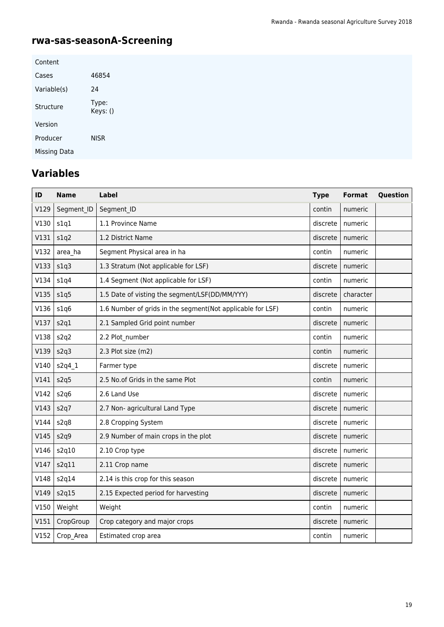### **rwa-sas-seasonA-Screening**

| Content             |                   |
|---------------------|-------------------|
| Cases               | 46854             |
| Variable(s)         | 24                |
| Structure           | Type:<br>Keys: () |
| Version             |                   |
| Producer            | <b>NISR</b>       |
| <b>Missing Data</b> |                   |

| ID   | <b>Name</b> | <b>Label</b>                                               | <b>Type</b> | <b>Format</b> | Question |
|------|-------------|------------------------------------------------------------|-------------|---------------|----------|
| V129 | Segment ID  | Segment ID                                                 | contin      | numeric       |          |
| V130 | s1q1        | 1.1 Province Name                                          | discrete    | numeric       |          |
| V131 | s1q2        | 1.2 District Name                                          | discrete    | numeric       |          |
| V132 | area_ha     | Segment Physical area in ha                                | contin      | numeric       |          |
| V133 | s1q3        | 1.3 Stratum (Not applicable for LSF)                       | discrete    | numeric       |          |
| V134 | slq4        | 1.4 Segment (Not applicable for LSF)                       | contin      | numeric       |          |
| V135 | s1q5        | 1.5 Date of visting the segment/LSF(DD/MM/YYY)             | discrete    | character     |          |
| V136 | s1q6        | 1.6 Number of grids in the segment(Not applicable for LSF) | contin      | numeric       |          |
| V137 | s2q1        | 2.1 Sampled Grid point number                              | discrete    | numeric       |          |
| V138 | s2q2        | 2.2 Plot number                                            | contin      | numeric       |          |
| V139 | s2q3        | 2.3 Plot size (m2)                                         | contin      | numeric       |          |
| V140 | $s2q4_1$    | Farmer type                                                | discrete    | numeric       |          |
| V141 | s2q5        | 2.5 No.of Grids in the same Plot                           | contin      | numeric       |          |
| V142 | s2q6        | 2.6 Land Use                                               | discrete    | numeric       |          |
| V143 | s2q7        | 2.7 Non- agricultural Land Type                            | discrete    | numeric       |          |
| V144 | s2q8        | 2.8 Cropping System                                        | discrete    | numeric       |          |
| V145 | s2q9        | 2.9 Number of main crops in the plot                       | discrete    | numeric       |          |
| V146 | s2q10       | 2.10 Crop type                                             | discrete    | numeric       |          |
| V147 | s2q11       | 2.11 Crop name                                             | discrete    | numeric       |          |
| V148 | s2q14       | 2.14 is this crop for this season                          | discrete    | numeric       |          |
| V149 | s2q15       | 2.15 Expected period for harvesting                        | discrete    | numeric       |          |
| V150 | Weight      | Weight                                                     | contin      | numeric       |          |
| V151 | CropGroup   | Crop category and major crops                              | discrete    | numeric       |          |
| V152 | Crop_Area   | Estimated crop area                                        | contin      | numeric       |          |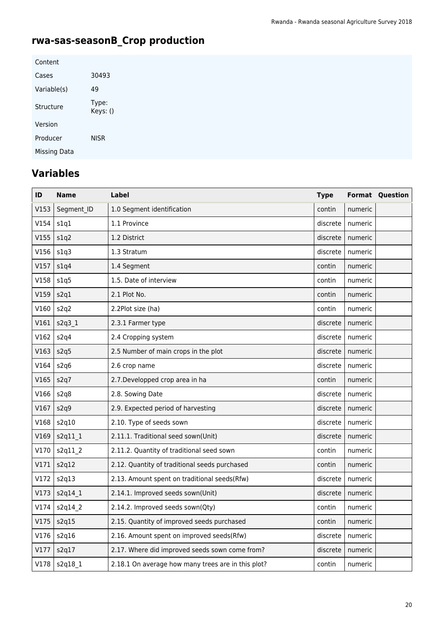# **rwa-sas-seasonB\_Crop production**

| Content      |                   |
|--------------|-------------------|
| Cases        | 30493             |
| Variable(s)  | 49                |
| Structure    | Type:<br>Keys: () |
| Version      |                   |
| Producer     | NISR              |
| Missing Data |                   |

| ID   | <b>Name</b> | Label                                              | <b>Type</b> |         | <b>Format Question</b> |
|------|-------------|----------------------------------------------------|-------------|---------|------------------------|
| V153 | Segment ID  | 1.0 Segment identification                         | contin      | numeric |                        |
| V154 | s1q1        | 1.1 Province                                       | discrete    | numeric |                        |
| V155 | s1q2        | 1.2 District                                       | discrete    | numeric |                        |
| V156 | s1q3        | 1.3 Stratum                                        | discrete    | numeric |                        |
| V157 | s1q4        | 1.4 Segment                                        | contin      | numeric |                        |
| V158 | s1q5        | 1.5. Date of interview                             | contin      | numeric |                        |
| V159 | s2q1        | 2.1 Plot No.                                       | contin      | numeric |                        |
| V160 | s2q2        | 2.2Plot size (ha)                                  | contin      | numeric |                        |
| V161 | $s2q3_1$    | 2.3.1 Farmer type                                  | discrete    | numeric |                        |
| V162 | s2q4        | 2.4 Cropping system                                | discrete    | numeric |                        |
| V163 | s2q5        | 2.5 Number of main crops in the plot               | discrete    | numeric |                        |
| V164 | s2q6        | 2.6 crop name                                      | discrete    | numeric |                        |
| V165 | s2q7        | 2.7. Developped crop area in ha                    | contin      | numeric |                        |
| V166 | s2q8        | 2.8. Sowing Date                                   | discrete    | numeric |                        |
| V167 | s2q9        | 2.9. Expected period of harvesting                 | discrete    | numeric |                        |
| V168 | s2q10       | 2.10. Type of seeds sown                           | discrete    | numeric |                        |
| V169 | $s2q11_1$   | 2.11.1. Traditional seed sown(Unit)                | discrete    | numeric |                        |
| V170 | s2q11 2     | 2.11.2. Quantity of traditional seed sown          | contin      | numeric |                        |
| V171 | s2q12       | 2.12. Quantity of traditional seeds purchased      | contin      | numeric |                        |
| V172 | s2q13       | 2.13. Amount spent on traditional seeds(Rfw)       | discrete    | numeric |                        |
| V173 | s2q14 1     | 2.14.1. Improved seeds sown(Unit)                  | discrete    | numeric |                        |
| V174 | s2q14_2     | 2.14.2. Improved seeds sown(Qty)                   | contin      | numeric |                        |
| V175 | s2q15       | 2.15. Quantity of improved seeds purchased         | contin      | numeric |                        |
| V176 | s2q16       | 2.16. Amount spent on improved seeds(Rfw)          | discrete    | numeric |                        |
| V177 | s2q17       | 2.17. Where did improved seeds sown come from?     | discrete    | numeric |                        |
| V178 | s2q18 1     | 2.18.1 On average how many trees are in this plot? | contin      | numeric |                        |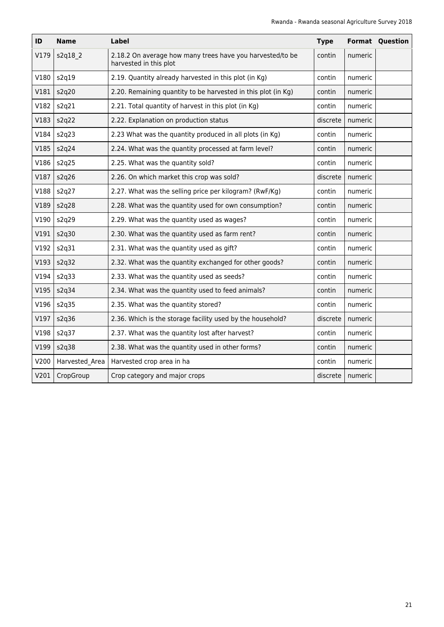| ID   | <b>Name</b>    | <b>Label</b>                                                                        | <b>Type</b> |         | <b>Format Question</b> |
|------|----------------|-------------------------------------------------------------------------------------|-------------|---------|------------------------|
| V179 | s2q18 2        | 2.18.2 On average how many trees have you harvested/to be<br>harvested in this plot | contin      | numeric |                        |
| V180 | s2q19          | 2.19. Quantity already harvested in this plot (in Kg)                               | contin      | numeric |                        |
| V181 | s2q20          | 2.20. Remaining quantity to be harvested in this plot (in Kg)                       | contin      | numeric |                        |
| V182 | s2q21          | 2.21. Total quantity of harvest in this plot (in Kg)                                | contin      | numeric |                        |
| V183 | s2q22          | 2.22. Explanation on production status                                              | discrete    | numeric |                        |
| V184 | s2q23          | 2.23 What was the quantity produced in all plots (in Kg)                            | contin      | numeric |                        |
| V185 | s2q24          | 2.24. What was the quantity processed at farm level?                                | contin      | numeric |                        |
| V186 | s2q25          | 2.25. What was the quantity sold?                                                   | contin      | numeric |                        |
| V187 | s2q26          | 2.26. On which market this crop was sold?                                           | discrete    | numeric |                        |
| V188 | s2q27          | 2.27. What was the selling price per kilogram? (RwF/Kg)                             | contin      | numeric |                        |
| V189 | s2q28          | 2.28. What was the quantity used for own consumption?                               | contin      | numeric |                        |
| V190 | s2q29          | 2.29. What was the quantity used as wages?                                          | contin      | numeric |                        |
| V191 | s2q30          | 2.30. What was the quantity used as farm rent?                                      | contin      | numeric |                        |
| V192 | s2q31          | 2.31. What was the quantity used as gift?                                           | contin      | numeric |                        |
| V193 | s2q32          | 2.32. What was the quantity exchanged for other goods?                              | contin      | numeric |                        |
| V194 | s2q33          | 2.33. What was the quantity used as seeds?                                          | contin      | numeric |                        |
| V195 | s2q34          | 2.34. What was the quantity used to feed animals?                                   | contin      | numeric |                        |
| V196 | s2q35          | 2.35. What was the quantity stored?                                                 | contin      | numeric |                        |
| V197 | s2q36          | 2.36. Which is the storage facility used by the household?                          | discrete    | numeric |                        |
| V198 | s2q37          | 2.37. What was the quantity lost after harvest?                                     | contin      | numeric |                        |
| V199 | s2q38          | 2.38. What was the quantity used in other forms?                                    | contin      | numeric |                        |
| V200 | Harvested Area | Harvested crop area in ha                                                           | contin      | numeric |                        |
| V201 | CropGroup      | Crop category and major crops                                                       | discrete    | numeric |                        |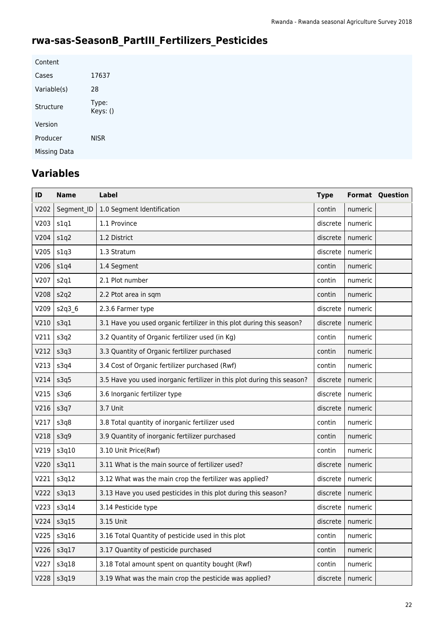# **rwa-sas-SeasonB\_PartIII\_Fertilizers\_Pesticides**

| Content      |                   |
|--------------|-------------------|
| Cases        | 17637             |
| Variable(s)  | 28                |
| Structure    | Type:<br>Keys: () |
| Version      |                   |
| Producer     | NISR              |
| Missing Data |                   |

| ID   | <b>Name</b>    | Label                                                                   | <b>Type</b> |                    | <b>Format Question</b> |
|------|----------------|-------------------------------------------------------------------------|-------------|--------------------|------------------------|
| V202 | Segment ID     | 1.0 Segment Identification                                              | contin      | numeric            |                        |
| V203 | slq1           | 1.1 Province                                                            | discrete    | numeric            |                        |
| V204 | s1q2           | 1.2 District                                                            | discrete    | numeric            |                        |
| V205 | s1q3           | 1.3 Stratum                                                             | discrete    | numeric            |                        |
| V206 | s1q4           | 1.4 Segment                                                             | contin      | numeric            |                        |
| V207 | s2q1           | 2.1 Plot number                                                         | contin      | numeric            |                        |
| V208 | s2q2           | 2.2 Ptot area in sqm                                                    | contin      | numeric            |                        |
| V209 | $s2q3_6$       | 2.3.6 Farmer type                                                       | discrete    | numeric            |                        |
| V210 | s3q1           | 3.1 Have you used organic fertilizer in this plot during this season?   | discrete    | numeric            |                        |
| V211 | s3q2           | 3.2 Quantity of Organic fertilizer used (in Kg)                         | contin      | numeric            |                        |
| V212 | s3q3           | 3.3 Quantity of Organic fertilizer purchased                            | contin      | numeric            |                        |
| V213 | s3q4           | 3.4 Cost of Organic fertilizer purchased (Rwf)                          | contin      | numeric            |                        |
| V214 | s3q5           | 3.5 Have you used inorganic fertilizer in this plot during this season? | discrete    | numeric            |                        |
| V215 | s3q6           | 3.6 Inorganic fertilizer type                                           | discrete    | numeric            |                        |
| V216 | s3q7           | 3.7 Unit                                                                | discrete    | numeric            |                        |
| V217 | s3q8           | 3.8 Total quantity of inorganic fertilizer used                         | contin      | numeric            |                        |
| V218 | s3q9           | 3.9 Quantity of inorganic fertilizer purchased                          | contin      | numeric            |                        |
| V219 | s3q10          | 3.10 Unit Price(Rwf)                                                    | contin      | numeric            |                        |
| V220 | s3q11          | 3.11 What is the main source of fertilizer used?                        | discrete    | numeric            |                        |
| V221 | s3q12          | 3.12 What was the main crop the fertilizer was applied?                 | discrete    | numeric            |                        |
| V222 | s3q13          | 3.13 Have you used pesticides in this plot during this season?          | discrete    | numeric            |                        |
| V223 | s3q14          | 3.14 Pesticide type                                                     | discrete    | numeric            |                        |
|      | $V224$   s3q15 | 3.15 Unit                                                               |             | discrete   numeric |                        |
| V225 | s3q16          | 3.16 Total Quantity of pesticide used in this plot                      | contin      | numeric            |                        |
| V226 | s3q17          | 3.17 Quantity of pesticide purchased                                    | contin      | numeric            |                        |
| V227 | s3q18          | 3.18 Total amount spent on quantity bought (Rwf)                        | contin      | numeric            |                        |
| V228 | s3q19          | 3.19 What was the main crop the pesticide was applied?                  | discrete    | numeric            |                        |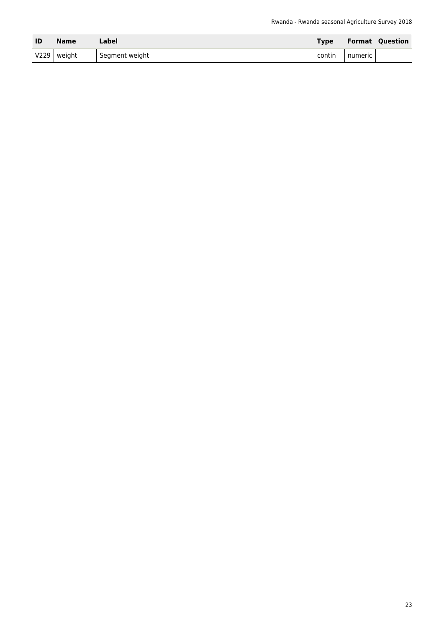| l ID | <b>Name</b>   | ∟abel          | <b>Type</b> |         | <b>Format Question</b> |
|------|---------------|----------------|-------------|---------|------------------------|
|      | V229   weight | Segment weight | contin      | numeric |                        |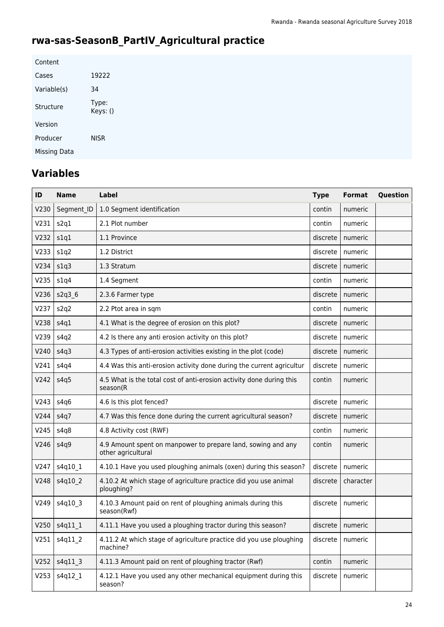# **rwa-sas-SeasonB\_PartIV\_Agricultural practice**

| Content      |                   |
|--------------|-------------------|
| Cases        | 19222             |
| Variable(s)  | 34                |
| Structure    | Type:<br>Keys: () |
| Version      |                   |
| Producer     | NISR              |
| Missing Data |                   |

| ID   | <b>Name</b> | <b>Label</b>                                                                       | <b>Type</b> | <b>Format</b> | Question |
|------|-------------|------------------------------------------------------------------------------------|-------------|---------------|----------|
| V230 | Segment ID  | 1.0 Segment identification                                                         | contin      | numeric       |          |
| V231 | s2q1        | 2.1 Plot number                                                                    | contin      | numeric       |          |
| V232 | s1q1        | 1.1 Province                                                                       | discrete    | numeric       |          |
| V233 | s1q2        | 1.2 District                                                                       | discrete    | numeric       |          |
| V234 | s1q3        | 1.3 Stratum                                                                        | discrete    | numeric       |          |
| V235 | s1q4        | 1.4 Segment                                                                        | contin      | numeric       |          |
| V236 | $s2q3_6$    | 2.3.6 Farmer type                                                                  | discrete    | numeric       |          |
| V237 | s2q2        | 2.2 Ptot area in sqm                                                               | contin      | numeric       |          |
| V238 | s4q1        | 4.1 What is the degree of erosion on this plot?                                    | discrete    | numeric       |          |
| V239 | s4q2        | 4.2 Is there any anti erosion activity on this plot?                               | discrete    | numeric       |          |
| V240 | s4q3        | 4.3 Types of anti-erosion activities existing in the plot (code)                   | discrete    | numeric       |          |
| V241 | s4q4        | 4.4 Was this anti-erosion activity done during the current agricultur              | discrete    | numeric       |          |
| V242 | s4q5        | 4.5 What is the total cost of anti-erosion activity done during this<br>season(R   | contin      | numeric       |          |
| V243 | s4q6        | 4.6 Is this plot fenced?                                                           | discrete    | numeric       |          |
| V244 | s4q7        | 4.7 Was this fence done during the current agricultural season?                    | discrete    | numeric       |          |
| V245 | s4q8        | 4.8 Activity cost (RWF)                                                            | contin      | numeric       |          |
| V246 | s4q9        | 4.9 Amount spent on manpower to prepare land, sowing and any<br>other agricultural | contin      | numeric       |          |
| V247 | s4q10 1     | 4.10.1 Have you used ploughing animals (oxen) during this season?                  | discrete    | numeric       |          |
| V248 | s4q10 2     | 4.10.2 At which stage of agriculture practice did you use animal<br>ploughing?     | discrete    | character     |          |
| V249 | s4q10 3     | 4.10.3 Amount paid on rent of ploughing animals during this<br>season(Rwf)         | discrete    | numeric       |          |
| V250 | s4q11 1     | 4.11.1 Have you used a ploughing tractor during this season?                       | discrete    | numeric       |          |
| V251 | s4q11 2     | 4.11.2 At which stage of agriculture practice did you use ploughing<br>machine?    | discrete    | numeric       |          |
| V252 | s4q11 3     | 4.11.3 Amount paid on rent of ploughing tractor (Rwf)                              | contin      | numeric       |          |
| V253 | $s4q12_1$   | 4.12.1 Have you used any other mechanical equipment during this<br>season?         | discrete    | numeric       |          |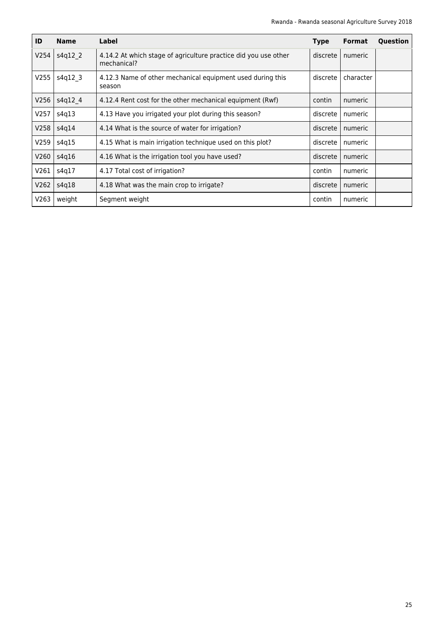| ID               | <b>Name</b> | Label                                                                          | <b>Type</b> | <b>Format</b> | <b>Question</b> |
|------------------|-------------|--------------------------------------------------------------------------------|-------------|---------------|-----------------|
| V254             | s4q12 2     | 4.14.2 At which stage of agriculture practice did you use other<br>mechanical? | discrete    | numeric       |                 |
| V <sub>255</sub> | s4q12 3     | 4.12.3 Name of other mechanical equipment used during this<br>season           | discrete    | character     |                 |
| V256             | s4q12 4     | 4.12.4 Rent cost for the other mechanical equipment (Rwf)                      | contin      | numeric       |                 |
| V257             | s4q13       | 4.13 Have you irrigated your plot during this season?                          | discrete    | numeric       |                 |
| V258             | s4q14       | 4.14 What is the source of water for irrigation?                               | discrete    | numeric       |                 |
| V <sub>259</sub> | s4q15       | 4.15 What is main irrigation technique used on this plot?                      | discrete    | numeric       |                 |
| V <sub>260</sub> | s4q16       | 4.16 What is the irrigation tool you have used?                                | discrete    | numeric       |                 |
| V261             | s4q17       | 4.17 Total cost of irrigation?                                                 | contin      | numeric       |                 |
| V262             | s4q18       | 4.18 What was the main crop to irrigate?                                       | discrete    | numeric       |                 |
| V263             | weight      | Segment weight                                                                 | contin      | numeric       |                 |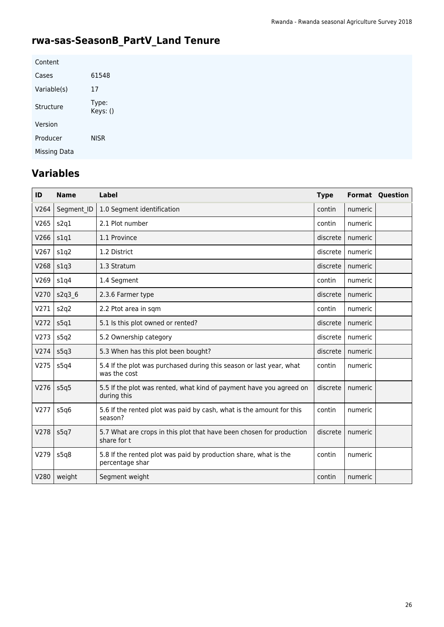# **rwa-sas-SeasonB\_PartV\_Land Tenure**

| Content      |                   |
|--------------|-------------------|
| Cases        | 61548             |
| Variable(s)  | 17                |
| Structure    | Type:<br>Keys: () |
| Version      |                   |
| Producer     | NISR              |
| Missing Data |                   |

| ID   | <b>Name</b> | Label                                                                               | <b>Type</b> |         | <b>Format Question</b> |
|------|-------------|-------------------------------------------------------------------------------------|-------------|---------|------------------------|
| V264 | Segment ID  | 1.0 Segment identification                                                          | contin      | numeric |                        |
| V265 | s2q1        | 2.1 Plot number                                                                     | contin      | numeric |                        |
| V266 | s1q1        | 1.1 Province                                                                        | discrete    | numeric |                        |
| V267 | slq2        | 1.2 District                                                                        | discrete    | numeric |                        |
| V268 | s1q3        | 1.3 Stratum                                                                         | discrete    | numeric |                        |
| V269 | s1q4        | 1.4 Segment                                                                         | contin      | numeric |                        |
| V270 | s2q36       | 2.3.6 Farmer type                                                                   | discrete    | numeric |                        |
| V271 | s2q2        | 2.2 Ptot area in sqm                                                                | contin      | numeric |                        |
| V272 | s5q1        | 5.1 Is this plot owned or rented?                                                   | discrete    | numeric |                        |
| V273 | s5q2        | 5.2 Ownership category                                                              | discrete    | numeric |                        |
| V274 | s5q3        | 5.3 When has this plot been bought?                                                 | discrete    | numeric |                        |
| V275 | s5q4        | 5.4 If the plot was purchased during this season or last year, what<br>was the cost | contin      | numeric |                        |
| V276 | s5q5        | 5.5 If the plot was rented, what kind of payment have you agreed on<br>during this  | discrete    | numeric |                        |
| V277 | s5q6        | 5.6 If the rented plot was paid by cash, what is the amount for this<br>season?     | contin      | numeric |                        |
| V278 | s5q7        | 5.7 What are crops in this plot that have been chosen for production<br>share for t | discrete    | numeric |                        |
| V279 | s5q8        | 5.8 If the rented plot was paid by production share, what is the<br>percentage shar | contin      | numeric |                        |
| V280 | weight      | Segment weight                                                                      | contin      | numeric |                        |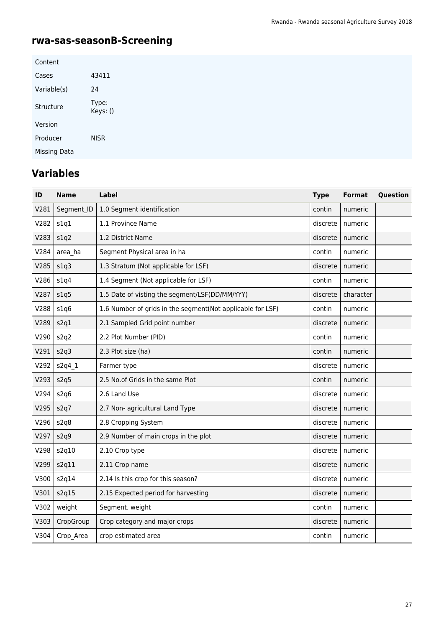### **rwa-sas-seasonB-Screening**

| Content      |                   |
|--------------|-------------------|
| Cases        | 43411             |
| Variable(s)  | 24                |
| Structure    | Type:<br>Keys: () |
| Version      |                   |
| Producer     | <b>NISR</b>       |
| Missing Data |                   |

| ID   | <b>Name</b> | Label                                                      | <b>Type</b> | <b>Format</b> | Question |
|------|-------------|------------------------------------------------------------|-------------|---------------|----------|
| V281 | Segment ID  | 1.0 Segment identification                                 | contin      | numeric       |          |
| V282 | s1q1        | 1.1 Province Name                                          | discrete    | numeric       |          |
| V283 | s1q2        | 1.2 District Name                                          | discrete    | numeric       |          |
| V284 | area ha     | Segment Physical area in ha                                | contin      | numeric       |          |
| V285 | s1q3        | 1.3 Stratum (Not applicable for LSF)                       | discrete    | numeric       |          |
| V286 | s1q4        | 1.4 Segment (Not applicable for LSF)                       | contin      | numeric       |          |
| V287 | s1q5        | 1.5 Date of visting the segment/LSF(DD/MM/YYY)             | discrete    | character     |          |
| V288 | slq6        | 1.6 Number of grids in the segment(Not applicable for LSF) | contin      | numeric       |          |
| V289 | s2q1        | 2.1 Sampled Grid point number                              | discrete    | numeric       |          |
| V290 | s2q2        | 2.2 Plot Number (PID)                                      | contin      | numeric       |          |
| V291 | s2q3        | 2.3 Plot size (ha)                                         | contin      | numeric       |          |
| V292 | $s2q4_1$    | Farmer type                                                | discrete    | numeric       |          |
| V293 | s2q5        | 2.5 No.of Grids in the same Plot                           | contin      | numeric       |          |
| V294 | s2q6        | 2.6 Land Use                                               | discrete    | numeric       |          |
| V295 | s2q7        | 2.7 Non- agricultural Land Type                            | discrete    | numeric       |          |
| V296 | s2q8        | 2.8 Cropping System                                        | discrete    | numeric       |          |
| V297 | s2q9        | 2.9 Number of main crops in the plot                       | discrete    | numeric       |          |
| V298 | s2q10       | 2.10 Crop type                                             | discrete    | numeric       |          |
| V299 | s2q11       | 2.11 Crop name                                             | discrete    | numeric       |          |
| V300 | s2q14       | 2.14 Is this crop for this season?                         | discrete    | numeric       |          |
| V301 | s2q15       | 2.15 Expected period for harvesting                        | discrete    | numeric       |          |
| V302 | weight      | Segment. weight                                            | contin      | numeric       |          |
| V303 | CropGroup   | Crop category and major crops                              | discrete    | numeric       |          |
| V304 | Crop Area   | crop estimated area                                        | contin      | numeric       |          |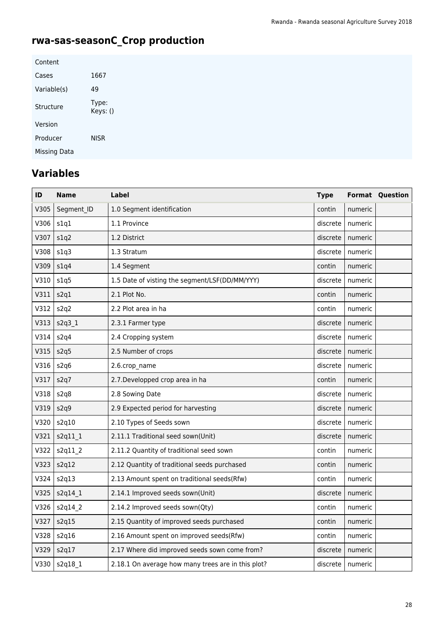# **rwa-sas-seasonC\_Crop production**

| Content      |                   |
|--------------|-------------------|
| Cases        | 1667              |
| Variable(s)  | 49                |
| Structure    | Type:<br>Keys: () |
| Version      |                   |
| Producer     | NISR              |
| Missing Data |                   |

| ID   | <b>Name</b> | Label                                              | <b>Type</b> |         | <b>Format Question</b> |
|------|-------------|----------------------------------------------------|-------------|---------|------------------------|
| V305 | Segment ID  | 1.0 Segment identification                         | contin      | numeric |                        |
| V306 | slq1        | 1.1 Province                                       | discrete    | numeric |                        |
| V307 | s1q2        | 1.2 District                                       | discrete    | numeric |                        |
| V308 | slq3        | 1.3 Stratum                                        | discrete    | numeric |                        |
| V309 | s1q4        | 1.4 Segment                                        | contin      | numeric |                        |
| V310 | s1q5        | 1.5 Date of visting the segment/LSF(DD/MM/YYY)     | discrete    | numeric |                        |
| V311 | s2q1        | 2.1 Plot No.                                       | contin      | numeric |                        |
| V312 | s2q2        | 2.2 Plot area in ha                                | contin      | numeric |                        |
| V313 | $s2q3_1$    | 2.3.1 Farmer type                                  | discrete    | numeric |                        |
| V314 | s2q4        | 2.4 Cropping system                                | discrete    | numeric |                        |
| V315 | s2q5        | 2.5 Number of crops                                | discrete    | numeric |                        |
| V316 | s2q6        | 2.6.crop_name                                      | discrete    | numeric |                        |
| V317 | s2q7        | 2.7. Developped crop area in ha                    | contin      | numeric |                        |
| V318 | s2q8        | 2.8 Sowing Date                                    | discrete    | numeric |                        |
| V319 | s2q9        | 2.9 Expected period for harvesting                 | discrete    | numeric |                        |
| V320 | s2q10       | 2.10 Types of Seeds sown                           | discrete    | numeric |                        |
| V321 | $s2q11_1$   | 2.11.1 Traditional seed sown(Unit)                 | discrete    | numeric |                        |
| V322 | s2q11 2     | 2.11.2 Quantity of traditional seed sown           | contin      | numeric |                        |
| V323 | s2q12       | 2.12 Quantity of traditional seeds purchased       | contin      | numeric |                        |
| V324 | s2q13       | 2.13 Amount spent on traditional seeds(Rfw)        | contin      | numeric |                        |
| V325 | s2q14 1     | 2.14.1 Improved seeds sown(Unit)                   | discrete    | numeric |                        |
| V326 | s2q14 2     | 2.14.2 Improved seeds sown(Qty)                    | contin      | numeric |                        |
| V327 | s2q15       | 2.15 Quantity of improved seeds purchased          | contin      | numeric |                        |
| V328 | s2q16       | 2.16 Amount spent on improved seeds(Rfw)           | contin      | numeric |                        |
| V329 | s2q17       | 2.17 Where did improved seeds sown come from?      | discrete    | numeric |                        |
| V330 | s2q18_1     | 2.18.1 On average how many trees are in this plot? | discrete    | numeric |                        |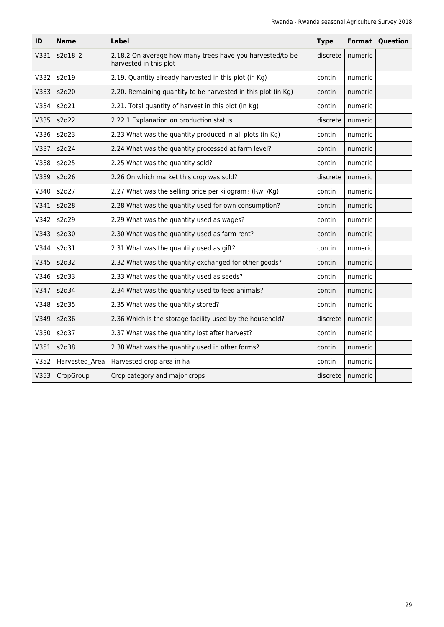| ID   | <b>Name</b>    | Label                                                                               | <b>Type</b> |         | <b>Format Question</b> |
|------|----------------|-------------------------------------------------------------------------------------|-------------|---------|------------------------|
| V331 | s2q18 2        | 2.18.2 On average how many trees have you harvested/to be<br>harvested in this plot | discrete    | numeric |                        |
| V332 | s2q19          | 2.19. Quantity already harvested in this plot (in Kg)                               | contin      | numeric |                        |
| V333 | s2q20          | 2.20. Remaining quantity to be harvested in this plot (in Kg)                       | contin      | numeric |                        |
| V334 | s2q21          | 2.21. Total quantity of harvest in this plot (in Kg)                                | contin      | numeric |                        |
| V335 | s2q22          | 2.22.1 Explanation on production status                                             | discrete    | numeric |                        |
| V336 | s2q23          | 2.23 What was the quantity produced in all plots (in Kg)                            | contin      | numeric |                        |
| V337 | s2q24          | 2.24 What was the quantity processed at farm level?                                 | contin      | numeric |                        |
| V338 | s2q25          | 2.25 What was the quantity sold?                                                    | contin      | numeric |                        |
| V339 | s2q26          | 2.26 On which market this crop was sold?                                            | discrete    | numeric |                        |
| V340 | s2q27          | 2.27 What was the selling price per kilogram? (RwF/Kg)                              | contin      | numeric |                        |
| V341 | s2q28          | 2.28 What was the quantity used for own consumption?                                | contin      | numeric |                        |
| V342 | s2q29          | 2.29 What was the quantity used as wages?                                           | contin      | numeric |                        |
| V343 | s2q30          | 2.30 What was the quantity used as farm rent?                                       | contin      | numeric |                        |
| V344 | s2q31          | 2.31 What was the quantity used as gift?                                            | contin      | numeric |                        |
| V345 | s2q32          | 2.32 What was the quantity exchanged for other goods?                               | contin      | numeric |                        |
| V346 | s2q33          | 2.33 What was the quantity used as seeds?                                           | contin      | numeric |                        |
| V347 | s2q34          | 2.34 What was the quantity used to feed animals?                                    | contin      | numeric |                        |
| V348 | s2q35          | 2.35 What was the quantity stored?                                                  | contin      | numeric |                        |
| V349 | s2q36          | 2.36 Which is the storage facility used by the household?                           | discrete    | numeric |                        |
| V350 | s2q37          | 2.37 What was the quantity lost after harvest?                                      | contin      | numeric |                        |
| V351 | s2q38          | 2.38 What was the quantity used in other forms?                                     | contin      | numeric |                        |
| V352 | Harvested_Area | Harvested crop area in ha                                                           | contin      | numeric |                        |
| V353 | CropGroup      | Crop category and major crops                                                       | discrete    | numeric |                        |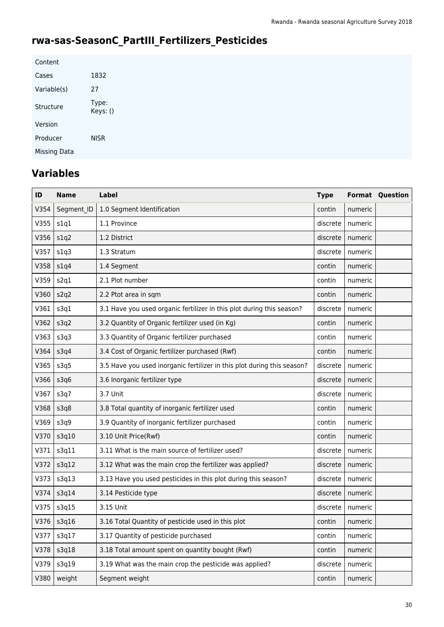# **rwa-sas-SeasonC\_PartIII\_Fertilizers\_Pesticides**

| Content      |                   |
|--------------|-------------------|
| Cases        | 1832              |
| Variable(s)  | 27                |
| Structure    | Type:<br>Keys: () |
| Version      |                   |
| Producer     | <b>NISR</b>       |
| Missing Data |                   |

| ID   | <b>Name</b> | Label                                                                   | <b>Type</b> |         | <b>Format Question</b> |
|------|-------------|-------------------------------------------------------------------------|-------------|---------|------------------------|
| V354 | Segment ID  | 1.0 Segment Identification                                              | contin      | numeric |                        |
| V355 | slq1        | 1.1 Province                                                            | discrete    | numeric |                        |
| V356 | s1q2        | 1.2 District                                                            | discrete    | numeric |                        |
| V357 | s1q3        | 1.3 Stratum                                                             | discrete    | numeric |                        |
| V358 | s1q4        | 1.4 Segment                                                             | contin      | numeric |                        |
| V359 | s2q1        | 2.1 Plot number                                                         | contin      | numeric |                        |
| V360 | s2q2        | 2.2 Ptot area in sqm                                                    | contin      | numeric |                        |
| V361 | s3q1        | 3.1 Have you used organic fertilizer in this plot during this season?   | discrete    | numeric |                        |
| V362 | s3q2        | 3.2 Quantity of Organic fertilizer used (in Kg)                         | contin      | numeric |                        |
| V363 | s3q3        | 3.3 Quantity of Organic fertilizer purchased                            | contin      | numeric |                        |
| V364 | s3q4        | 3.4 Cost of Organic fertilizer purchased (Rwf)                          | contin      | numeric |                        |
| V365 | s3q5        | 3.5 Have you used inorganic fertilizer in this plot during this season? | discrete    | numeric |                        |
| V366 | s3q6        | 3.6 Inorganic fertilizer type                                           | discrete    | numeric |                        |
| V367 | s3q7        | 3.7 Unit                                                                | discrete    | numeric |                        |
| V368 | s3q8        | 3.8 Total quantity of inorganic fertilizer used                         | contin      | numeric |                        |
| V369 | s3q9        | 3.9 Quantity of inorganic fertilizer purchased                          | contin      | numeric |                        |
| V370 | s3q10       | 3.10 Unit Price(Rwf)                                                    | contin      | numeric |                        |
| V371 | s3q11       | 3.11 What is the main source of fertilizer used?                        | discrete    | numeric |                        |
| V372 | s3q12       | 3.12 What was the main crop the fertilizer was applied?                 | discrete    | numeric |                        |
| V373 | s3q13       | 3.13 Have you used pesticides in this plot during this season?          | discrete    | numeric |                        |
| V374 | s3q14       | 3.14 Pesticide type                                                     | discrete    | numeric |                        |
| V375 | s3q15       | 3.15 Unit                                                               | discrete    | numeric |                        |
| V376 | s3q16       | 3.16 Total Quantity of pesticide used in this plot                      | contin      | numeric |                        |
| V377 | s3q17       | 3.17 Quantity of pesticide purchased                                    | contin      | numeric |                        |
| V378 | s3q18       | 3.18 Total amount spent on quantity bought (Rwf)                        | contin      | numeric |                        |
| V379 | s3q19       | 3.19 What was the main crop the pesticide was applied?                  | discrete    | numeric |                        |
| V380 | weight      | Segment weight                                                          | contin      | numeric |                        |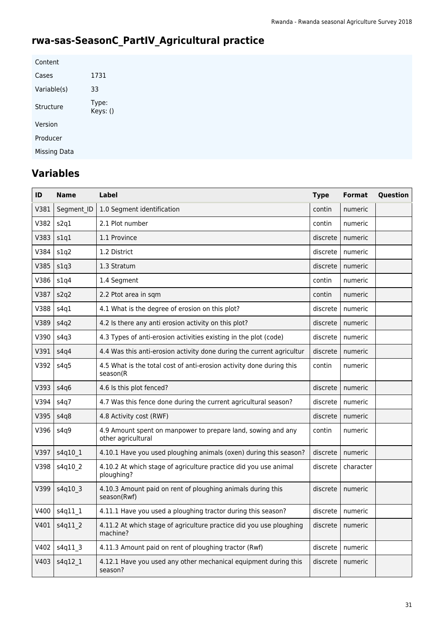# **rwa-sas-SeasonC\_PartIV\_Agricultural practice**

| Content      |                   |
|--------------|-------------------|
| Cases        | 1731              |
| Variable(s)  | 33                |
| Structure    | Type:<br>Keys: () |
| Version      |                   |
| Producer     |                   |
| Missing Data |                   |

| ID   | <b>Name</b> | <b>Label</b>                                                                       | <b>Type</b> | <b>Format</b> | Question |
|------|-------------|------------------------------------------------------------------------------------|-------------|---------------|----------|
| V381 | Segment ID  | 1.0 Segment identification                                                         | contin      | numeric       |          |
| V382 | s2q1        | 2.1 Plot number                                                                    | contin      | numeric       |          |
| V383 | slq1        | 1.1 Province                                                                       | discrete    | numeric       |          |
| V384 | slq2        | 1.2 District                                                                       | discrete    | numeric       |          |
| V385 | slq3        | 1.3 Stratum                                                                        | discrete    | numeric       |          |
| V386 | s1q4        | 1.4 Segment                                                                        | contin      | numeric       |          |
| V387 | s2q2        | 2.2 Ptot area in sqm                                                               | contin      | numeric       |          |
| V388 | s4q1        | 4.1 What is the degree of erosion on this plot?                                    | discrete    | numeric       |          |
| V389 | s4q2        | 4.2 Is there any anti erosion activity on this plot?                               | discrete    | numeric       |          |
| V390 | s4q3        | 4.3 Types of anti-erosion activities existing in the plot (code)                   | discrete    | numeric       |          |
| V391 | s4q4        | 4.4 Was this anti-erosion activity done during the current agricultur              | discrete    | numeric       |          |
| V392 | s4q5        | 4.5 What is the total cost of anti-erosion activity done during this<br>season(R   | contin      | numeric       |          |
| V393 | s4q6        | 4.6 Is this plot fenced?                                                           | discrete    | numeric       |          |
| V394 | s4q7        | 4.7 Was this fence done during the current agricultural season?                    | discrete    | numeric       |          |
| V395 | s4q8        | 4.8 Activity cost (RWF)                                                            | discrete    | numeric       |          |
| V396 | s4q9        | 4.9 Amount spent on manpower to prepare land, sowing and any<br>other agricultural | contin      | numeric       |          |
| V397 | s4q10 1     | 4.10.1 Have you used ploughing animals (oxen) during this season?                  | discrete    | numeric       |          |
| V398 | s4q10 2     | 4.10.2 At which stage of agriculture practice did you use animal<br>ploughing?     | discrete    | character     |          |
| V399 | s4q10 3     | 4.10.3 Amount paid on rent of ploughing animals during this<br>season(Rwf)         | discrete    | numeric       |          |
| V400 | s4q11 1     | 4.11.1 Have you used a ploughing tractor during this season?                       | discrete    | numeric       |          |
| V401 | s4q11 2     | 4.11.2 At which stage of agriculture practice did you use ploughing<br>machine?    | discrete    | numeric       |          |
| V402 | s4q11 3     | 4.11.3 Amount paid on rent of ploughing tractor (Rwf)                              | discrete    | numeric       |          |
| V403 | s4q12 1     | 4.12.1 Have you used any other mechanical equipment during this<br>season?         | discrete    | numeric       |          |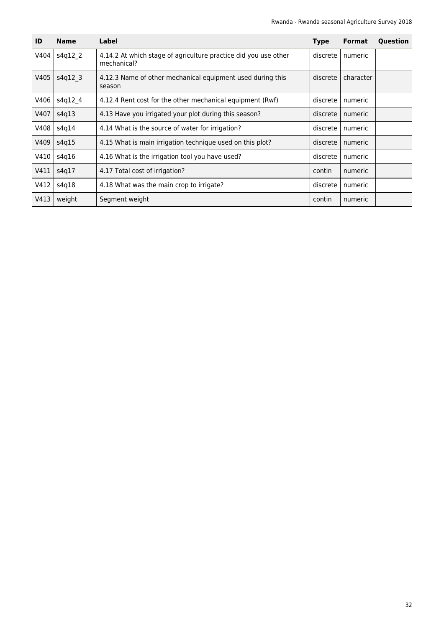| ID   | <b>Name</b> | Label                                                                          | Type     | <b>Format</b> | <b>Question</b> |
|------|-------------|--------------------------------------------------------------------------------|----------|---------------|-----------------|
| V404 | s4q12 2     | 4.14.2 At which stage of agriculture practice did you use other<br>mechanical? | discrete | numeric       |                 |
| V405 | s4q12 3     | 4.12.3 Name of other mechanical equipment used during this<br>season           | discrete | character     |                 |
| V406 | s4q12 4     | 4.12.4 Rent cost for the other mechanical equipment (Rwf)                      | discrete | numeric       |                 |
| V407 | s4q13       | 4.13 Have you irrigated your plot during this season?                          | discrete | numeric       |                 |
| V408 | s4q14       | 4.14 What is the source of water for irrigation?                               | discrete | numeric       |                 |
| V409 | s4q15       | 4.15 What is main irrigation technique used on this plot?                      | discrete | numeric       |                 |
| V410 | s4q16       | 4.16 What is the irrigation tool you have used?                                | discrete | numeric       |                 |
| V411 | s4q17       | 4.17 Total cost of irrigation?                                                 | contin   | numeric       |                 |
| V412 | s4q18       | 4.18 What was the main crop to irrigate?                                       | discrete | numeric       |                 |
| V413 | weight      | Segment weight                                                                 | contin   | numeric       |                 |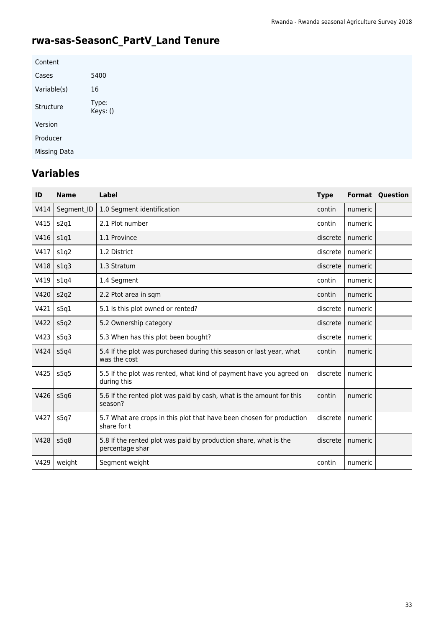# **rwa-sas-SeasonC\_PartV\_Land Tenure**

| Content      |                   |
|--------------|-------------------|
| Cases        | 5400              |
| Variable(s)  | 16                |
| Structure    | Type:<br>Keys: () |
| Version      |                   |
| Producer     |                   |
| Missing Data |                   |

| ID   | <b>Name</b> | Label                                                                               | <b>Type</b> |         | <b>Format Question</b> |
|------|-------------|-------------------------------------------------------------------------------------|-------------|---------|------------------------|
| V414 | Segment ID  | 1.0 Segment identification                                                          | contin      | numeric |                        |
| V415 | s2q1        | 2.1 Plot number                                                                     | contin      | numeric |                        |
| V416 | s1q1        | 1.1 Province                                                                        | discrete    | numeric |                        |
| V417 | s1q2        | 1.2 District                                                                        | discrete    | numeric |                        |
| V418 | s1q3        | 1.3 Stratum                                                                         | discrete    | numeric |                        |
| V419 | s1q4        | 1.4 Segment                                                                         | contin      | numeric |                        |
| V420 | s2q2        | 2.2 Ptot area in sqm                                                                | contin      | numeric |                        |
| V421 | s5q1        | 5.1 Is this plot owned or rented?                                                   | discrete    | numeric |                        |
| V422 | s5q2        | 5.2 Ownership category                                                              | discrete    | numeric |                        |
| V423 | s5q3        | 5.3 When has this plot been bought?                                                 | discrete    | numeric |                        |
| V424 | s5q4        | 5.4 If the plot was purchased during this season or last year, what<br>was the cost | contin      | numeric |                        |
| V425 | s5q5        | 5.5 If the plot was rented, what kind of payment have you agreed on<br>during this  | discrete    | numeric |                        |
| V426 | s5q6        | 5.6 If the rented plot was paid by cash, what is the amount for this<br>season?     | contin      | numeric |                        |
| V427 | s5q7        | 5.7 What are crops in this plot that have been chosen for production<br>share for t | discrete    | numeric |                        |
| V428 | s5q8        | 5.8 If the rented plot was paid by production share, what is the<br>percentage shar | discrete    | numeric |                        |
| V429 | weight      | Segment weight                                                                      | contin      | numeric |                        |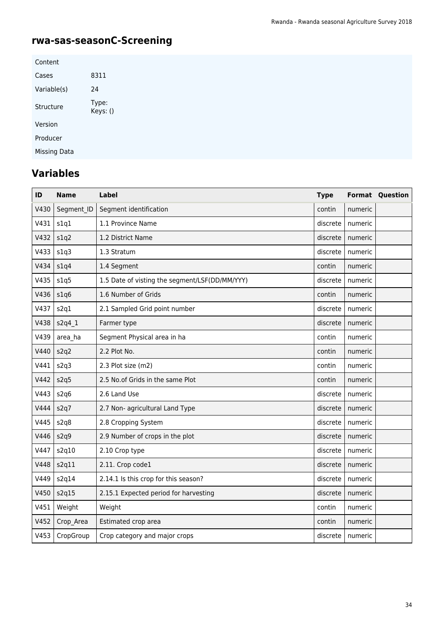### **rwa-sas-seasonC-Screening**

| Content      |                   |
|--------------|-------------------|
| Cases        | 8311              |
| Variable(s)  | 24                |
| Structure    | Type:<br>Keys: () |
| Version      |                   |
| Producer     |                   |
| Missing Data |                   |

| ID   | <b>Name</b> | <b>Label</b>                                   | <b>Type</b> |         | <b>Format Question</b> |
|------|-------------|------------------------------------------------|-------------|---------|------------------------|
| V430 | Segment ID  | Segment identification                         | contin      | numeric |                        |
| V431 | slq1        | 1.1 Province Name                              | discrete    | numeric |                        |
| V432 | s1q2        | 1.2 District Name                              | discrete    | numeric |                        |
| V433 | s1q3        | 1.3 Stratum                                    | discrete    | numeric |                        |
| V434 | s1q4        | 1.4 Segment                                    | contin      | numeric |                        |
| V435 | s1q5        | 1.5 Date of visting the segment/LSF(DD/MM/YYY) | discrete    | numeric |                        |
| V436 | s1q6        | 1.6 Number of Grids                            | contin      | numeric |                        |
| V437 | s2q1        | 2.1 Sampled Grid point number                  | discrete    | numeric |                        |
| V438 | $s2q4_1$    | Farmer type                                    | discrete    | numeric |                        |
| V439 | area ha     | Segment Physical area in ha                    | contin      | numeric |                        |
| V440 | s2q2        | 2.2 Plot No.                                   | contin      | numeric |                        |
| V441 | s2q3        | 2.3 Plot size (m2)                             | contin      | numeric |                        |
| V442 | s2q5        | 2.5 No.of Grids in the same Plot               | contin      | numeric |                        |
| V443 | s2q6        | 2.6 Land Use                                   | discrete    | numeric |                        |
| V444 | s2q7        | 2.7 Non- agricultural Land Type                | discrete    | numeric |                        |
| V445 | s2q8        | 2.8 Cropping System                            | discrete    | numeric |                        |
| V446 | s2q9        | 2.9 Number of crops in the plot                | discrete    | numeric |                        |
| V447 | s2q10       | 2.10 Crop type                                 | discrete    | numeric |                        |
| V448 | s2q11       | 2.11. Crop code1                               | discrete    | numeric |                        |
| V449 | s2q14       | 2.14.1 Is this crop for this season?           | discrete    | numeric |                        |
| V450 | s2q15       | 2.15.1 Expected period for harvesting          | discrete    | numeric |                        |
| V451 | Weight      | Weight                                         | contin      | numeric |                        |
| V452 | Crop_Area   | Estimated crop area                            | contin      | numeric |                        |
| V453 | CropGroup   | Crop category and major crops                  | discrete    | numeric |                        |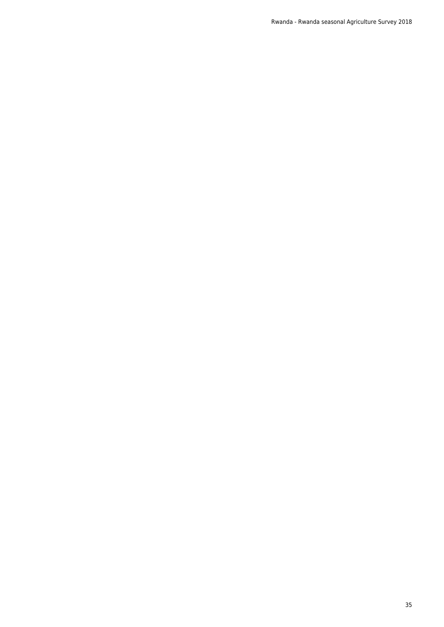Rwanda - Rwanda seasonal Agriculture Survey 2018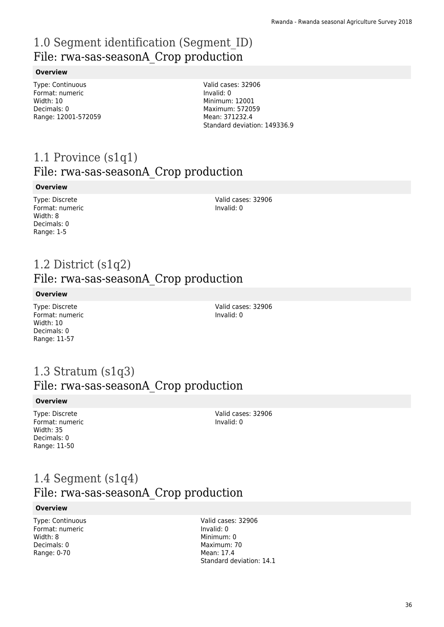#### 1.0 Segment identification (Segment\_ID) File: rwa-sas-seasonA\_Crop production

#### **Overview**

Type: Continuous Format: numeric Width: 10 Decimals: 0 Range: 12001-572059 Valid cases: 32906 Invalid: 0 Minimum: 12001 Maximum: 572059 Mean: 371232.4 Standard deviation: 149336.9

#### 1.1 Province (s1q1) File: rwa-sas-seasonA\_Crop production

#### **Overview**

Type: Discrete Format: numeric Width: 8 Decimals: 0 Range: 1-5

Valid cases: 32906 Invalid: 0

#### 1.2 District (s1q2) File: rwa-sas-seasonA\_Crop production

#### **Overview**

Type: Discrete Format: numeric Width: 10 Decimals: 0 Range: 11-57

Valid cases: 32906 Invalid: 0

#### 1.3 Stratum (s1q3) File: rwa-sas-seasonA\_Crop production

#### **Overview**

Type: Discrete Format: numeric Width: 35 Decimals: 0 Range: 11-50

Valid cases: 32906 Invalid: 0

#### 1.4 Segment (s1q4) File: rwa-sas-seasonA\_Crop production

#### **Overview**

Type: Continuous Format: numeric Width: 8 Decimals: 0 Range: 0-70

Valid cases: 32906 Invalid: 0 Minimum: 0 Maximum: 70 Mean: 17.4 Standard deviation: 14.1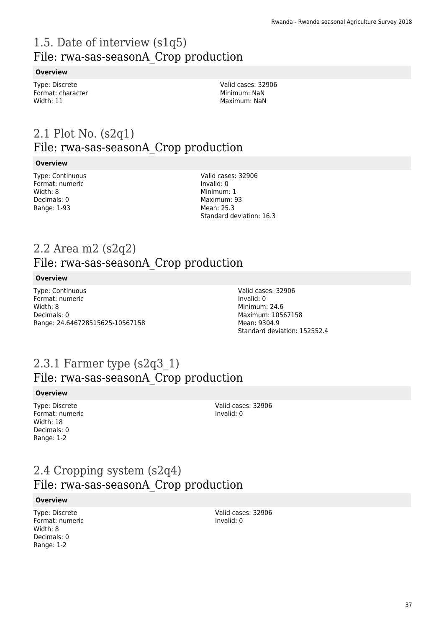# 1.5. Date of interview (s1q5) File: rwa-sas-seasonA\_Crop production

#### **Overview**

Type: Discrete Format: character Width: 11

Valid cases: 32906 Minimum: NaN Maximum: NaN

# 2.1 Plot No. (s2q1) File: rwa-sas-seasonA\_Crop production

#### **Overview**

Type: Continuous Format: numeric Width: 8 Decimals: 0 Range: 1-93

Valid cases: 32906 Invalid: 0 Minimum: 1 Maximum: 93 Mean: 25.3 Standard deviation: 16.3

## 2.2 Area m2 (s2q2) File: rwa-sas-seasonA\_Crop production

#### **Overview**

Type: Continuous Format: numeric Width: 8 Decimals: 0 Range: 24.646728515625-10567158 Valid cases: 32906 Invalid: 0 Minimum: 24.6 Maximum: 10567158 Mean: 9304.9 Standard deviation: 152552.4

## 2.3.1 Farmer type (s2q3\_1) File: rwa-sas-seasonA\_Crop production

#### **Overview**

Type: Discrete Format: numeric Width: 18 Decimals: 0 Range: 1-2

Valid cases: 32906 Invalid: 0

## 2.4 Cropping system (s2q4) File: rwa-sas-seasonA\_Crop production

#### **Overview**

Type: Discrete Format: numeric Width: 8 Decimals: 0 Range: 1-2

Valid cases: 32906 Invalid: 0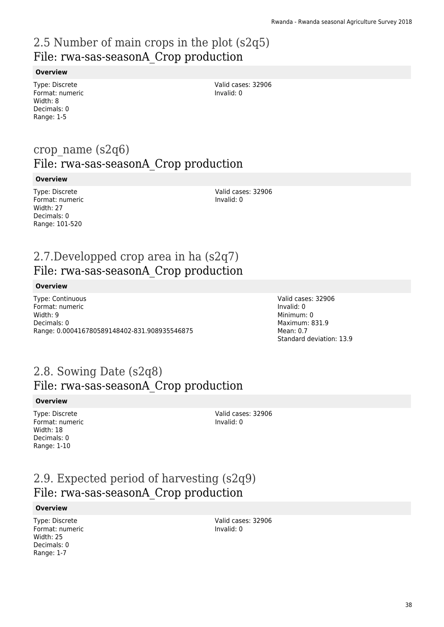# 2.5 Number of main crops in the plot (s2q5) File: rwa-sas-seasonA\_Crop production

#### **Overview**

Type: Discrete Format: numeric Width: 8 Decimals: 0 Range: 1-5

Valid cases: 32906 Invalid: 0

## crop\_name  $(s2q6)$ File: rwa-sas-seasonA\_Crop production

#### **Overview**

Type: Discrete Format: numeric Width: 27 Decimals: 0 Range: 101-520

Valid cases: 32906 Invalid: 0

## 2.7.Developped crop area in ha (s2q7) File: rwa-sas-seasonA\_Crop production

#### **Overview**

Type: Continuous Format: numeric Width: 9 Decimals: 0 Range: 0.000416780589148402-831.908935546875

Valid cases: 32906 Invalid: 0 Minimum: 0 Maximum: 831.9 Mean: 0.7 Standard deviation: 13.9

## 2.8. Sowing Date (s2q8) File: rwa-sas-seasonA\_Crop production

#### **Overview**

Type: Discrete Format: numeric Width: 18 Decimals: 0 Range: 1-10

Valid cases: 32906 Invalid: 0

# 2.9. Expected period of harvesting (s2q9) File: rwa-sas-seasonA\_Crop production

#### **Overview**

Type: Discrete Format: numeric Width: 25 Decimals: 0 Range: 1-7

Valid cases: 32906 Invalid: 0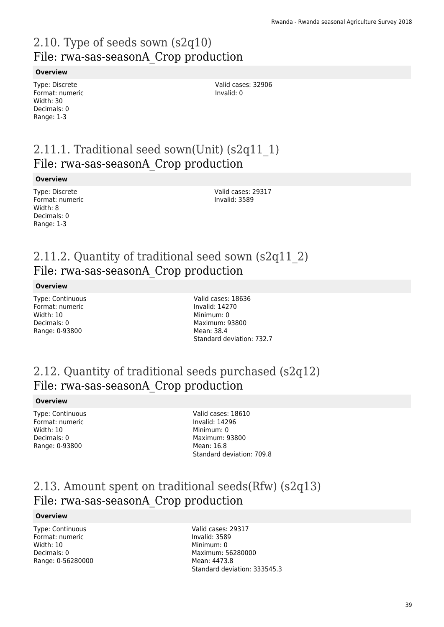# 2.10. Type of seeds sown (s2q10) File: rwa-sas-seasonA\_Crop production

#### **Overview**

Type: Discrete Format: numeric Width: 30 Decimals: 0 Range: 1-3

Valid cases: 32906 Invalid: 0

# 2.11.1. Traditional seed sown(Unit) (s2q11\_1) File: rwa-sas-seasonA\_Crop production

#### **Overview**

Type: Discrete Format: numeric Width: 8 Decimals: 0 Range: 1-3

Valid cases: 29317 Invalid: 3589

# 2.11.2. Quantity of traditional seed sown (s2q11\_2) File: rwa-sas-seasonA\_Crop production

#### **Overview**

Type: Continuous Format: numeric Width: 10 Decimals: 0 Range: 0-93800

Valid cases: 18636 Invalid: 14270 Minimum: 0 Maximum: 93800 Mean: 38.4 Standard deviation: 732.7

# 2.12. Quantity of traditional seeds purchased (s2q12) File: rwa-sas-seasonA\_Crop production

#### **Overview**

Type: Continuous Format: numeric Width: 10 Decimals: 0 Range: 0-93800

Valid cases: 18610 Invalid: 14296 Minimum: 0 Maximum: 93800 Mean: 16.8 Standard deviation: 709.8

## 2.13. Amount spent on traditional seeds(Rfw) (s2q13) File: rwa-sas-seasonA\_Crop production

### **Overview**

Type: Continuous Format: numeric Width: 10 Decimals: 0 Range: 0-56280000 Valid cases: 29317 Invalid: 3589 Minimum: 0 Maximum: 56280000 Mean: 4473.8 Standard deviation: 333545.3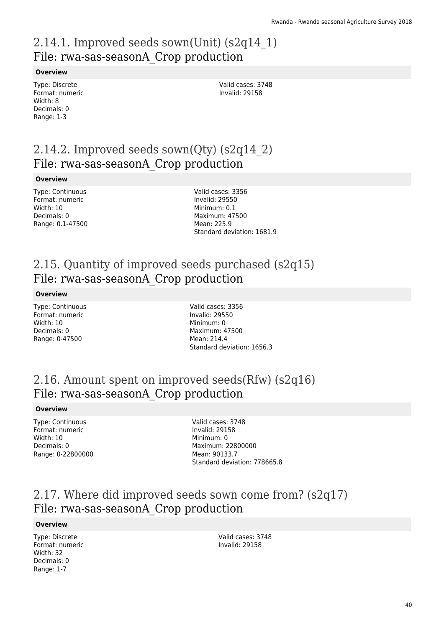# 2.14.1. Improved seeds sown(Unit) (s2q14\_1) File: rwa-sas-seasonA\_Crop production

#### **Overview**

Type: Discrete Format: numeric Width: 8 Decimals: 0 Range: 1-3

Valid cases: 3748 Invalid: 29158

# 2.14.2. Improved seeds sown $(Qty)$  (s2q14 2) File: rwa-sas-seasonA\_Crop production

#### **Overview**

Type: Continuous Format: numeric Width: 10 Decimals: 0 Range: 0.1-47500

Valid cases: 3356 Invalid: 29550 Minimum: 0.1 Maximum: 47500 Mean: 225.9 Standard deviation: 1681.9

## 2.15. Quantity of improved seeds purchased (s2q15) File: rwa-sas-seasonA\_Crop production

#### **Overview**

Type: Continuous Format: numeric Width: 10 Decimals: 0 Range: 0-47500

Valid cases: 3356 Invalid: 29550 Minimum: 0 Maximum: 47500 Mean: 214.4 Standard deviation: 1656.3

## 2.16. Amount spent on improved seeds(Rfw) (s2q16) File: rwa-sas-seasonA\_Crop production

#### **Overview**

Type: Continuous Format: numeric Width: 10 Decimals: 0 Range: 0-22800000 Valid cases: 3748 Invalid: 29158 Minimum: 0 Maximum: 22800000 Mean: 90133.7 Standard deviation: 778665.8

## 2.17. Where did improved seeds sown come from? (s2q17) File: rwa-sas-seasonA\_Crop production

#### **Overview**

Type: Discrete Format: numeric Width: 32 Decimals: 0 Range: 1-7

Valid cases: 3748 Invalid: 29158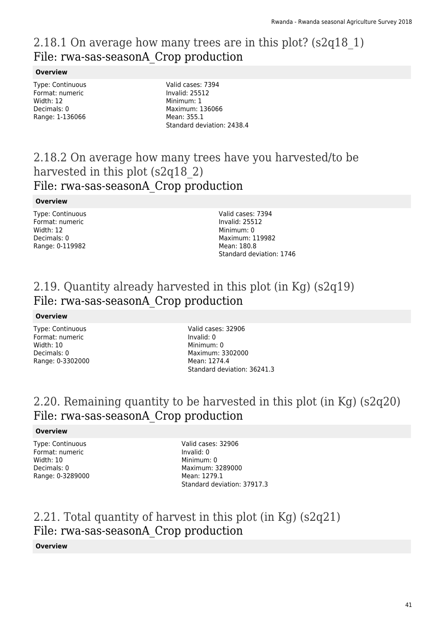# 2.18.1 On average how many trees are in this plot? (s2q18\_1) File: rwa-sas-seasonA\_Crop production

### **Overview**

Type: Continuous Format: numeric Width: 12 Decimals: 0 Range: 1-136066

Valid cases: 7394 Invalid: 25512 Minimum: 1 Maximum: 136066 Mean: 355.1 Standard deviation: 2438.4

## 2.18.2 On average how many trees have you harvested/to be harvested in this plot (s2q18\_2) File: rwa-sas-seasonA\_Crop production

### **Overview**

Type: Continuous Format: numeric Width: 12 Decimals: 0 Range: 0-119982

Valid cases: 7394 Invalid: 25512 Minimum: 0 Maximum: 119982 Mean: 180.8 Standard deviation: 1746

# 2.19. Quantity already harvested in this plot (in Kg) (s2q19) File: rwa-sas-seasonA\_Crop production

## **Overview**

Type: Continuous Format: numeric Width: 10 Decimals: 0 Range: 0-3302000 Valid cases: 32906 Invalid: 0 Minimum: 0 Maximum: 3302000 Mean: 1274.4 Standard deviation: 36241.3

# 2.20. Remaining quantity to be harvested in this plot (in Kg) (s2q20) File: rwa-sas-seasonA\_Crop production

## **Overview**

Type: Continuous Format: numeric Width: 10 Decimals: 0 Range: 0-3289000 Valid cases: 32906 Invalid: 0 Minimum: 0 Maximum: 3289000 Mean: 1279.1 Standard deviation: 37917.3

## 2.21. Total quantity of harvest in this plot (in Kg) (s2q21) File: rwa-sas-seasonA\_Crop production

## **Overview**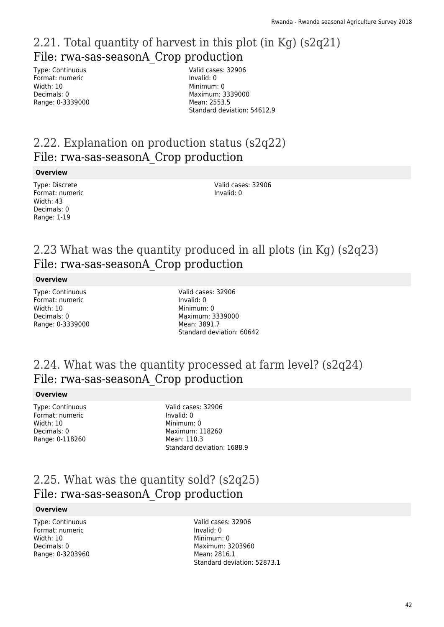# 2.21. Total quantity of harvest in this plot (in Kg) (s2q21) File: rwa-sas-seasonA\_Crop production

Type: Continuous Format: numeric Width: 10 Decimals: 0 Range: 0-3339000 Valid cases: 32906 Invalid: 0 Minimum: 0 Maximum: 3339000 Mean: 2553.5 Standard deviation: 54612.9

# 2.22. Explanation on production status (s2q22) File: rwa-sas-seasonA\_Crop production

#### **Overview**

Type: Discrete Format: numeric Width: 43 Decimals: 0 Range: 1-19

Valid cases: 32906 Invalid: 0

## 2.23 What was the quantity produced in all plots (in Kg) (s2q23) File: rwa-sas-seasonA\_Crop production

#### **Overview**

Type: Continuous Format: numeric Width: 10 Decimals: 0 Range: 0-3339000 Valid cases: 32906 Invalid: 0 Minimum: 0 Maximum: 3339000 Mean: 3891.7 Standard deviation: 60642

## 2.24. What was the quantity processed at farm level? (s2q24) File: rwa-sas-seasonA\_Crop production

### **Overview**

Type: Continuous Format: numeric Width: 10 Decimals: 0 Range: 0-118260

Valid cases: 32906 Invalid: 0 Minimum: 0 Maximum: 118260 Mean: 110.3 Standard deviation: 1688.9

# 2.25. What was the quantity sold? (s2q25) File: rwa-sas-seasonA\_Crop production

#### **Overview**

Type: Continuous Format: numeric Width: 10 Decimals: 0 Range: 0-3203960

Valid cases: 32906 Invalid: 0 Minimum: 0 Maximum: 3203960 Mean: 2816.1 Standard deviation: 52873.1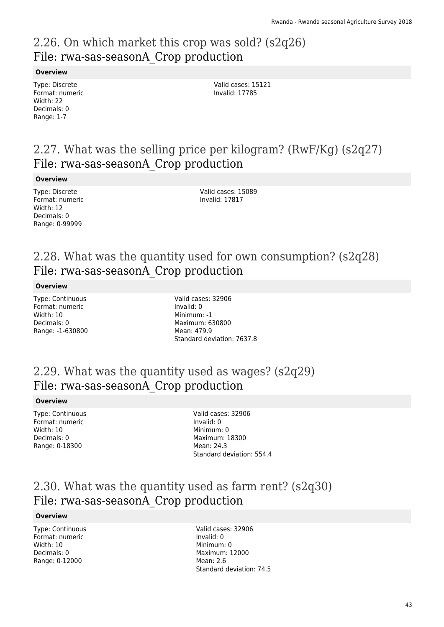# 2.26. On which market this crop was sold? (s2q26) File: rwa-sas-seasonA\_Crop production

#### **Overview**

Type: Discrete Format: numeric Width: 22 Decimals: 0 Range: 1-7

Valid cases: 15121 Invalid: 17785

## 2.27. What was the selling price per kilogram? (RwF/Kg) (s2q27) File: rwa-sas-seasonA\_Crop production

#### **Overview**

Type: Discrete Format: numeric Width: 12 Decimals: 0 Range: 0-99999

Valid cases: 15089 Invalid: 17817

## 2.28. What was the quantity used for own consumption? (s2q28) File: rwa-sas-seasonA\_Crop production

#### **Overview**

Type: Continuous Format: numeric Width: 10 Decimals: 0 Range: -1-630800 Valid cases: 32906 Invalid: 0 Minimum: -1 Maximum: 630800 Mean: 479.9 Standard deviation: 7637.8

## 2.29. What was the quantity used as wages? (s2q29) File: rwa-sas-seasonA\_Crop production

#### **Overview**

Type: Continuous Format: numeric Width: 10 Decimals: 0 Range: 0-18300

Valid cases: 32906 Invalid: 0 Minimum: 0 Maximum: 18300 Mean: 24.3 Standard deviation: 554.4

## 2.30. What was the quantity used as farm rent? (s2q30) File: rwa-sas-seasonA\_Crop production

#### **Overview**

Type: Continuous Format: numeric Width: 10 Decimals: 0 Range: 0-12000

Valid cases: 32906 Invalid: 0 Minimum: 0 Maximum: 12000  $M$ ean:  $2.6$ Standard deviation: 74.5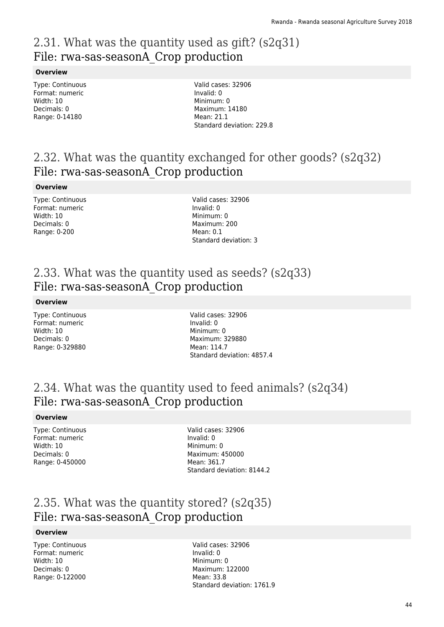# 2.31. What was the quantity used as gift? (s2q31) File: rwa-sas-seasonA\_Crop production

#### **Overview**

Type: Continuous Format: numeric Width: 10 Decimals: 0 Range: 0-14180

Valid cases: 32906 Invalid: 0 Minimum: 0 Maximum: 14180 Mean: 21.1 Standard deviation: 229.8

## 2.32. What was the quantity exchanged for other goods? (s2q32) File: rwa-sas-seasonA\_Crop production

#### **Overview**

Type: Continuous Format: numeric Width: 10 Decimals: 0 Range: 0-200

Valid cases: 32906 Invalid: 0 Minimum: 0 Maximum: 200 Mean: 0.1 Standard deviation: 3

## 2.33. What was the quantity used as seeds? (s2q33) File: rwa-sas-seasonA\_Crop production

#### **Overview**

Type: Continuous Format: numeric Width: 10 Decimals: 0 Range: 0-329880 Valid cases: 32906 Invalid: 0 Minimum: 0 Maximum: 329880 Mean: 114.7 Standard deviation: 4857.4

## 2.34. What was the quantity used to feed animals? (s2q34) File: rwa-sas-seasonA\_Crop production

### **Overview**

Type: Continuous Format: numeric Width: 10 Decimals: 0 Range: 0-450000

Valid cases: 32906 Invalid: 0 Minimum: 0 Maximum: 450000 Mean: 361.7 Standard deviation: 8144.2

## 2.35. What was the quantity stored? (s2q35) File: rwa-sas-seasonA\_Crop production

#### **Overview**

Type: Continuous Format: numeric Width: 10 Decimals: 0 Range: 0-122000

Valid cases: 32906 Invalid: 0 Minimum: 0 Maximum: 122000 Mean: 33.8 Standard deviation: 1761.9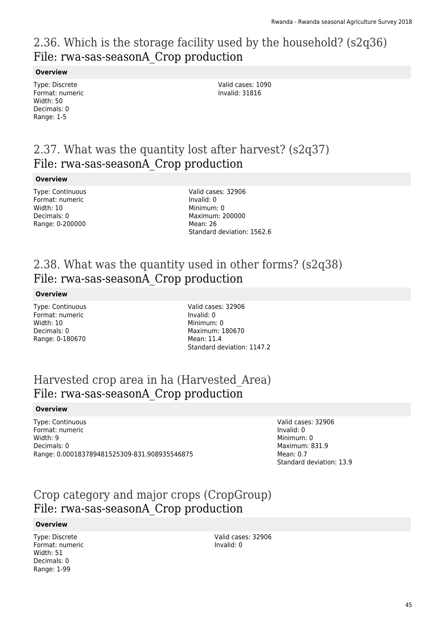# 2.36. Which is the storage facility used by the household? (s2q36) File: rwa-sas-seasonA\_Crop production

**Overview**

Type: Discrete Format: numeric Width: 50 Decimals: 0 Range: 1-5

Valid cases: 1090 Invalid: 31816

# 2.37. What was the quantity lost after harvest? (s2q37) File: rwa-sas-seasonA\_Crop production

#### **Overview**

Type: Continuous Format: numeric Width: 10 Decimals: 0 Range: 0-200000

Valid cases: 32906 Invalid: 0 Minimum: 0 Maximum: 200000 Mean: 26 Standard deviation: 1562.6

## 2.38. What was the quantity used in other forms? (s2q38) File: rwa-sas-seasonA\_Crop production

### **Overview**

Type: Continuous Format: numeric Width: 10 Decimals: 0 Range: 0-180670

Valid cases: 32906 Invalid: 0 Minimum: 0 Maximum: 180670 Mean: 11.4 Standard deviation: 1147.2

## Harvested crop area in ha (Harvested\_Area) File: rwa-sas-seasonA\_Crop production

### **Overview**

Type: Continuous Format: numeric Width: 9 Decimals: 0 Range: 0.000183789481525309-831.908935546875 Valid cases: 32906 Invalid: 0 Minimum: 0 Maximum: 831.9 Mean: 0.7 Standard deviation: 13.9

## Crop category and major crops (CropGroup) File: rwa-sas-seasonA\_Crop production

### **Overview**

Type: Discrete Format: numeric Width: 51 Decimals: 0 Range: 1-99

Valid cases: 32906 Invalid: 0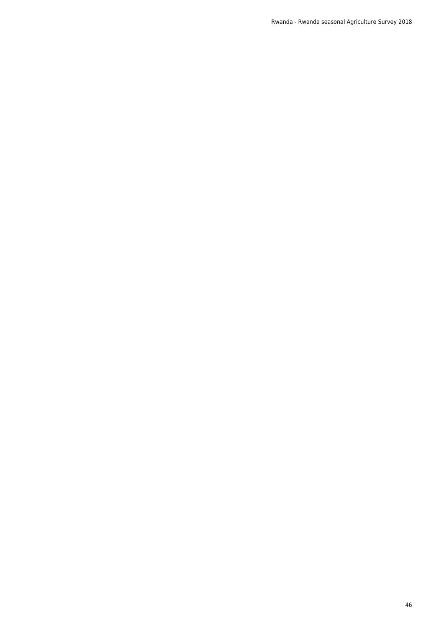Rwanda - Rwanda seasonal Agriculture Survey 2018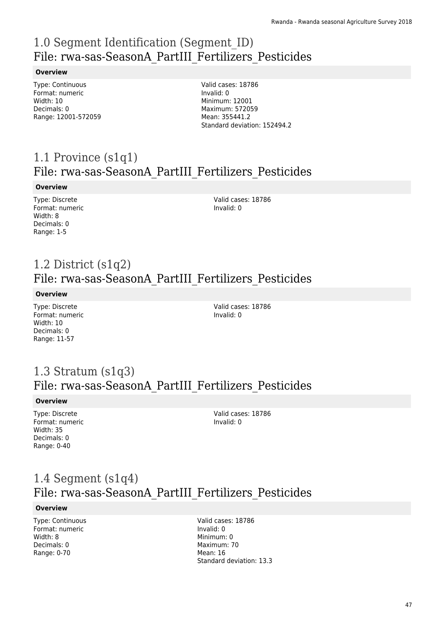# 1.0 Segment Identification (Segment\_ID) File: rwa-sas-SeasonA\_PartIII\_Fertilizers\_Pesticides

### **Overview**

Type: Continuous Format: numeric Width: 10 Decimals: 0 Range: 12001-572059

Valid cases: 18786 Invalid: 0 Minimum: 12001 Maximum: 572059 Mean: 355441.2 Standard deviation: 152494.2

# 1.1 Province (s1q1) File: rwa-sas-SeasonA\_PartIII\_Fertilizers\_Pesticides

### **Overview**

Type: Discrete Format: numeric Width: 8 Decimals: 0 Range: 1-5

Valid cases: 18786 Invalid: 0

## 1.2 District (s1q2) File: rwa-sas-SeasonA\_PartIII\_Fertilizers\_Pesticides

## **Overview**

Type: Discrete Format: numeric Width: 10 Decimals: 0 Range: 11-57

Valid cases: 18786 Invalid: 0

## 1.3 Stratum (s1q3) File: rwa-sas-SeasonA\_PartIII\_Fertilizers\_Pesticides

### **Overview**

Type: Discrete Format: numeric Width: 35 Decimals: 0 Range: 0-40

Valid cases: 18786 Invalid: 0

# 1.4 Segment (s1q4) File: rwa-sas-SeasonA\_PartIII\_Fertilizers\_Pesticides

### **Overview**

Type: Continuous Format: numeric Width: 8 Decimals: 0 Range: 0-70

Valid cases: 18786 Invalid: 0 Minimum: 0 Maximum: 70 Mean: 16 Standard deviation: 13.3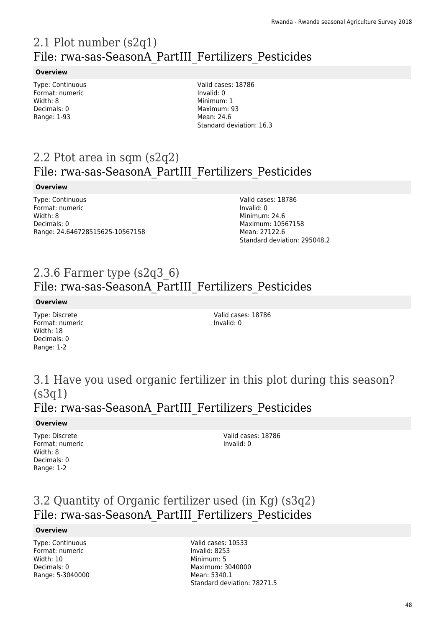# 2.1 Plot number (s2q1) File: rwa-sas-SeasonA\_PartIII\_Fertilizers\_Pesticides

### **Overview**

Type: Continuous Format: numeric Width: 8 Decimals: 0 Range: 1-93

Valid cases: 18786 Invalid: 0 Minimum: 1 Maximum: 93 Mean: 24.6 Standard deviation: 16.3

# 2.2 Ptot area in sqm (s2q2) File: rwa-sas-SeasonA\_PartIII\_Fertilizers\_Pesticides

### **Overview**

Type: Continuous Format: numeric Width: 8 Decimals: 0 Range: 24.646728515625-10567158

Valid cases: 18786 Invalid: 0 Minimum: 24.6 Maximum: 10567158 Mean: 27122.6 Standard deviation: 295048.2

## 2.3.6 Farmer type (s2q3\_6) File: rwa-sas-SeasonA\_PartIII\_Fertilizers\_Pesticides

### **Overview**

Type: Discrete Format: numeric Width: 18 Decimals: 0 Range: 1-2

Valid cases: 18786 Invalid: 0

# 3.1 Have you used organic fertilizer in this plot during this season? (s3q1)

# File: rwa-sas-SeasonA\_PartIII\_Fertilizers\_Pesticides

## **Overview**

Type: Discrete Format: numeric Width: 8 Decimals: 0 Range: 1-2

Valid cases: 18786 Invalid: 0

# 3.2 Quantity of Organic fertilizer used (in Kg) (s3q2) File: rwa-sas-SeasonA\_PartIII\_Fertilizers\_Pesticides

## **Overview**

Type: Continuous Format: numeric Width: 10 Decimals: 0 Range: 5-3040000 Valid cases: 10533 Invalid: 8253 Minimum: 5 Maximum: 3040000 Mean: 5340.1 Standard deviation: 78271.5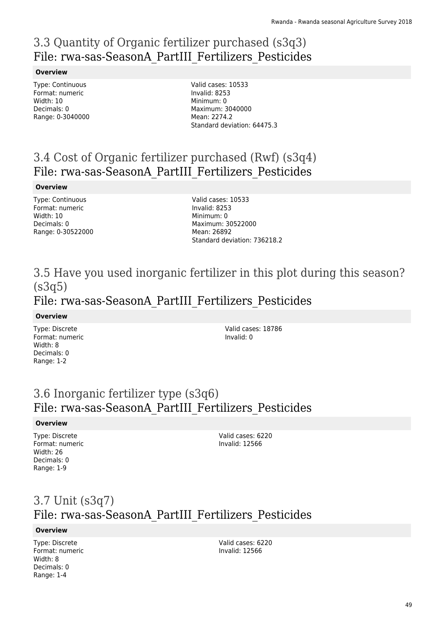# 3.3 Quantity of Organic fertilizer purchased (s3q3) File: rwa-sas-SeasonA\_PartIII\_Fertilizers\_Pesticides

### **Overview**

Type: Continuous Format: numeric Width: 10 Decimals: 0 Range: 0-3040000 Valid cases: 10533 Invalid: 8253 Minimum: 0 Maximum: 3040000 Mean: 2274.2 Standard deviation: 64475.3

# 3.4 Cost of Organic fertilizer purchased (Rwf) (s3q4) File: rwa-sas-SeasonA\_PartIII\_Fertilizers\_Pesticides

### **Overview**

Type: Continuous Format: numeric Width: 10 Decimals: 0 Range: 0-30522000 Valid cases: 10533 Invalid: 8253 Minimum: 0 Maximum: 30522000 Mean: 26892 Standard deviation: 736218.2

# 3.5 Have you used inorganic fertilizer in this plot during this season? (s3q5)

## File: rwa-sas-SeasonA\_PartIII\_Fertilizers\_Pesticides

## **Overview**

Type: Discrete Format: numeric Width: 8 Decimals: 0 Range: 1-2

Valid cases: 18786 Invalid: 0

## 3.6 Inorganic fertilizer type (s3q6) File: rwa-sas-SeasonA\_PartIII\_Fertilizers\_Pesticides

## **Overview**

Type: Discrete Format: numeric Width: 26 Decimals: 0 Range: 1-9

Valid cases: 6220 Invalid: 12566

# 3.7 Unit (s3q7) File: rwa-sas-SeasonA\_PartIII\_Fertilizers\_Pesticides

## **Overview**

Type: Discrete Format: numeric Width: 8 Decimals: 0 Range: 1-4

Valid cases: 6220 Invalid: 12566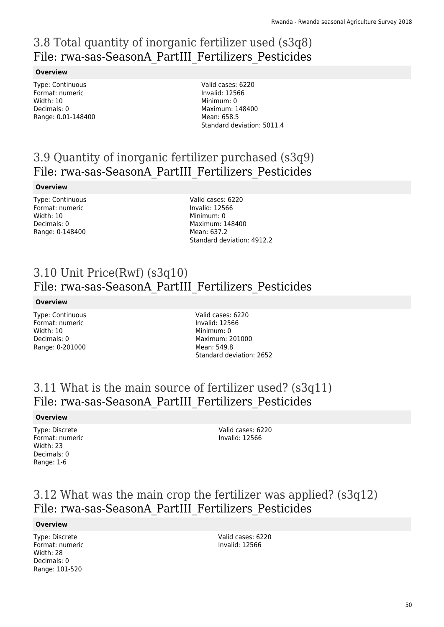# 3.8 Total quantity of inorganic fertilizer used (s3q8) File: rwa-sas-SeasonA\_PartIII\_Fertilizers\_Pesticides

### **Overview**

Type: Continuous Format: numeric Width: 10 Decimals: 0 Range: 0.01-148400

Valid cases: 6220 Invalid: 12566 Minimum: 0 Maximum: 148400 Mean: 658.5 Standard deviation: 5011.4

# 3.9 Quantity of inorganic fertilizer purchased (s3q9) File: rwa-sas-SeasonA\_PartIII\_Fertilizers\_Pesticides

### **Overview**

Type: Continuous Format: numeric Width: 10 Decimals: 0 Range: 0-148400

Valid cases: 6220 Invalid: 12566 Minimum: 0 Maximum: 148400 Mean: 637.2 Standard deviation: 4912.2

## 3.10 Unit Price(Rwf) (s3q10) File: rwa-sas-SeasonA\_PartIII\_Fertilizers\_Pesticides

### **Overview**

Type: Continuous Format: numeric Width: 10 Decimals: 0 Range: 0-201000 Valid cases: 6220 Invalid: 12566 Minimum: 0 Maximum: 201000 Mean: 549.8 Standard deviation: 2652

## 3.11 What is the main source of fertilizer used? (s3q11) File: rwa-sas-SeasonA\_PartIII\_Fertilizers\_Pesticides

## **Overview**

Type: Discrete Format: numeric Width: 23 Decimals: 0 Range: 1-6

Valid cases: 6220 Invalid: 12566

## 3.12 What was the main crop the fertilizer was applied? (s3q12) File: rwa-sas-SeasonA\_PartIII\_Fertilizers\_Pesticides

## **Overview**

Type: Discrete Format: numeric Width: 28 Decimals: 0 Range: 101-520

Valid cases: 6220 Invalid: 12566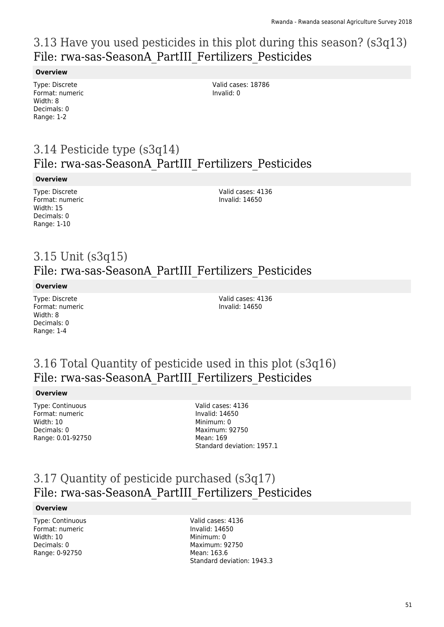# 3.13 Have you used pesticides in this plot during this season? (s3q13) File: rwa-sas-SeasonA\_PartIII\_Fertilizers\_Pesticides

**Overview**

Type: Discrete Format: numeric Width: 8 Decimals: 0 Range: 1-2

Valid cases: 18786 Invalid: 0

# 3.14 Pesticide type (s3q14) File: rwa-sas-SeasonA\_PartIII\_Fertilizers\_Pesticides

#### **Overview**

Type: Discrete Format: numeric Width: 15 Decimals: 0 Range: 1-10

Valid cases: 4136 Invalid: 14650

# 3.15 Unit (s3q15) File: rwa-sas-SeasonA\_PartIII\_Fertilizers\_Pesticides

#### **Overview**

Type: Discrete Format: numeric Width: 8 Decimals: 0 Range: 1-4

Valid cases: 4136 Invalid: 14650

## 3.16 Total Quantity of pesticide used in this plot (s3q16) File: rwa-sas-SeasonA\_PartIII\_Fertilizers\_Pesticides

#### **Overview**

Type: Continuous Format: numeric Width: 10 Decimals: 0 Range: 0.01-92750 Valid cases: 4136 Invalid: 14650 Minimum: 0 Maximum: 92750 Mean: 169 Standard deviation: 1957.1

# 3.17 Quantity of pesticide purchased (s3q17) File: rwa-sas-SeasonA\_PartIII\_Fertilizers\_Pesticides

#### **Overview**

Type: Continuous Format: numeric Width: 10 Decimals: 0 Range: 0-92750

Valid cases: 4136 Invalid: 14650 Minimum: 0 Maximum: 92750 Mean: 163.6 Standard deviation: 1943.3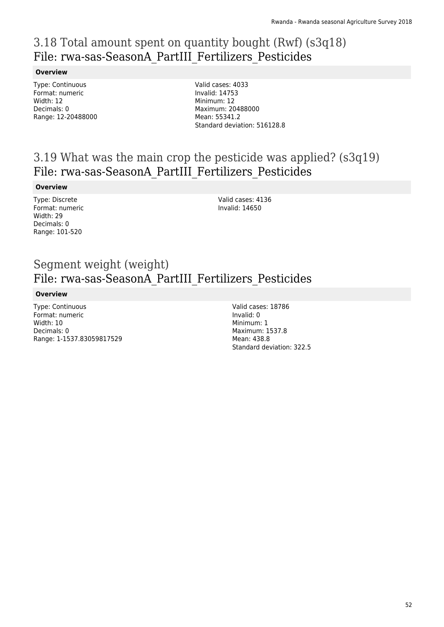# 3.18 Total amount spent on quantity bought (Rwf) (s3q18) File: rwa-sas-SeasonA\_PartIII\_Fertilizers\_Pesticides

### **Overview**

Type: Continuous Format: numeric Width: 12 Decimals: 0 Range: 12-20488000

Valid cases: 4033 Invalid: 14753 Minimum: 12 Maximum: 20488000 Mean: 55341.2 Standard deviation: 516128.8

# 3.19 What was the main crop the pesticide was applied? (s3q19) File: rwa-sas-SeasonA\_PartIII\_Fertilizers\_Pesticides

### **Overview**

Type: Discrete Format: numeric Width: 29 Decimals: 0 Range: 101-520

Valid cases: 4136 Invalid: 14650

## Segment weight (weight) File: rwa-sas-SeasonA\_PartIII\_Fertilizers\_Pesticides

### **Overview**

Type: Continuous Format: numeric Width: 10 Decimals: 0 Range: 1-1537.83059817529 Valid cases: 18786 Invalid: 0 Minimum: 1 Maximum: 1537.8 Mean: 438.8 Standard deviation: 322.5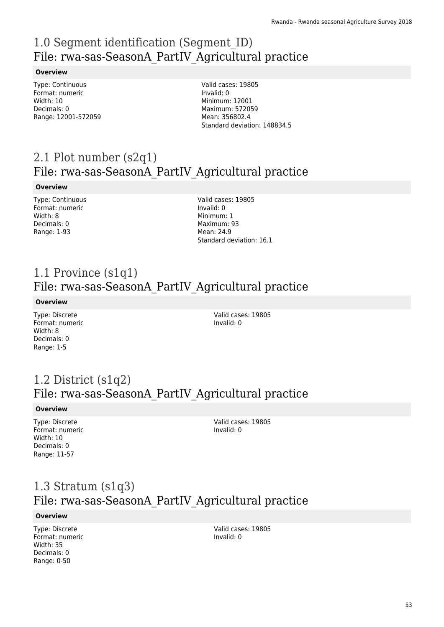# 1.0 Segment identification (Segment\_ID) File: rwa-sas-SeasonA\_PartIV\_Agricultural practice

### **Overview**

Type: Continuous Format: numeric Width: 10 Decimals: 0 Range: 12001-572059

Valid cases: 19805 Invalid: 0 Minimum: 12001 Maximum: 572059 Mean: 356802.4 Standard deviation: 148834.5

# 2.1 Plot number (s2q1) File: rwa-sas-SeasonA\_PartIV\_Agricultural practice

### **Overview**

Type: Continuous Format: numeric Width: 8 Decimals: 0 Range: 1-93

Valid cases: 19805 Invalid: 0 Minimum: 1 Maximum: 93 Mean: 24.9 Standard deviation: 16.1

# 1.1 Province (s1q1) File: rwa-sas-SeasonA\_PartIV\_Agricultural practice

### **Overview**

Type: Discrete Format: numeric Width: 8 Decimals: 0 Range: 1-5

Valid cases: 19805 Invalid: 0

## 1.2 District (s1q2) File: rwa-sas-SeasonA\_PartIV\_Agricultural practice

### **Overview**

Type: Discrete Format: numeric Width: 10 Decimals: 0 Range: 11-57

Valid cases: 19805 Invalid: 0

## 1.3 Stratum (s1q3) File: rwa-sas-SeasonA\_PartIV\_Agricultural practice

## **Overview**

Type: Discrete Format: numeric Width: 35 Decimals: 0 Range: 0-50

Valid cases: 19805 Invalid: 0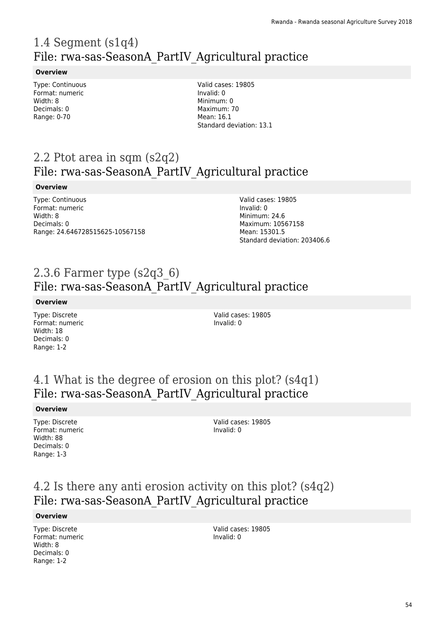# 1.4 Segment (s1q4) File: rwa-sas-SeasonA\_PartIV\_Agricultural practice

### **Overview**

Type: Continuous Format: numeric Width: 8 Decimals: 0 Range: 0-70

Valid cases: 19805 Invalid: 0 Minimum: 0 Maximum: 70 Mean: 16.1 Standard deviation: 13.1

# 2.2 Ptot area in sqm (s2q2) File: rwa-sas-SeasonA\_PartIV\_Agricultural practice

### **Overview**

Type: Continuous Format: numeric Width: 8 Decimals: 0 Range: 24.646728515625-10567158

Valid cases: 19805 Invalid: 0 Minimum: 24.6 Maximum: 10567158 Mean: 15301.5 Standard deviation: 203406.6

## 2.3.6 Farmer type (s2q3\_6) File: rwa-sas-SeasonA\_PartIV\_Agricultural practice

### **Overview**

Type: Discrete Format: numeric Width: 18 Decimals: 0 Range: 1-2

Valid cases: 19805 Invalid: 0

## 4.1 What is the degree of erosion on this plot? (s4q1) File: rwa-sas-SeasonA\_PartIV\_Agricultural practice

### **Overview**

Type: Discrete Format: numeric Width: 88 Decimals: 0 Range: 1-3

Valid cases: 19805 Invalid: 0

## 4.2 Is there any anti erosion activity on this plot? (s4q2) File: rwa-sas-SeasonA\_PartIV\_Agricultural practice

## **Overview**

Type: Discrete Format: numeric Width: 8 Decimals: 0 Range: 1-2

Valid cases: 19805 Invalid: 0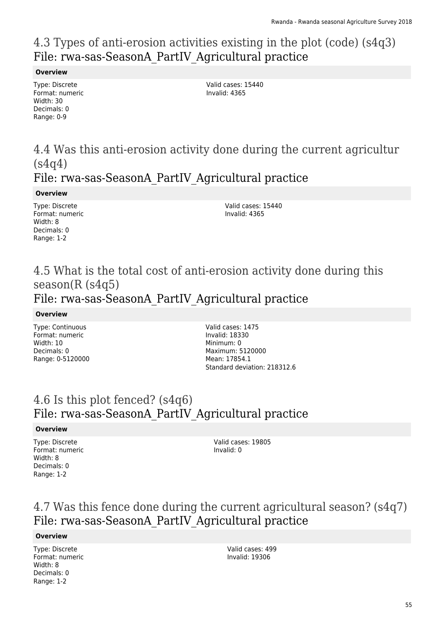# 4.3 Types of anti-erosion activities existing in the plot (code) (s4q3) File: rwa-sas-SeasonA\_PartIV\_Agricultural practice

### **Overview**

Type: Discrete Format: numeric Width: 30 Decimals: 0 Range: 0-9

Valid cases: 15440 Invalid: 4365

# 4.4 Was this anti-erosion activity done during the current agricultur  $(s4q4)$

# File: rwa-sas-SeasonA\_PartIV\_Agricultural practice

## **Overview**

Type: Discrete Format: numeric Width: 8 Decimals: 0 Range: 1-2

Valid cases: 15440 Invalid: 4365

# 4.5 What is the total cost of anti-erosion activity done during this season(R (s4q5)

# File: rwa-sas-SeasonA\_PartIV\_Agricultural practice

### **Overview**

Type: Continuous Format: numeric Width: 10 Decimals: 0 Range: 0-5120000

Valid cases: 1475 Invalid: 18330 Minimum: 0 Maximum: 5120000 Mean: 17854.1 Standard deviation: 218312.6

# 4.6 Is this plot fenced? (s4q6) File: rwa-sas-SeasonA\_PartIV\_Agricultural practice

## **Overview**

Type: Discrete Format: numeric Width: 8 Decimals: 0 Range: 1-2

Valid cases: 19805 Invalid: 0

## 4.7 Was this fence done during the current agricultural season? (s4q7) File: rwa-sas-SeasonA\_PartIV\_Agricultural practice

## **Overview**

Type: Discrete Format: numeric Width: 8 Decimals: 0 Range: 1-2

Valid cases: 499 Invalid: 19306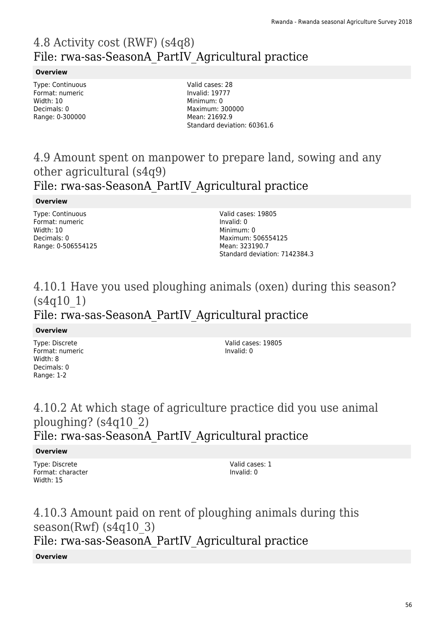# 4.8 Activity cost (RWF) (s4q8) File: rwa-sas-SeasonA\_PartIV\_Agricultural practice

### **Overview**

Type: Continuous Format: numeric Width: 10 Decimals: 0 Range: 0-300000 Valid cases: 28 Invalid: 19777 Minimum: 0 Maximum: 300000 Mean: 21692.9 Standard deviation: 60361.6

## 4.9 Amount spent on manpower to prepare land, sowing and any other agricultural (s4q9) File: rwa-sas-SeasonA\_PartIV\_Agricultural practice

### **Overview**

Type: Continuous Format: numeric Width: 10 Decimals: 0 Range: 0-506554125 Valid cases: 19805 Invalid: 0 Minimum: 0 Maximum: 506554125 Mean: 323190.7 Standard deviation: 7142384.3

# 4.10.1 Have you used ploughing animals (oxen) during this season?  $(s4q101)$

# File: rwa-sas-SeasonA\_PartIV\_Agricultural practice

## **Overview**

Type: Discrete Format: numeric Width: 8 Decimals: 0 Range: 1-2

Valid cases: 19805 Invalid: 0

## 4.10.2 At which stage of agriculture practice did you use animal ploughing? (s4q10\_2) File: rwa-sas-SeasonA\_PartIV\_Agricultural practice

## **Overview**

Type: Discrete Format: character Width: 15

Valid cases: 1 Invalid: 0

4.10.3 Amount paid on rent of ploughing animals during this season(Rwf) (s4q10\_3) File: rwa-sas-SeasonA\_PartIV\_Agricultural practice

## **Overview**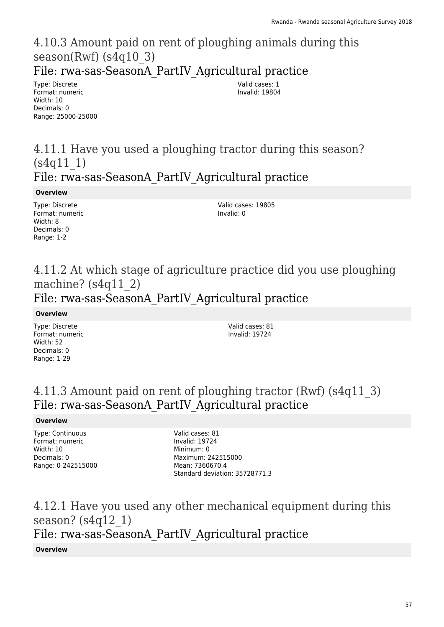# 4.10.3 Amount paid on rent of ploughing animals during this season(Rwf) (s4q10\_3)

File: rwa-sas-SeasonA\_PartIV\_Agricultural practice

Type: Discrete Format: numeric Width: 10 Decimals: 0 Range: 25000-25000

Valid cases: 1 Invalid: 19804

## 4.11.1 Have you used a ploughing tractor during this season?  $(s4q111)$ File: rwa-sas-SeasonA\_PartIV\_Agricultural practice

### **Overview**

Type: Discrete Format: numeric Width: 8 Decimals: 0 Range: 1-2

Valid cases: 19805 Invalid: 0

## 4.11.2 At which stage of agriculture practice did you use ploughing machine?  $(s4q11\ 2)$ File: rwa-sas-SeasonA\_PartIV\_Agricultural practice

### **Overview**

Type: Discrete Format: numeric Width: 52 Decimals: 0 Range: 1-29

Valid cases: 81 Invalid: 19724

## 4.11.3 Amount paid on rent of ploughing tractor (Rwf) (s4q11\_3) File: rwa-sas-SeasonA\_PartIV\_Agricultural practice

### **Overview**

Type: Continuous Format: numeric Width: 10 Decimals: 0 Range: 0-242515000 Valid cases: 81 Invalid: 19724 Minimum: 0 Maximum: 242515000 Mean: 7360670.4 Standard deviation: 35728771.3

4.12.1 Have you used any other mechanical equipment during this season? (s4q12\_1) File: rwa-sas-SeasonA\_PartIV\_Agricultural practice **Overview**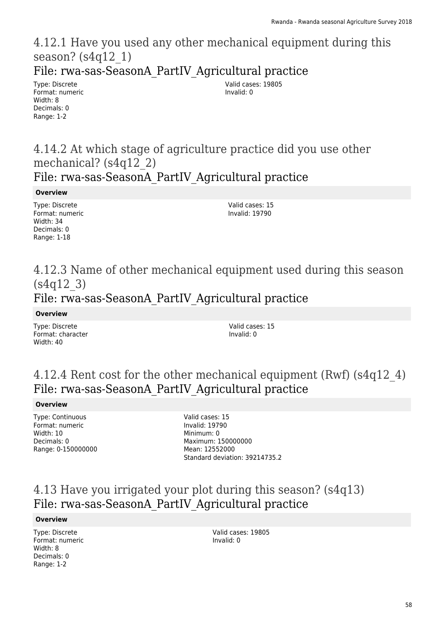# 4.12.1 Have you used any other mechanical equipment during this season? (s4q12\_1)

File: rwa-sas-SeasonA\_PartIV\_Agricultural practice

Type: Discrete Format: numeric Width: 8 Decimals: 0 Range: 1-2

Valid cases: 19805 Invalid: 0

# 4.14.2 At which stage of agriculture practice did you use other mechanical? (s4q12\_2)

## File: rwa-sas-SeasonA\_PartIV\_Agricultural practice

## **Overview**

Type: Discrete Format: numeric Width: 34 Decimals: 0 Range: 1-18

Valid cases: 15 Invalid: 19790

# 4.12.3 Name of other mechanical equipment used during this season (s4q12\_3)

# File: rwa-sas-SeasonA\_PartIV\_Agricultural practice

## **Overview**

Type: Discrete Format: character Width: 40

Valid cases: 15 Invalid: 0

## 4.12.4 Rent cost for the other mechanical equipment (Rwf) (s4q12\_4) File: rwa-sas-SeasonA\_PartIV\_Agricultural practice

## **Overview**

Type: Continuous Format: numeric Width: 10 Decimals: 0 Range: 0-150000000

Valid cases: 15 Invalid: 19790 Minimum: 0 Maximum: 150000000 Mean: 12552000 Standard deviation: 39214735.2

## 4.13 Have you irrigated your plot during this season? (s4q13) File: rwa-sas-SeasonA\_PartIV\_Agricultural practice

## **Overview**

Type: Discrete Format: numeric Width: 8 Decimals: 0 Range: 1-2

Valid cases: 19805 Invalid: 0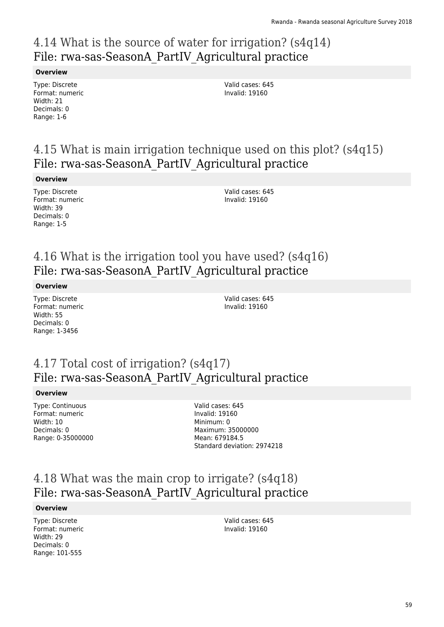# 4.14 What is the source of water for irrigation? (s4q14) File: rwa-sas-SeasonA\_PartIV\_Agricultural practice

#### **Overview**

Type: Discrete Format: numeric Width: 21 Decimals: 0 Range: 1-6

Valid cases: 645 Invalid: 19160

## 4.15 What is main irrigation technique used on this plot? (s4q15) File: rwa-sas-SeasonA\_PartIV\_Agricultural practice

**Overview**

Type: Discrete Format: numeric Width: 39 Decimals: 0 Range: 1-5

Valid cases: 645 Invalid: 19160

# 4.16 What is the irrigation tool you have used? (s4q16) File: rwa-sas-SeasonA\_PartIV\_Agricultural practice

**Overview**

Type: Discrete Format: numeric Width: 55 Decimals: 0 Range: 1-3456

Valid cases: 645 Invalid: 19160

## 4.17 Total cost of irrigation? (s4q17) File: rwa-sas-SeasonA\_PartIV\_Agricultural practice

#### **Overview**

Type: Continuous Format: numeric Width: 10 Decimals: 0 Range: 0-35000000 Valid cases: 645 Invalid: 19160 Minimum: 0 Maximum: 35000000 Mean: 679184.5 Standard deviation: 2974218

## 4.18 What was the main crop to irrigate? (s4q18) File: rwa-sas-SeasonA\_PartIV\_Agricultural practice

#### **Overview**

Type: Discrete Format: numeric Width: 29 Decimals: 0 Range: 101-555

Valid cases: 645 Invalid: 19160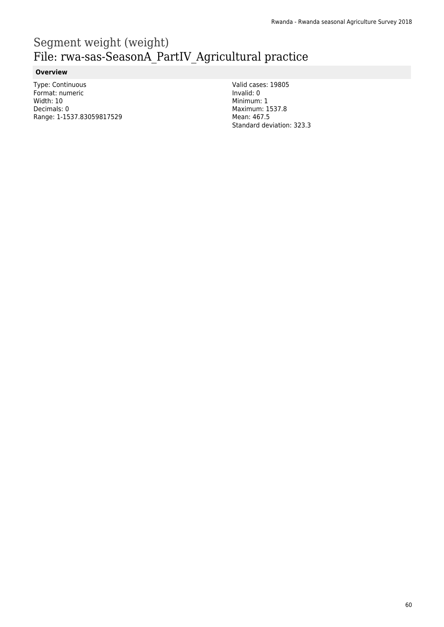# Segment weight (weight) File: rwa-sas-SeasonA\_PartIV\_Agricultural practice

## **Overview**

Type: Continuous Format: numeric Width: 10 Decimals: 0 Range: 1-1537.83059817529

Valid cases: 19805 Invalid: 0 Minimum: 1 Maximum: 1537.8 Mean: 467.5 Standard deviation: 323.3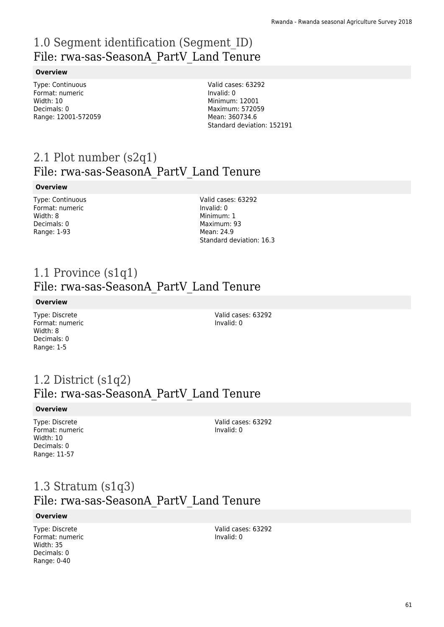# 1.0 Segment identification (Segment\_ID) File: rwa-sas-SeasonA\_PartV\_Land Tenure

#### **Overview**

Type: Continuous Format: numeric Width: 10 Decimals: 0 Range: 12001-572059 Valid cases: 63292 Invalid: 0 Minimum: 12001 Maximum: 572059 Mean: 360734.6 Standard deviation: 152191

## 2.1 Plot number (s2q1) File: rwa-sas-SeasonA\_PartV\_Land Tenure

#### **Overview**

Type: Continuous Format: numeric Width: 8 Decimals: 0 Range: 1-93

Valid cases: 63292 Invalid: 0 Minimum: 1 Maximum: 93 Mean: 24.9 Standard deviation: 16.3

## 1.1 Province (s1q1) File: rwa-sas-SeasonA\_PartV\_Land Tenure

#### **Overview**

Type: Discrete Format: numeric Width: 8 Decimals: 0 Range: 1-5

Valid cases: 63292 Invalid: 0

## 1.2 District (s1q2) File: rwa-sas-SeasonA\_PartV\_Land Tenure

#### **Overview**

Type: Discrete Format: numeric Width: 10 Decimals: 0 Range: 11-57

Valid cases: 63292 Invalid: 0

## 1.3 Stratum (s1q3) File: rwa-sas-SeasonA\_PartV\_Land Tenure

### **Overview**

Type: Discrete Format: numeric Width: 35 Decimals: 0 Range: 0-40

Valid cases: 63292 Invalid: 0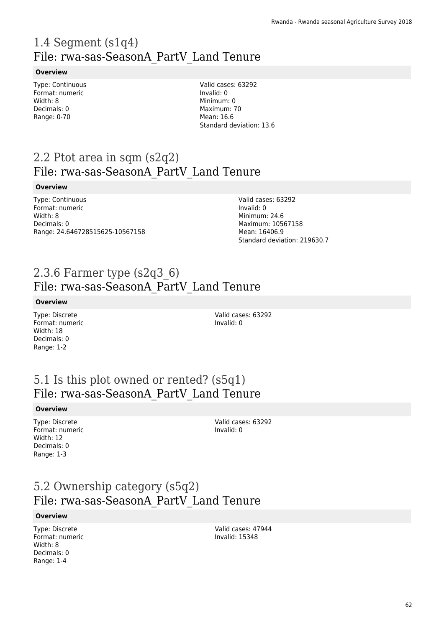# 1.4 Segment (s1q4) File: rwa-sas-SeasonA\_PartV\_Land Tenure

### **Overview**

Type: Continuous Format: numeric Width: 8 Decimals: 0 Range: 0-70

Valid cases: 63292 Invalid: 0 Minimum: 0 Maximum: 70 Mean: 16.6 Standard deviation: 13.6

# 2.2 Ptot area in sqm (s2q2) File: rwa-sas-SeasonA\_PartV\_Land Tenure

### **Overview**

Type: Continuous Format: numeric Width: 8 Decimals: 0 Range: 24.646728515625-10567158

Valid cases: 63292 Invalid: 0 Minimum: 24.6 Maximum: 10567158 Mean: 16406.9 Standard deviation: 219630.7

## 2.3.6 Farmer type (s2q3\_6) File: rwa-sas-SeasonA\_PartV\_Land Tenure

### **Overview**

Type: Discrete Format: numeric Width: 18 Decimals: 0 Range: 1-2

Valid cases: 63292 Invalid: 0

## 5.1 Is this plot owned or rented? (s5q1) File: rwa-sas-SeasonA\_PartV\_Land Tenure

### **Overview**

Type: Discrete Format: numeric Width: 12 Decimals: 0 Range: 1-3

Valid cases: 63292 Invalid: 0

## 5.2 Ownership category (s5q2) File: rwa-sas-SeasonA\_PartV\_Land Tenure

### **Overview**

Type: Discrete Format: numeric Width: 8 Decimals: 0 Range: 1-4

Valid cases: 47944 Invalid: 15348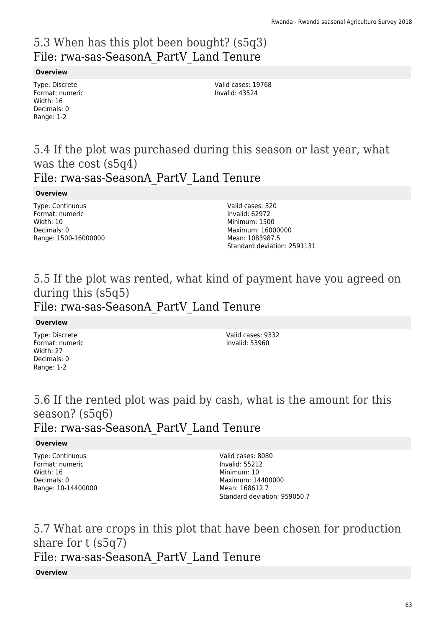# 5.3 When has this plot been bought? (s5q3) File: rwa-sas-SeasonA\_PartV\_Land Tenure

### **Overview**

Type: Discrete Format: numeric Width: 16 Decimals: 0 Range: 1-2

Valid cases: 19768 Invalid: 43524

5.4 If the plot was purchased during this season or last year, what was the cost (s5q4)

## File: rwa-sas-SeasonA\_PartV\_Land Tenure

### **Overview**

Type: Continuous Format: numeric Width: 10 Decimals: 0 Range: 1500-16000000 Valid cases: 320 Invalid: 62972 Minimum: 1500 Maximum: 16000000 Mean: 1083987.5 Standard deviation: 2591131

# 5.5 If the plot was rented, what kind of payment have you agreed on during this (s5q5)

## File: rwa-sas-SeasonA\_PartV\_Land Tenure

## **Overview**

Type: Discrete Format: numeric Width: 27 Decimals: 0 Range: 1-2

Valid cases: 9332 Invalid: 53960

## 5.6 If the rented plot was paid by cash, what is the amount for this season? (s5q6) File: rwa-sas-SeasonA\_PartV\_Land Tenure

## **Overview**

Type: Continuous Format: numeric Width: 16 Decimals: 0 Range: 10-14400000 Valid cases: 8080 Invalid: 55212 Minimum: 10 Maximum: 14400000 Mean: 168612.7 Standard deviation: 959050.7

5.7 What are crops in this plot that have been chosen for production share for t (s5q7) File: rwa-sas-SeasonA\_PartV\_Land Tenure

### **Overview**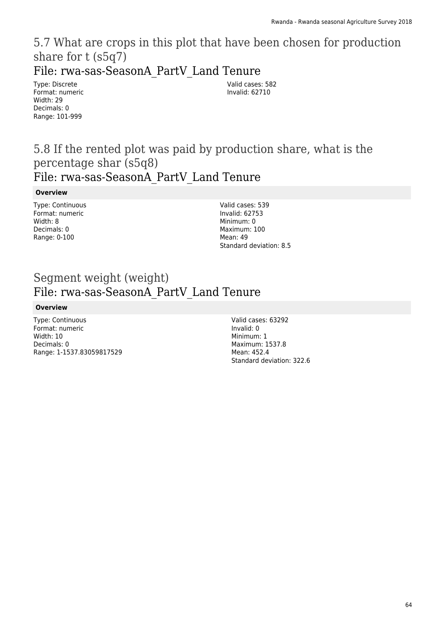# 5.7 What are crops in this plot that have been chosen for production share for t (s5q7)

File: rwa-sas-SeasonA\_PartV\_Land Tenure

Type: Discrete Format: numeric Width: 29 Decimals: 0 Range: 101-999

Valid cases: 582 Invalid: 62710

## 5.8 If the rented plot was paid by production share, what is the percentage shar (s5q8) File: rwa-sas-SeasonA\_PartV\_Land Tenure

### **Overview**

Type: Continuous Format: numeric Width: 8 Decimals: 0 Range: 0-100

Valid cases: 539 Invalid: 62753 Minimum: 0 Maximum: 100 Mean: 49 Standard deviation: 8.5

## Segment weight (weight) File: rwa-sas-SeasonA\_PartV\_Land Tenure

### **Overview**

Type: Continuous Format: numeric Width: 10 Decimals: 0 Range: 1-1537.83059817529 Valid cases: 63292 Invalid: 0 Minimum: 1 Maximum: 1537.8 Mean: 452.4 Standard deviation: 322.6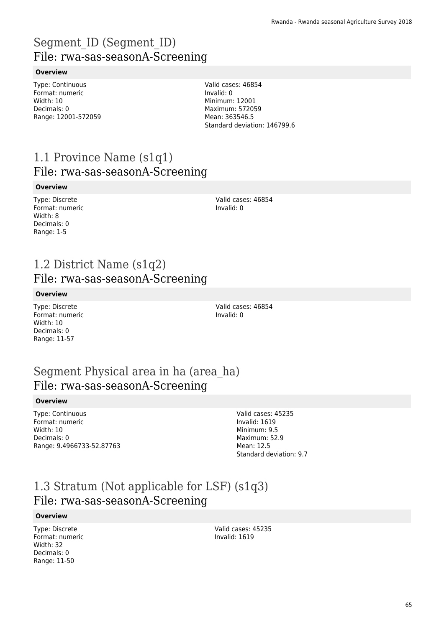# Segment\_ID (Segment\_ID) File: rwa-sas-seasonA-Screening

#### **Overview**

Type: Continuous Format: numeric Width: 10 Decimals: 0 Range: 12001-572059 Valid cases: 46854 Invalid: 0 Minimum: 12001 Maximum: 572059 Mean: 363546.5 Standard deviation: 146799.6

# 1.1 Province Name (s1q1) File: rwa-sas-seasonA-Screening

#### **Overview**

Type: Discrete Format: numeric Width: 8 Decimals: 0 Range: 1-5

Valid cases: 46854 Invalid: 0

## 1.2 District Name (s1q2) File: rwa-sas-seasonA-Screening

### **Overview**

Type: Discrete Format: numeric Width: 10 Decimals: 0 Range: 11-57

Valid cases: 46854 Invalid: 0

## Segment Physical area in ha (area\_ha) File: rwa-sas-seasonA-Screening

#### **Overview**

Type: Continuous Format: numeric Width: 10 Decimals: 0 Range: 9.4966733-52.87763 Valid cases: 45235 Invalid: 1619 Minimum: 9.5 Maximum: 52.9 Mean: 12.5 Standard deviation: 9.7

## 1.3 Stratum (Not applicable for LSF) (s1q3) File: rwa-sas-seasonA-Screening

### **Overview**

Type: Discrete Format: numeric Width: 32 Decimals: 0 Range: 11-50

Valid cases: 45235 Invalid: 1619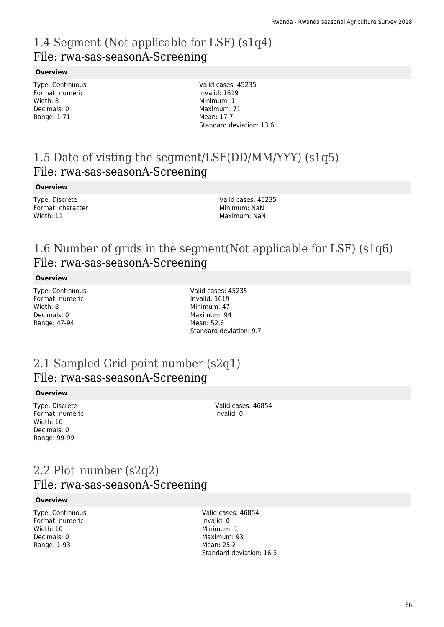# 1.4 Segment (Not applicable for LSF) (s1q4) File: rwa-sas-seasonA-Screening

#### **Overview**

Type: Continuous Format: numeric Width: 8 Decimals: 0 Range: 1-71

Valid cases: 45235 Invalid: 1619 Minimum: 1 Maximum: 71 Mean: 17.7 Standard deviation: 13.6

# 1.5 Date of visting the segment/LSF(DD/MM/YYY) (s1q5) File: rwa-sas-seasonA-Screening

#### **Overview**

Type: Discrete Format: character Width: 11

Valid cases: 45235 Minimum: NaN Maximum: NaN

# 1.6 Number of grids in the segment(Not applicable for LSF) (s1q6) File: rwa-sas-seasonA-Screening

### **Overview**

Type: Continuous Format: numeric Width: 8 Decimals: 0 Range: 47-94

Valid cases: 45235 Invalid: 1619 Minimum: 47 Maximum: 94 Mean: 52.6 Standard deviation: 9.7

# 2.1 Sampled Grid point number (s2q1) File: rwa-sas-seasonA-Screening

### **Overview**

Type: Discrete Format: numeric Width: 10 Decimals: 0 Range: 99-99

Valid cases: 46854 Invalid: 0

## 2.2 Plot\_number (s2q2) File: rwa-sas-seasonA-Screening

### **Overview**

Type: Continuous Format: numeric Width: 10 Decimals: 0 Range: 1-93

Valid cases: 46854 Invalid: 0 Minimum: 1 Maximum: 93 Mean: 25.2 Standard deviation: 16.3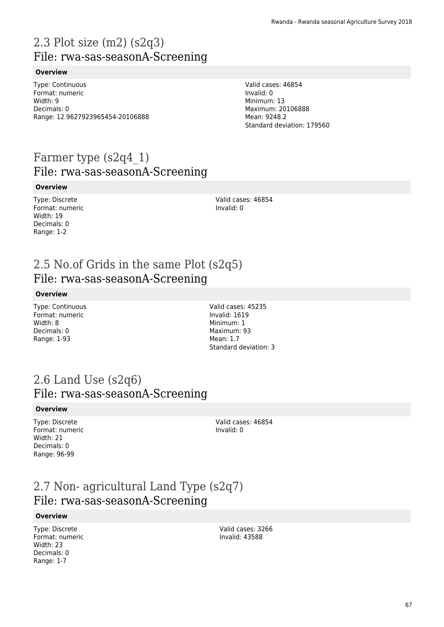## 2.3 Plot size (m2) (s2q3) File: rwa-sas-seasonA-Screening

#### **Overview**

Type: Continuous Format: numeric Width: 9 Decimals: 0 Range: 12.9627923965454-20106888 Valid cases: 46854 Invalid: 0 Minimum: 13 Maximum: 20106888 Mean: 9248.2 Standard deviation: 179560

## Farmer type (s2q4\_1) File: rwa-sas-seasonA-Screening

#### **Overview**

Type: Discrete Format: numeric Width: 19 Decimals: 0 Range: 1-2

Valid cases: 46854 Invalid: 0

## 2.5 No.of Grids in the same Plot (s2q5) File: rwa-sas-seasonA-Screening

#### **Overview**

Type: Continuous Format: numeric Width: 8 Decimals: 0 Range: 1-93

Valid cases: 45235 Invalid: 1619 Minimum: 1 Maximum: 93 Mean: 1.7 Standard deviation: 3

## 2.6 Land Use (s2q6) File: rwa-sas-seasonA-Screening

#### **Overview**

Type: Discrete Format: numeric Width: 21 Decimals: 0 Range: 96-99

Valid cases: 46854 Invalid: 0

## 2.7 Non- agricultural Land Type (s2q7) File: rwa-sas-seasonA-Screening

#### **Overview**

Type: Discrete Format: numeric Width: 23 Decimals: 0 Range: 1-7

Valid cases: 3266 Invalid: 43588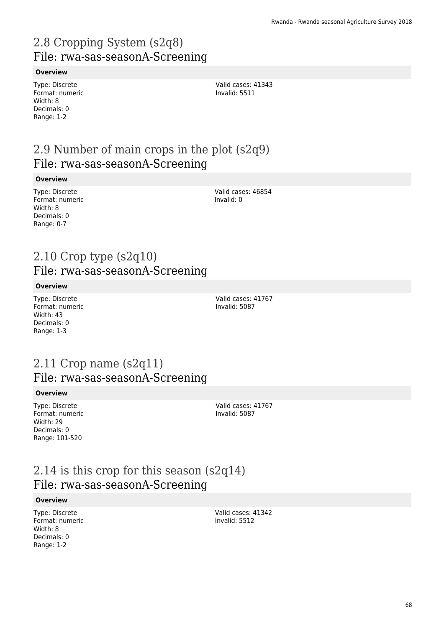# 2.8 Cropping System (s2q8) File: rwa-sas-seasonA-Screening

## **Overview**

Type: Discrete Format: numeric Width: 8 Decimals: 0 Range: 1-2

Valid cases: 41343 Invalid: 5511

# 2.9 Number of main crops in the plot (s2q9) File: rwa-sas-seasonA-Screening

#### **Overview**

Type: Discrete Format: numeric Width: 8 Decimals: 0 Range: 0-7

Valid cases: 46854 Invalid: 0

# 2.10 Crop type (s2q10) File: rwa-sas-seasonA-Screening

### **Overview**

Type: Discrete Format: numeric Width: 43 Decimals: 0 Range: 1-3

Valid cases: 41767 Invalid: 5087

## 2.11 Crop name (s2q11) File: rwa-sas-seasonA-Screening

### **Overview**

Type: Discrete Format: numeric Width: 29 Decimals: 0 Range: 101-520

Valid cases: 41767 Invalid: 5087

## 2.14 is this crop for this season (s2q14) File: rwa-sas-seasonA-Screening

### **Overview**

Type: Discrete Format: numeric Width: 8 Decimals: 0 Range: 1-2

Valid cases: 41342 Invalid: 5512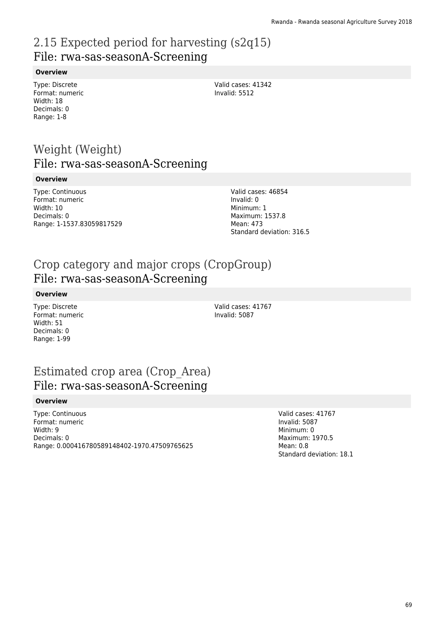# 2.15 Expected period for harvesting (s2q15) File: rwa-sas-seasonA-Screening

#### **Overview**

Type: Discrete Format: numeric Width: 18 Decimals: 0 Range: 1-8

Valid cases: 41342 Invalid: 5512

# Weight (Weight) File: rwa-sas-seasonA-Screening

#### **Overview**

Type: Continuous Format: numeric Width: 10 Decimals: 0 Range: 1-1537.83059817529

Valid cases: 46854 Invalid: 0 Minimum: 1 Maximum: 1537.8 Mean: 473 Standard deviation: 316.5

## Crop category and major crops (CropGroup) File: rwa-sas-seasonA-Screening

#### **Overview**

Type: Discrete Format: numeric Width: 51 Decimals: 0 Range: 1-99

Valid cases: 41767 Invalid: 5087

## Estimated crop area (Crop\_Area) File: rwa-sas-seasonA-Screening

#### **Overview**

Type: Continuous Format: numeric Width: 9 Decimals: 0 Range: 0.000416780589148402-1970.47509765625 Valid cases: 41767 Invalid: 5087 Minimum: 0 Maximum: 1970.5 Mean: 0.8 Standard deviation: 18.1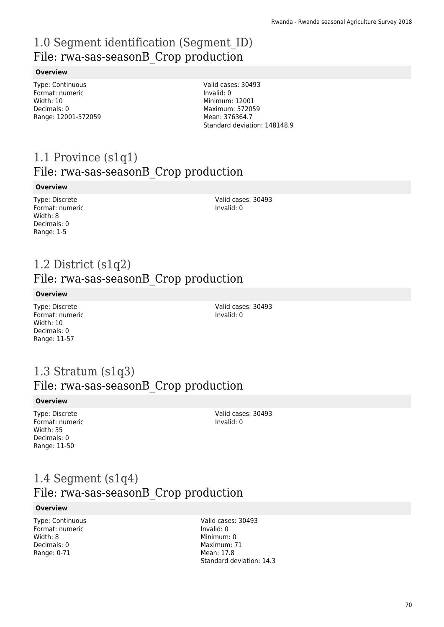## 1.0 Segment identification (Segment\_ID) File: rwa-sas-seasonB\_Crop production

#### **Overview**

Type: Continuous Format: numeric Width: 10 Decimals: 0 Range: 12001-572059 Valid cases: 30493 Invalid: 0 Minimum: 12001 Maximum: 572059 Mean: 376364.7 Standard deviation: 148148.9

# 1.1 Province (s1q1) File: rwa-sas-seasonB\_Crop production

#### **Overview**

Type: Discrete Format: numeric Width: 8 Decimals: 0 Range: 1-5

Valid cases: 30493 Invalid: 0

## 1.2 District (s1q2) File: rwa-sas-seasonB\_Crop production

#### **Overview**

Type: Discrete Format: numeric Width: 10 Decimals: 0 Range: 11-57

Valid cases: 30493 Invalid: 0

## 1.3 Stratum (s1q3) File: rwa-sas-seasonB\_Crop production

#### **Overview**

Type: Discrete Format: numeric Width: 35 Decimals: 0 Range: 11-50

Valid cases: 30493 Invalid: 0

# 1.4 Segment (s1q4) File: rwa-sas-seasonB\_Crop production

#### **Overview**

Type: Continuous Format: numeric Width: 8 Decimals: 0 Range: 0-71

Valid cases: 30493 Invalid: 0 Minimum: 0 Maximum: 71 Mean: 17.8 Standard deviation: 14.3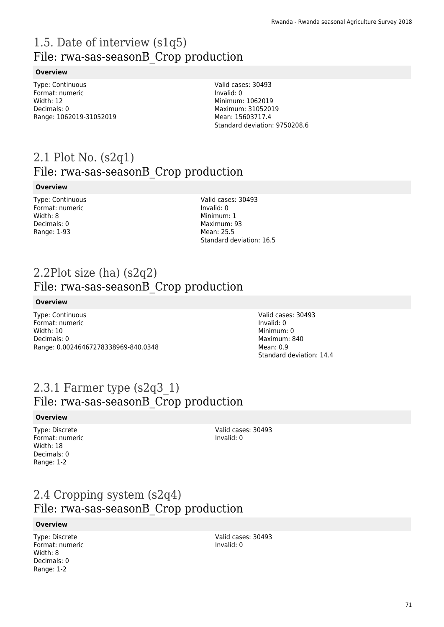# 1.5. Date of interview (s1q5) File: rwa-sas-seasonB\_Crop production

#### **Overview**

Type: Continuous Format: numeric Width: 12 Decimals: 0 Range: 1062019-31052019

Valid cases: 30493 Invalid: 0 Minimum: 1062019 Maximum: 31052019 Mean: 15603717.4 Standard deviation: 9750208.6

# 2.1 Plot No. (s2q1) File: rwa-sas-seasonB\_Crop production

#### **Overview**

Type: Continuous Format: numeric Width: 8 Decimals: 0 Range: 1-93

Valid cases: 30493 Invalid: 0 Minimum: 1 Maximum: 93 Mean: 25.5 Standard deviation: 16.5

# 2.2Plot size (ha) (s2q2) File: rwa-sas-seasonB\_Crop production

#### **Overview**

Type: Continuous Format: numeric Width: 10 Decimals: 0 Range: 0.00246467278338969-840.0348 Valid cases: 30493 Invalid: 0 Minimum: 0 Maximum: 840 Mean: 0.9 Standard deviation: 14.4

## 2.3.1 Farmer type (s2q3\_1) File: rwa-sas-seasonB\_Crop production

### **Overview**

Type: Discrete Format: numeric Width: 18 Decimals: 0 Range: 1-2

Valid cases: 30493 Invalid: 0

## 2.4 Cropping system (s2q4) File: rwa-sas-seasonB\_Crop production

### **Overview**

Type: Discrete Format: numeric Width: 8 Decimals: 0 Range: 1-2

Valid cases: 30493 Invalid: 0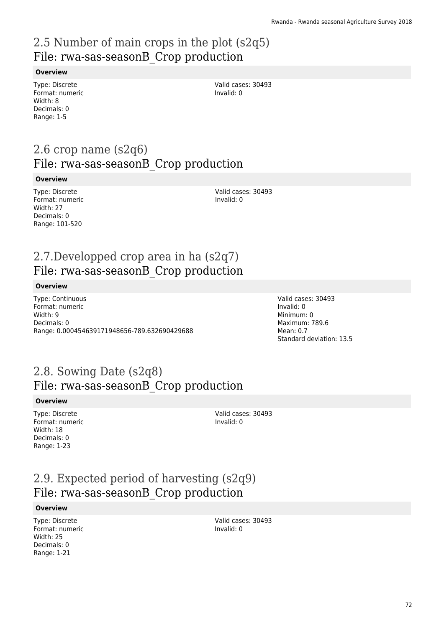# 2.5 Number of main crops in the plot (s2q5) File: rwa-sas-seasonB\_Crop production

#### **Overview**

Type: Discrete Format: numeric Width: 8 Decimals: 0 Range: 1-5

Valid cases: 30493 Invalid: 0

# 2.6 crop name (s2q6) File: rwa-sas-seasonB\_Crop production

#### **Overview**

Type: Discrete Format: numeric Width: 27 Decimals: 0 Range: 101-520

Valid cases: 30493 Invalid: 0

## 2.7.Developped crop area in ha (s2q7) File: rwa-sas-seasonB\_Crop production

#### **Overview**

Type: Continuous Format: numeric Width: 9 Decimals: 0 Range: 0.000454639171948656-789.632690429688

Valid cases: 30493 Invalid: 0 Minimum: 0 Maximum: 789.6 Mean: 0.7 Standard deviation: 13.5

## 2.8. Sowing Date (s2q8) File: rwa-sas-seasonB\_Crop production

#### **Overview**

Type: Discrete Format: numeric Width: 18 Decimals: 0 Range: 1-23

Valid cases: 30493 Invalid: 0

## 2.9. Expected period of harvesting (s2q9) File: rwa-sas-seasonB\_Crop production

#### **Overview**

Type: Discrete Format: numeric Width: 25 Decimals: 0 Range: 1-21

Valid cases: 30493 Invalid: 0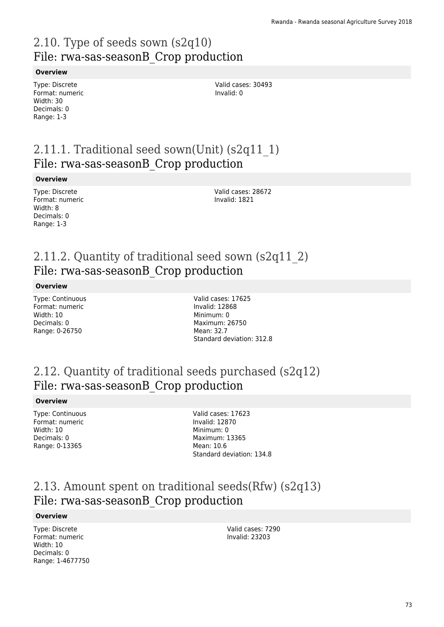# 2.10. Type of seeds sown (s2q10) File: rwa-sas-seasonB\_Crop production

### **Overview**

Type: Discrete Format: numeric Width: 30 Decimals: 0 Range: 1-3

Valid cases: 30493 Invalid: 0

# 2.11.1. Traditional seed sown(Unit) (s2q11\_1) File: rwa-sas-seasonB\_Crop production

### **Overview**

Type: Discrete Format: numeric Width: 8 Decimals: 0 Range: 1-3

Valid cases: 28672 Invalid: 1821

# 2.11.2. Quantity of traditional seed sown (s2q11\_2) File: rwa-sas-seasonB\_Crop production

### **Overview**

Type: Continuous Format: numeric Width: 10 Decimals: 0 Range: 0-26750

Valid cases: 17625 Invalid: 12868 Minimum: 0 Maximum: 26750 Mean: 32.7 Standard deviation: 312.8

# 2.12. Quantity of traditional seeds purchased (s2q12) File: rwa-sas-seasonB\_Crop production

#### **Overview**

Type: Continuous Format: numeric Width: 10 Decimals: 0 Range: 0-13365

Valid cases: 17623 Invalid: 12870 Minimum: 0 Maximum: 13365 Mean: 10.6 Standard deviation: 134.8

## 2.13. Amount spent on traditional seeds(Rfw) (s2q13) File: rwa-sas-seasonB\_Crop production

### **Overview**

Type: Discrete Format: numeric Width: 10 Decimals: 0 Range: 1-4677750 Valid cases: 7290 Invalid: 23203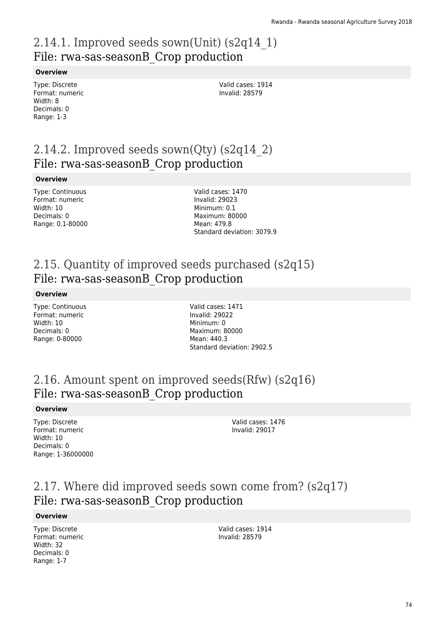# 2.14.1. Improved seeds sown(Unit) (s2q14\_1) File: rwa-sas-seasonB\_Crop production

### **Overview**

Type: Discrete Format: numeric Width: 8 Decimals: 0 Range: 1-3

Valid cases: 1914 Invalid: 28579

# 2.14.2. Improved seeds sown $(Qtv)$  (s2q14\_2) File: rwa-sas-seasonB\_Crop production

### **Overview**

Type: Continuous Format: numeric Width: 10 Decimals: 0 Range: 0.1-80000

Valid cases: 1470 Invalid: 29023 Minimum: 0.1 Maximum: 80000 Mean: 479.8 Standard deviation: 3079.9

## 2.15. Quantity of improved seeds purchased (s2q15) File: rwa-sas-seasonB\_Crop production

### **Overview**

Type: Continuous Format: numeric Width: 10 Decimals: 0 Range: 0-80000

Valid cases: 1471 Invalid: 29022 Minimum: 0 Maximum: 80000 Mean: 440.3 Standard deviation: 2902.5

## 2.16. Amount spent on improved seeds(Rfw) (s2q16) File: rwa-sas-seasonB\_Crop production

#### **Overview**

Type: Discrete Format: numeric Width: 10 Decimals: 0 Range: 1-36000000 Valid cases: 1476 Invalid: 29017

## 2.17. Where did improved seeds sown come from? (s2q17) File: rwa-sas-seasonB\_Crop production

### **Overview**

Type: Discrete Format: numeric Width: 32 Decimals: 0 Range: 1-7

Valid cases: 1914 Invalid: 28579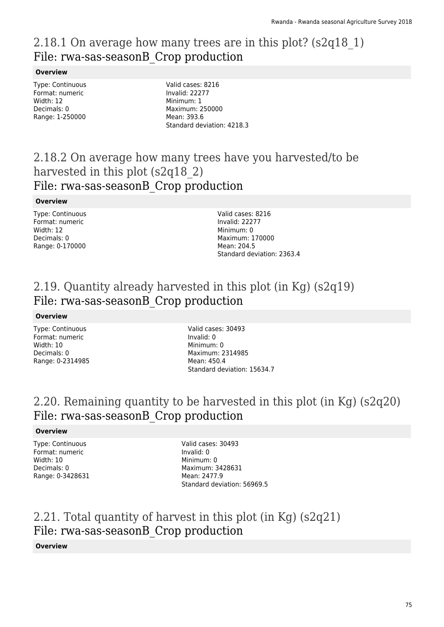# 2.18.1 On average how many trees are in this plot? (s2q18\_1) File: rwa-sas-seasonB\_Crop production

### **Overview**

Type: Continuous Format: numeric Width: 12 Decimals: 0 Range: 1-250000

Valid cases: 8216 Invalid: 22277 Minimum: 1 Maximum: 250000 Mean: 393.6 Standard deviation: 4218.3

## 2.18.2 On average how many trees have you harvested/to be harvested in this plot (s2q18\_2) File: rwa-sas-seasonB\_Crop production

### **Overview**

Type: Continuous Format: numeric Width: 12 Decimals: 0 Range: 0-170000

Valid cases: 8216 Invalid: 22277 Minimum: 0 Maximum: 170000 Mean: 204.5 Standard deviation: 2363.4

## 2.19. Quantity already harvested in this plot (in Kg) (s2q19) File: rwa-sas-seasonB\_Crop production

### **Overview**

Type: Continuous Format: numeric Width: 10 Decimals: 0 Range: 0-2314985 Valid cases: 30493 Invalid: 0 Minimum: 0 Maximum: 2314985 Mean: 450.4 Standard deviation: 15634.7

## 2.20. Remaining quantity to be harvested in this plot (in Kg) (s2q20) File: rwa-sas-seasonB\_Crop production

### **Overview**

Type: Continuous Format: numeric Width: 10 Decimals: 0 Range: 0-3428631 Valid cases: 30493 Invalid: 0 Minimum: 0 Maximum: 3428631 Mean: 2477.9 Standard deviation: 56969.5

## 2.21. Total quantity of harvest in this plot (in Kg) (s2q21) File: rwa-sas-seasonB\_Crop production

### **Overview**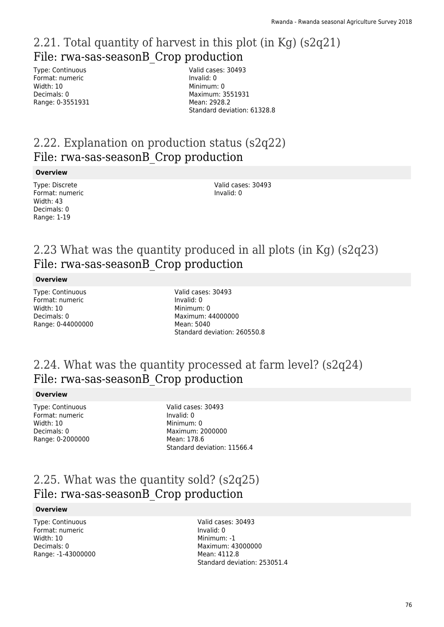# 2.21. Total quantity of harvest in this plot (in Kg) (s2q21) File: rwa-sas-seasonB\_Crop production

Type: Continuous Format: numeric Width: 10 Decimals: 0 Range: 0-3551931 Valid cases: 30493 Invalid: 0 Minimum: 0 Maximum: 3551931 Mean: 2928.2 Standard deviation: 61328.8

# 2.22. Explanation on production status (s2q22) File: rwa-sas-seasonB\_Crop production

#### **Overview**

Type: Discrete Format: numeric Width: 43 Decimals: 0 Range: 1-19

Valid cases: 30493 Invalid: 0

## 2.23 What was the quantity produced in all plots (in Kg) (s2q23) File: rwa-sas-seasonB\_Crop production

### **Overview**

Type: Continuous Format: numeric Width: 10 Decimals: 0 Range: 0-44000000

Valid cases: 30493 Invalid: 0 Minimum: 0 Maximum: 44000000 Mean: 5040 Standard deviation: 260550.8

## 2.24. What was the quantity processed at farm level? (s2q24) File: rwa-sas-seasonB\_Crop production

### **Overview**

Type: Continuous Format: numeric Width: 10 Decimals: 0 Range: 0-2000000 Valid cases: 30493 Invalid: 0 Minimum: 0 Maximum: 2000000 Mean: 178.6 Standard deviation: 11566.4

## 2.25. What was the quantity sold? (s2q25) File: rwa-sas-seasonB\_Crop production

#### **Overview**

Type: Continuous Format: numeric Width: 10 Decimals: 0 Range: -1-43000000

Valid cases: 30493 Invalid: 0 Minimum: -1 Maximum: 43000000 Mean: 4112.8 Standard deviation: 253051.4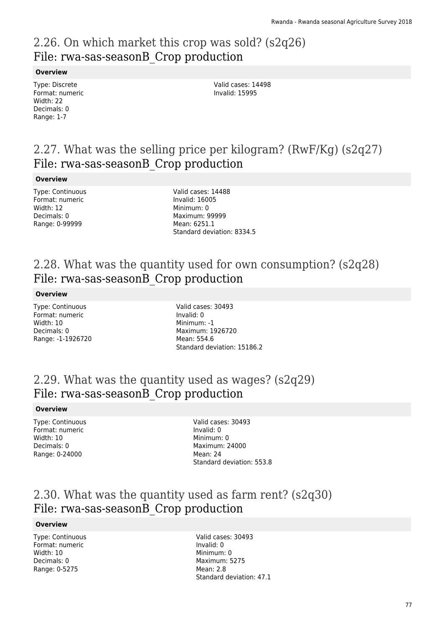# 2.26. On which market this crop was sold? (s2q26) File: rwa-sas-seasonB\_Crop production

#### **Overview**

Type: Discrete Format: numeric Width: 22 Decimals: 0 Range: 1-7

Valid cases: 14498 Invalid: 15995

## 2.27. What was the selling price per kilogram? (RwF/Kg) (s2q27) File: rwa-sas-seasonB\_Crop production

#### **Overview**

| <b>Type: Continuous</b> |
|-------------------------|
| Format: numeric         |
| Width: 12               |
| Decimals: 0             |
| Range: 0-99999          |

Valid cases: 14488 Invalid: 16005 Minimum: 0 Maximum: 99999 Mean: 6251.1 Standard deviation: 8334.5

## 2.28. What was the quantity used for own consumption? (s2q28) File: rwa-sas-seasonB\_Crop production

#### **Overview**

Type: Continuous Format: numeric Width: 10 Decimals: 0 Range: -1-1926720

Valid cases: 30493 Invalid: 0 Minimum: -1 Maximum: 1926720 Mean: 554.6 Standard deviation: 15186.2

## 2.29. What was the quantity used as wages? (s2q29) File: rwa-sas-seasonB\_Crop production

#### **Overview**

Type: Continuous Format: numeric Width: 10 Decimals: 0 Range: 0-24000

Valid cases: 30493 Invalid: 0 Minimum: 0 Maximum: 24000 Mean: 24 Standard deviation: 553.8

## 2.30. What was the quantity used as farm rent? (s2q30) File: rwa-sas-seasonB\_Crop production

#### **Overview**

Type: Continuous Format: numeric Width: 10 Decimals: 0 Range: 0-5275

Valid cases: 30493 Invalid: 0 Minimum: 0 Maximum: 5275 Mean: 2.8 Standard deviation: 47.1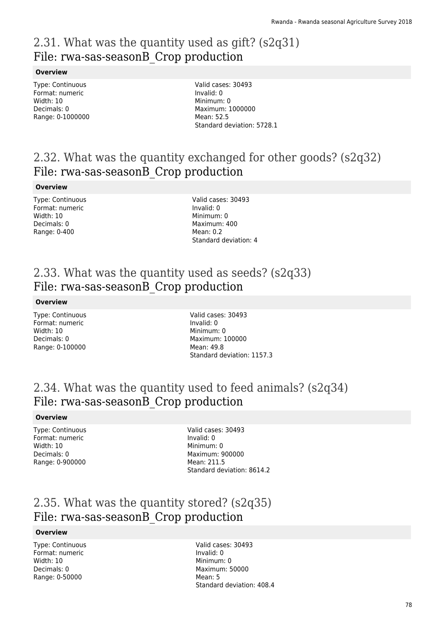# 2.31. What was the quantity used as gift? (s2q31) File: rwa-sas-seasonB\_Crop production

### **Overview**

Type: Continuous Format: numeric Width: 10 Decimals: 0 Range: 0-1000000

Valid cases: 30493 Invalid: 0 Minimum: 0 Maximum: 1000000 Mean: 52.5 Standard deviation: 5728.1

## 2.32. What was the quantity exchanged for other goods? (s2q32) File: rwa-sas-seasonB\_Crop production

### **Overview**

Type: Continuous Format: numeric Width: 10 Decimals: 0 Range: 0-400

Valid cases: 30493 Invalid: 0 Minimum: 0 Maximum: 400 Mean: 0.2 Standard deviation: 4

## 2.33. What was the quantity used as seeds? (s2q33) File: rwa-sas-seasonB\_Crop production

### **Overview**

Type: Continuous Format: numeric Width: 10 Decimals: 0 Range: 0-100000 Valid cases: 30493 Invalid: 0 Minimum: 0 Maximum: 100000 Mean: 49.8 Standard deviation: 1157.3

## 2.34. What was the quantity used to feed animals? (s2q34) File: rwa-sas-seasonB\_Crop production

### **Overview**

Type: Continuous Format: numeric Width: 10 Decimals: 0 Range: 0-900000

Valid cases: 30493 Invalid: 0 Minimum: 0 Maximum: 900000 Mean: 211.5 Standard deviation: 8614.2

## 2.35. What was the quantity stored? (s2q35) File: rwa-sas-seasonB\_Crop production

#### **Overview**

Type: Continuous Format: numeric Width: 10 Decimals: 0 Range: 0-50000

Valid cases: 30493 Invalid: 0 Minimum: 0 Maximum: 50000 Mean: 5 Standard deviation: 408.4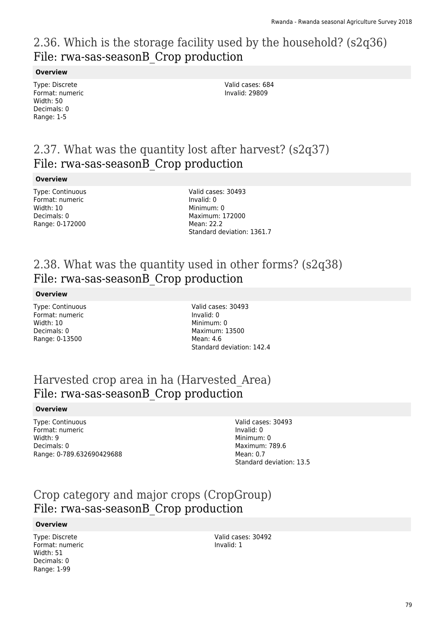# 2.36. Which is the storage facility used by the household? (s2q36) File: rwa-sas-seasonB\_Crop production

#### **Overview**

Type: Discrete Format: numeric Width: 50 Decimals: 0 Range: 1-5

Valid cases: 684 Invalid: 29809

## 2.37. What was the quantity lost after harvest? (s2q37) File: rwa-sas-seasonB\_Crop production

#### **Overview**

Type: Continuous Format: numeric Width: 10 Decimals: 0 Range: 0-172000

Valid cases: 30493 Invalid: 0 Minimum: 0 Maximum: 172000 Mean: 22.2 Standard deviation: 1361.7

## 2.38. What was the quantity used in other forms? (s2q38) File: rwa-sas-seasonB\_Crop production

### **Overview**

Type: Continuous Format: numeric Width: 10 Decimals: 0 Range: 0-13500

Valid cases: 30493 Invalid: 0 Minimum: 0 Maximum: 13500 Mean: 4.6 Standard deviation: 142.4

## Harvested crop area in ha (Harvested\_Area) File: rwa-sas-seasonB\_Crop production

### **Overview**

Type: Continuous Format: numeric Width: 9 Decimals: 0 Range: 0-789.632690429688

Valid cases: 30493 Invalid: 0 Minimum: 0 Maximum: 789.6 Mean: 0.7 Standard deviation: 13.5

## Crop category and major crops (CropGroup) File: rwa-sas-seasonB\_Crop production

### **Overview**

Type: Discrete Format: numeric Width: 51 Decimals: 0 Range: 1-99

Valid cases: 30492 Invalid: 1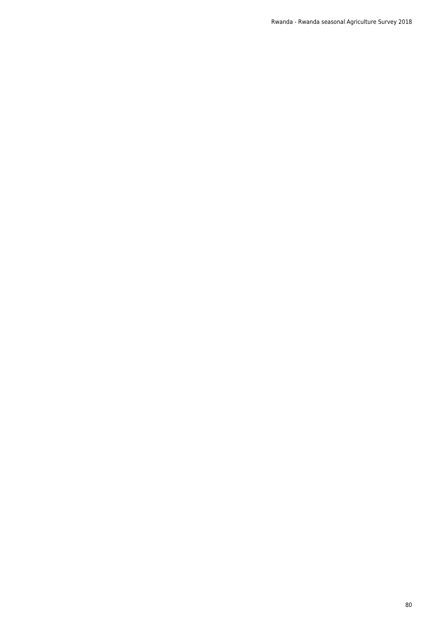Rwanda - Rwanda seasonal Agriculture Survey 2018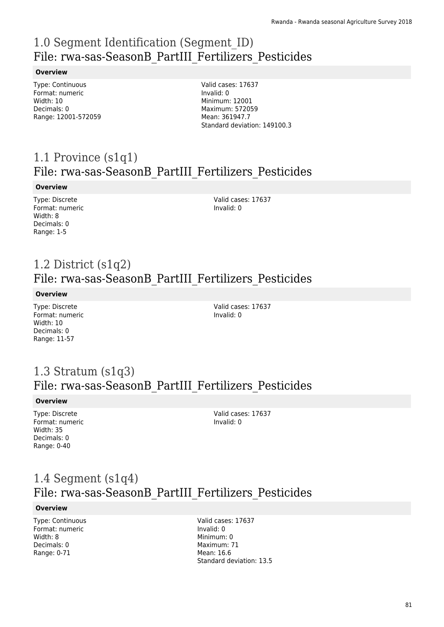# 1.0 Segment Identification (Segment\_ID) File: rwa-sas-SeasonB\_PartIII\_Fertilizers\_Pesticides

### **Overview**

Type: Continuous Format: numeric Width: 10 Decimals: 0 Range: 12001-572059

Valid cases: 17637 Invalid: 0 Minimum: 12001 Maximum: 572059 Mean: 361947.7 Standard deviation: 149100.3

# 1.1 Province (s1q1) File: rwa-sas-SeasonB\_PartIII\_Fertilizers\_Pesticides

### **Overview**

Type: Discrete Format: numeric Width: 8 Decimals: 0 Range: 1-5

Valid cases: 17637 Invalid: 0

# 1.2 District (s1q2) File: rwa-sas-SeasonB\_PartIII\_Fertilizers\_Pesticides

### **Overview**

Type: Discrete Format: numeric Width: 10 Decimals: 0 Range: 11-57

Valid cases: 17637 Invalid: 0

## 1.3 Stratum (s1q3) File: rwa-sas-SeasonB\_PartIII\_Fertilizers\_Pesticides

### **Overview**

Type: Discrete Format: numeric Width: 35 Decimals: 0 Range: 0-40

Valid cases: 17637 Invalid: 0

# 1.4 Segment (s1q4) File: rwa-sas-SeasonB\_PartIII\_Fertilizers\_Pesticides

### **Overview**

Type: Continuous Format: numeric Width: 8 Decimals: 0 Range: 0-71

Valid cases: 17637 Invalid: 0 Minimum: 0 Maximum: 71 Mean: 16.6 Standard deviation: 13.5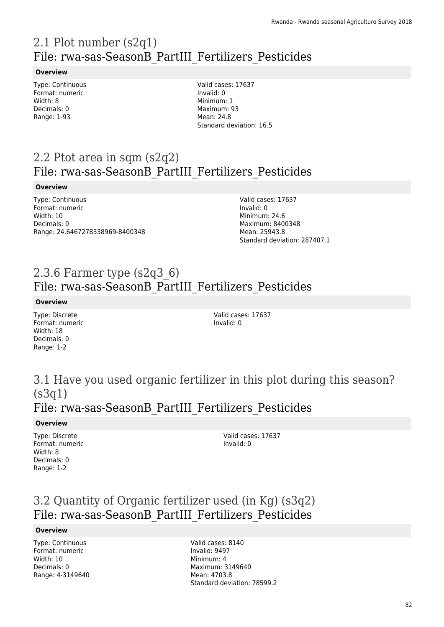# 2.1 Plot number (s2q1) File: rwa-sas-SeasonB\_PartIII\_Fertilizers\_Pesticides

### **Overview**

Type: Continuous Format: numeric Width: 8 Decimals: 0 Range: 1-93

Valid cases: 17637 Invalid: 0 Minimum: 1 Maximum: 93 Mean: 24.8 Standard deviation: 16.5

# 2.2 Ptot area in sqm (s2q2) File: rwa-sas-SeasonB\_PartIII\_Fertilizers\_Pesticides

### **Overview**

Type: Continuous Format: numeric Width: 10 Decimals: 0 Range: 24.6467278338969-8400348

Valid cases: 17637 Invalid: 0 Minimum: 24.6 Maximum: 8400348 Mean: 25943.8 Standard deviation: 287407.1

## 2.3.6 Farmer type (s2q3\_6) File: rwa-sas-SeasonB\_PartIII\_Fertilizers\_Pesticides

### **Overview**

Type: Discrete Format: numeric Width: 18 Decimals: 0 Range: 1-2

Valid cases: 17637 Invalid: 0

# 3.1 Have you used organic fertilizer in this plot during this season? (s3q1)

# File: rwa-sas-SeasonB\_PartIII\_Fertilizers\_Pesticides

### **Overview**

Type: Discrete Format: numeric Width: 8 Decimals: 0 Range: 1-2

Valid cases: 17637 Invalid: 0

# 3.2 Quantity of Organic fertilizer used (in Kg) (s3q2) File: rwa-sas-SeasonB\_PartIII\_Fertilizers\_Pesticides

### **Overview**

Type: Continuous Format: numeric Width: 10 Decimals: 0 Range: 4-3149640 Valid cases: 8140 Invalid: 9497 Minimum: 4 Maximum: 3149640 Mean: 4703.8 Standard deviation: 78599.2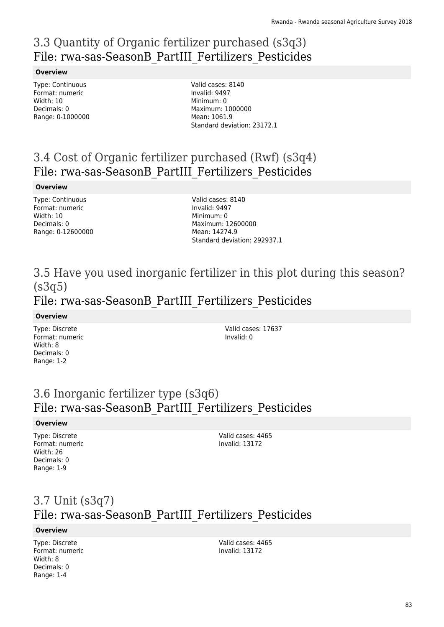# 3.3 Quantity of Organic fertilizer purchased (s3q3) File: rwa-sas-SeasonB\_PartIII\_Fertilizers\_Pesticides

### **Overview**

Type: Continuous Format: numeric Width: 10 Decimals: 0 Range: 0-1000000 Valid cases: 8140 Invalid: 9497 Minimum: 0 Maximum: 1000000 Mean: 1061.9 Standard deviation: 23172.1

# 3.4 Cost of Organic fertilizer purchased (Rwf) (s3q4) File: rwa-sas-SeasonB\_PartIII\_Fertilizers\_Pesticides

### **Overview**

Type: Continuous Format: numeric Width: 10 Decimals: 0 Range: 0-12600000 Valid cases: 8140 Invalid: 9497 Minimum: 0 Maximum: 12600000 Mean: 14274.9 Standard deviation: 292937.1

# 3.5 Have you used inorganic fertilizer in this plot during this season? (s3q5)

## File: rwa-sas-SeasonB\_PartIII\_Fertilizers\_Pesticides

### **Overview**

Type: Discrete Format: numeric Width: 8 Decimals: 0 Range: 1-2

Valid cases: 17637 Invalid: 0

## 3.6 Inorganic fertilizer type (s3q6) File: rwa-sas-SeasonB\_PartIII\_Fertilizers\_Pesticides

### **Overview**

Type: Discrete Format: numeric Width: 26 Decimals: 0 Range: 1-9

Valid cases: 4465 Invalid: 13172

# 3.7 Unit (s3q7) File: rwa-sas-SeasonB\_PartIII\_Fertilizers\_Pesticides

### **Overview**

Type: Discrete Format: numeric Width: 8 Decimals: 0 Range: 1-4

Valid cases: 4465 Invalid: 13172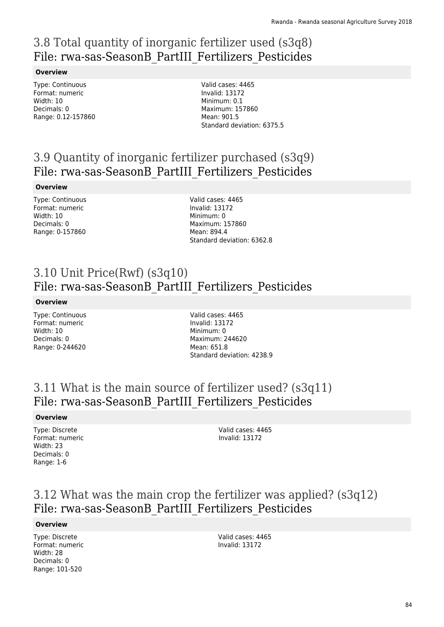# 3.8 Total quantity of inorganic fertilizer used (s3q8) File: rwa-sas-SeasonB\_PartIII\_Fertilizers\_Pesticides

### **Overview**

Type: Continuous Format: numeric Width: 10 Decimals: 0 Range: 0.12-157860

Valid cases: 4465 Invalid: 13172 Minimum: 0.1 Maximum: 157860 Mean: 901.5 Standard deviation: 6375.5

# 3.9 Quantity of inorganic fertilizer purchased (s3q9) File: rwa-sas-SeasonB\_PartIII\_Fertilizers\_Pesticides

### **Overview**

Type: Continuous Format: numeric Width: 10 Decimals: 0 Range: 0-157860

Valid cases: 4465 Invalid: 13172 Minimum: 0 Maximum: 157860 Mean: 894.4 Standard deviation: 6362.8

## 3.10 Unit Price(Rwf) (s3q10) File: rwa-sas-SeasonB\_PartIII\_Fertilizers\_Pesticides

### **Overview**

Type: Continuous Format: numeric Width: 10 Decimals: 0 Range: 0-244620 Valid cases: 4465 Invalid: 13172 Minimum: 0 Maximum: 244620 Mean: 651.8 Standard deviation: 4238.9

## 3.11 What is the main source of fertilizer used? (s3q11) File: rwa-sas-SeasonB\_PartIII\_Fertilizers\_Pesticides

### **Overview**

Type: Discrete Format: numeric Width: 23 Decimals: 0 Range: 1-6

Valid cases: 4465 Invalid: 13172

## 3.12 What was the main crop the fertilizer was applied? (s3q12) File: rwa-sas-SeasonB\_PartIII\_Fertilizers\_Pesticides

### **Overview**

Type: Discrete Format: numeric Width: 28 Decimals: 0 Range: 101-520

Valid cases: 4465 Invalid: 13172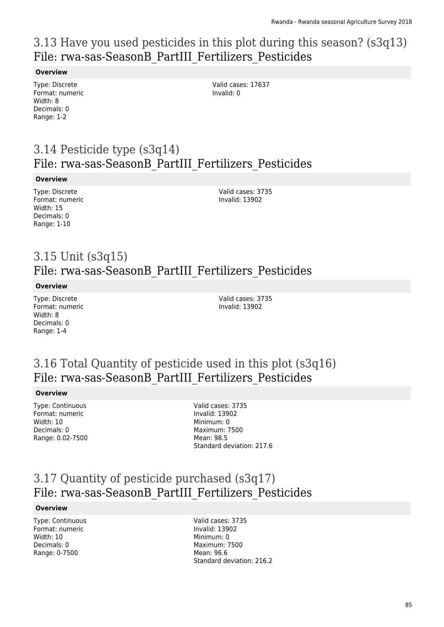# 3.13 Have you used pesticides in this plot during this season? (s3q13) File: rwa-sas-SeasonB\_PartIII\_Fertilizers\_Pesticides

**Overview**

Type: Discrete Format: numeric Width: 8 Decimals: 0 Range: 1-2

Valid cases: 17637 Invalid: 0

## 3.14 Pesticide type (s3q14) File: rwa-sas-SeasonB\_PartIII\_Fertilizers\_Pesticides

#### **Overview**

Type: Discrete Format: numeric Width: 15 Decimals: 0 Range: 1-10

Valid cases: 3735 Invalid: 13902

# 3.15 Unit (s3q15) File: rwa-sas-SeasonB\_PartIII\_Fertilizers\_Pesticides

#### **Overview**

Type: Discrete Format: numeric Width: 8 Decimals: 0 Range: 1-4

Valid cases: 3735 Invalid: 13902

## 3.16 Total Quantity of pesticide used in this plot (s3q16) File: rwa-sas-SeasonB\_PartIII\_Fertilizers\_Pesticides

#### **Overview**

Type: Continuous Format: numeric Width: 10 Decimals: 0 Range: 0.02-7500

Valid cases: 3735 Invalid: 13902 Minimum: 0 Maximum: 7500 Mean: 98.5 Standard deviation: 217.6

# 3.17 Quantity of pesticide purchased (s3q17) File: rwa-sas-SeasonB\_PartIII\_Fertilizers\_Pesticides

#### **Overview**

Type: Continuous Format: numeric Width: 10 Decimals: 0 Range: 0-7500

Valid cases: 3735 Invalid: 13902 Minimum: 0 Maximum: 7500 Mean: 96.6 Standard deviation: 216.2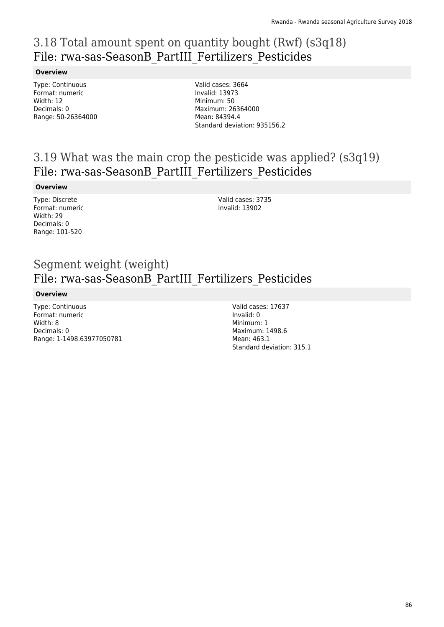# 3.18 Total amount spent on quantity bought (Rwf) (s3q18) File: rwa-sas-SeasonB\_PartIII\_Fertilizers\_Pesticides

### **Overview**

Type: Continuous Format: numeric Width: 12 Decimals: 0 Range: 50-26364000

Valid cases: 3664 Invalid: 13973 Minimum: 50 Maximum: 26364000 Mean: 84394.4 Standard deviation: 935156.2

## 3.19 What was the main crop the pesticide was applied? (s3q19) File: rwa-sas-SeasonB\_PartIII\_Fertilizers\_Pesticides

### **Overview**

Type: Discrete Format: numeric Width: 29 Decimals: 0 Range: 101-520

Valid cases: 3735 Invalid: 13902

## Segment weight (weight) File: rwa-sas-SeasonB\_PartIII\_Fertilizers\_Pesticides

### **Overview**

Type: Continuous Format: numeric Width: 8 Decimals: 0 Range: 1-1498.63977050781 Valid cases: 17637 Invalid: 0 Minimum: 1 Maximum: 1498.6 Mean: 463.1 Standard deviation: 315.1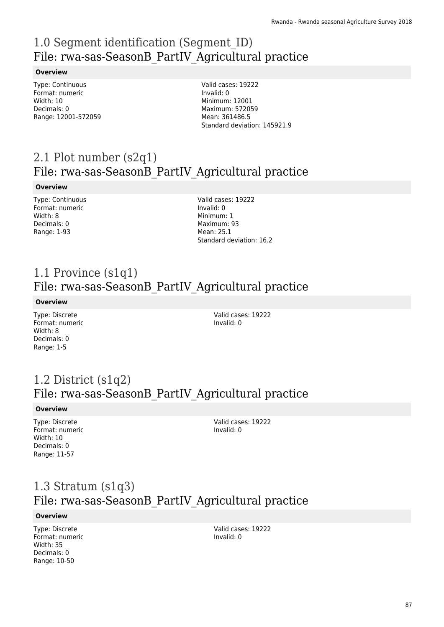# 1.0 Segment identification (Segment\_ID) File: rwa-sas-SeasonB\_PartIV\_Agricultural practice

### **Overview**

Type: Continuous Format: numeric Width: 10 Decimals: 0 Range: 12001-572059

Valid cases: 19222 Invalid: 0 Minimum: 12001 Maximum: 572059 Mean: 361486.5 Standard deviation: 145921.9

# 2.1 Plot number (s2q1) File: rwa-sas-SeasonB\_PartIV\_Agricultural practice

### **Overview**

Type: Continuous Format: numeric Width: 8 Decimals: 0 Range: 1-93

Valid cases: 19222 Invalid: 0 Minimum: 1 Maximum: 93 Mean: 25.1 Standard deviation: 16.2

## 1.1 Province (s1q1) File: rwa-sas-SeasonB\_PartIV\_Agricultural practice

### **Overview**

Type: Discrete Format: numeric Width: 8 Decimals: 0 Range: 1-5

Valid cases: 19222 Invalid: 0

## 1.2 District (s1q2) File: rwa-sas-SeasonB\_PartIV\_Agricultural practice

### **Overview**

Type: Discrete Format: numeric Width: 10 Decimals: 0 Range: 11-57

Valid cases: 19222 Invalid: 0

## 1.3 Stratum (s1q3) File: rwa-sas-SeasonB\_PartIV\_Agricultural practice

### **Overview**

Type: Discrete Format: numeric Width: 35 Decimals: 0 Range: 10-50

Valid cases: 19222 Invalid: 0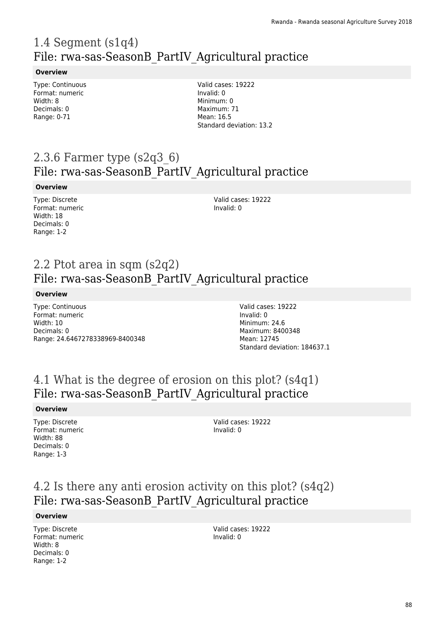# 1.4 Segment (s1q4) File: rwa-sas-SeasonB\_PartIV\_Agricultural practice

### **Overview**

Type: Continuous Format: numeric Width: 8 Decimals: 0 Range: 0-71

Valid cases: 19222 Invalid: 0 Minimum: 0 Maximum: 71 Mean: 16.5 Standard deviation: 13.2

# 2.3.6 Farmer type (s2q3\_6) File: rwa-sas-SeasonB\_PartIV\_Agricultural practice

### **Overview**

Type: Discrete Format: numeric Width: 18 Decimals: 0 Range: 1-2

Valid cases: 19222 Invalid: 0

## 2.2 Ptot area in sqm (s2q2) File: rwa-sas-SeasonB\_PartIV\_Agricultural practice

### **Overview**

Type: Continuous Format: numeric Width: 10 Decimals: 0 Range: 24.6467278338969-8400348

Valid cases: 19222 Invalid: 0 Minimum: 24.6 Maximum: 8400348 Mean: 12745 Standard deviation: 184637.1

## 4.1 What is the degree of erosion on this plot? (s4q1) File: rwa-sas-SeasonB\_PartIV\_Agricultural practice

### **Overview**

Type: Discrete Format: numeric Width: 88 Decimals: 0 Range: 1-3

Valid cases: 19222 Invalid: 0

## 4.2 Is there any anti erosion activity on this plot? (s4q2) File: rwa-sas-SeasonB\_PartIV\_Agricultural practice

### **Overview**

Type: Discrete Format: numeric Width: 8 Decimals: 0 Range: 1-2

Valid cases: 19222 Invalid: 0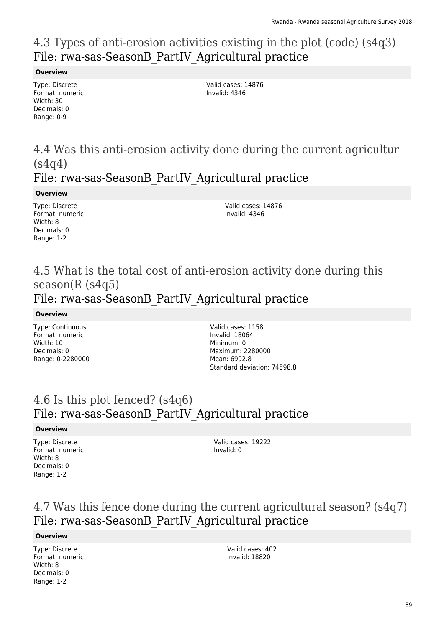# 4.3 Types of anti-erosion activities existing in the plot (code) (s4q3) File: rwa-sas-SeasonB\_PartIV\_Agricultural practice

### **Overview**

Type: Discrete Format: numeric Width: 30 Decimals: 0 Range: 0-9

Valid cases: 14876 Invalid: 4346

# 4.4 Was this anti-erosion activity done during the current agricultur  $(s4q4)$

# File: rwa-sas-SeasonB\_PartIV\_Agricultural practice

### **Overview**

Type: Discrete Format: numeric Width: 8 Decimals: 0 Range: 1-2

Valid cases: 14876 Invalid: 4346

# 4.5 What is the total cost of anti-erosion activity done during this season(R (s4q5)

# File: rwa-sas-SeasonB\_PartIV\_Agricultural practice

### **Overview**

Type: Continuous Format: numeric Width: 10 Decimals: 0 Range: 0-2280000

Valid cases: 1158 Invalid: 18064 Minimum: 0 Maximum: 2280000 Mean: 6992.8 Standard deviation: 74598.8

# 4.6 Is this plot fenced? (s4q6) File: rwa-sas-SeasonB\_PartIV\_Agricultural practice

### **Overview**

Type: Discrete Format: numeric Width: 8 Decimals: 0 Range: 1-2

Valid cases: 19222 Invalid: 0

## 4.7 Was this fence done during the current agricultural season? (s4q7) File: rwa-sas-SeasonB\_PartIV\_Agricultural practice

### **Overview**

Type: Discrete Format: numeric Width: 8 Decimals: 0 Range: 1-2

Valid cases: 402 Invalid: 18820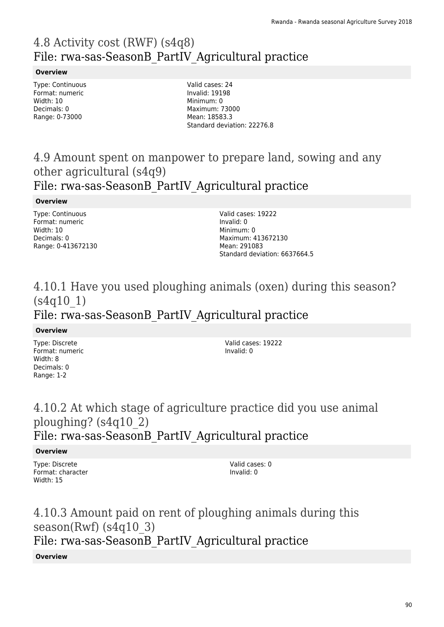# 4.8 Activity cost (RWF) (s4q8) File: rwa-sas-SeasonB\_PartIV\_Agricultural practice

### **Overview**

| Type: Continuous |
|------------------|
| Format: numeric  |
| Width: 10        |
| Decimals: 0      |
| Range: 0-73000   |

Valid cases: 24 Invalid: 19198 Minimum: 0 Maximum: 73000 Mean: 18583.3 Standard deviation: 22276.8

## 4.9 Amount spent on manpower to prepare land, sowing and any other agricultural (s4q9) File: rwa-sas-SeasonB\_PartIV\_Agricultural practice

### **Overview**

Type: Continuous Format: numeric Width: 10 Decimals: 0 Range: 0-413672130 Valid cases: 19222 Invalid: 0 Minimum: 0 Maximum: 413672130 Mean: 291083 Standard deviation: 6637664.5

# 4.10.1 Have you used ploughing animals (oxen) during this season?  $(s4q101)$

# File: rwa-sas-SeasonB\_PartIV\_Agricultural practice

### **Overview**

Type: Discrete Format: numeric Width: 8 Decimals: 0 Range: 1-2

Valid cases: 19222 Invalid: 0

## 4.10.2 At which stage of agriculture practice did you use animal ploughing? (s4q10\_2) File: rwa-sas-SeasonB\_PartIV\_Agricultural practice

### **Overview**

Type: Discrete Format: character Width: 15

Valid cases: 0 Invalid: 0

4.10.3 Amount paid on rent of ploughing animals during this  $season(Rwf)$  (s4q10\_3) File: rwa-sas-SeasonB\_PartIV\_Agricultural practice

### **Overview**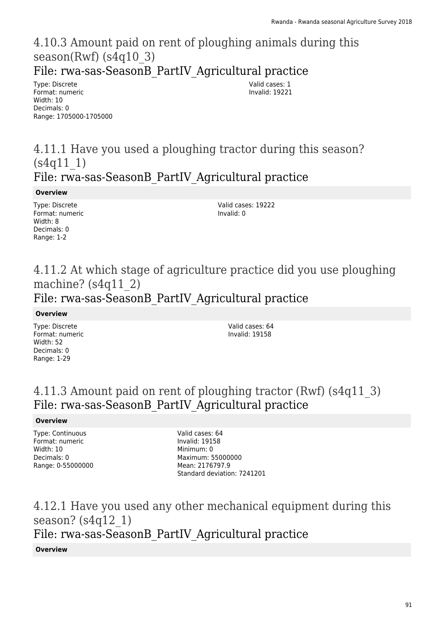## 4.10.3 Amount paid on rent of ploughing animals during this season(Rwf) (s4q10\_3) File: rwa-sas-SeasonB\_PartIV\_Agricultural practice

Type: Discrete Format: numeric Width: 10 Decimals: 0 Range: 1705000-1705000

Valid cases: 1 Invalid: 19221

## 4.11.1 Have you used a ploughing tractor during this season?  $(s4q111)$ File: rwa-sas-SeasonB\_PartIV\_Agricultural practice

### **Overview**

Type: Discrete Format: numeric Width: 8 Decimals: 0 Range: 1-2

Valid cases: 19222 Invalid: 0

# 4.11.2 At which stage of agriculture practice did you use ploughing machine?  $(s4q11\ 2)$

## File: rwa-sas-SeasonB\_PartIV\_Agricultural practice

**Overview**

Type: Discrete Format: numeric Width: 52 Decimals: 0 Range: 1-29

Valid cases: 64 Invalid: 19158

## 4.11.3 Amount paid on rent of ploughing tractor (Rwf) (s4q11\_3) File: rwa-sas-SeasonB\_PartIV\_Agricultural practice

### **Overview**

Type: Continuous Format: numeric Width: 10 Decimals: 0 Range: 0-55000000

Valid cases: 64 Invalid: 19158 Minimum: 0 Maximum: 55000000 Mean: 2176797.9 Standard deviation: 7241201

4.12.1 Have you used any other mechanical equipment during this season? (s4q12\_1) File: rwa-sas-SeasonB\_PartIV\_Agricultural practice **Overview**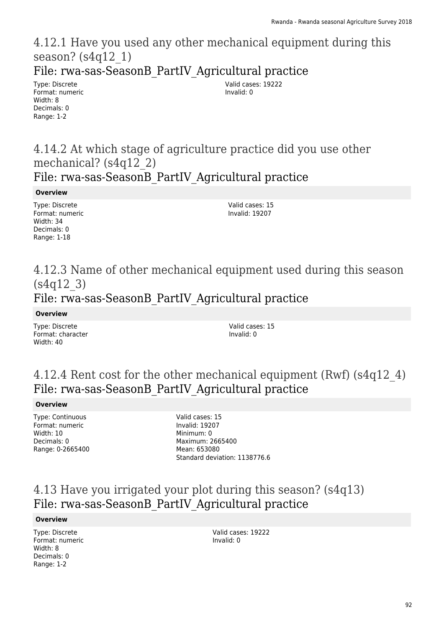# 4.12.1 Have you used any other mechanical equipment during this season? (s4q12\_1)

File: rwa-sas-SeasonB\_PartIV\_Agricultural practice

Type: Discrete Format: numeric Width: 8 Decimals: 0 Range: 1-2

Valid cases: 19222 Invalid: 0

# 4.14.2 At which stage of agriculture practice did you use other mechanical? (s4q12\_2)

## File: rwa-sas-SeasonB\_PartIV\_Agricultural practice

### **Overview**

Type: Discrete Format: numeric Width: 34 Decimals: 0 Range: 1-18

Valid cases: 15 Invalid: 19207

# 4.12.3 Name of other mechanical equipment used during this season (s4q12\_3)

# File: rwa-sas-SeasonB\_PartIV\_Agricultural practice

### **Overview**

Type: Discrete Format: character Width: 40

Valid cases: 15 Invalid: 0

## 4.12.4 Rent cost for the other mechanical equipment (Rwf) (s4q12\_4) File: rwa-sas-SeasonB\_PartIV\_Agricultural practice

### **Overview**

Type: Continuous Format: numeric Width: 10 Decimals: 0 Range: 0-2665400 Valid cases: 15 Invalid: 19207 Minimum: 0 Maximum: 2665400 Mean: 653080 Standard deviation: 1138776.6

## 4.13 Have you irrigated your plot during this season? (s4q13) File: rwa-sas-SeasonB\_PartIV\_Agricultural practice

### **Overview**

Type: Discrete Format: numeric Width: 8 Decimals: 0 Range: 1-2

Valid cases: 19222 Invalid: 0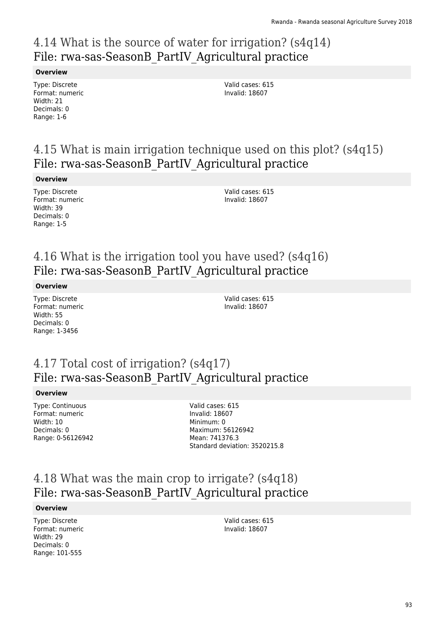## 4.14 What is the source of water for irrigation? (s4q14) File: rwa-sas-SeasonB\_PartIV\_Agricultural practice

#### **Overview**

Type: Discrete Format: numeric Width: 21 Decimals: 0 Range: 1-6

Valid cases: 615 Invalid: 18607

## 4.15 What is main irrigation technique used on this plot? (s4q15) File: rwa-sas-SeasonB\_PartIV\_Agricultural practice

**Overview**

Type: Discrete Format: numeric Width: 39 Decimals: 0 Range: 1-5

Valid cases: 615 Invalid: 18607

## 4.16 What is the irrigation tool you have used? (s4q16) File: rwa-sas-SeasonB\_PartIV\_Agricultural practice

**Overview**

Type: Discrete Format: numeric Width: 55 Decimals: 0 Range: 1-3456

Valid cases: 615 Invalid: 18607

## 4.17 Total cost of irrigation? (s4q17) File: rwa-sas-SeasonB\_PartIV\_Agricultural practice

#### **Overview**

Type: Continuous Format: numeric Width: 10 Decimals: 0 Range: 0-56126942

Valid cases: 615 Invalid: 18607 Minimum: 0 Maximum: 56126942 Mean: 741376.3 Standard deviation: 3520215.8

## 4.18 What was the main crop to irrigate? (s4q18) File: rwa-sas-SeasonB\_PartIV\_Agricultural practice

#### **Overview**

Type: Discrete Format: numeric Width: 29 Decimals: 0 Range: 101-555

Valid cases: 615 Invalid: 18607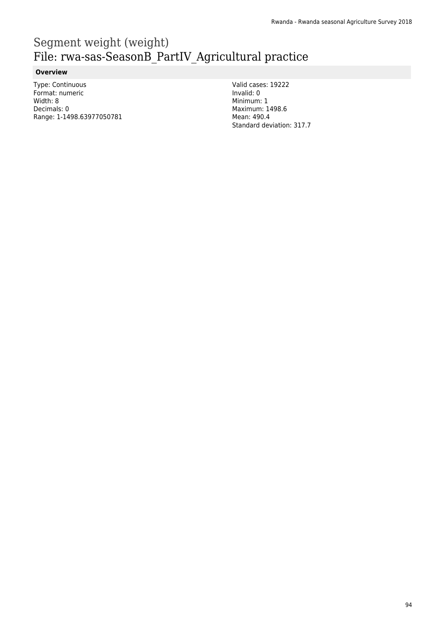# Segment weight (weight) File: rwa-sas-SeasonB\_PartIV\_Agricultural practice

### **Overview**

Type: Continuous Format: numeric Width: 8 Decimals: 0 Range: 1-1498.63977050781

Valid cases: 19222 Invalid: 0 Minimum: 1 Maximum: 1498.6 Mean: 490.4 Standard deviation: 317.7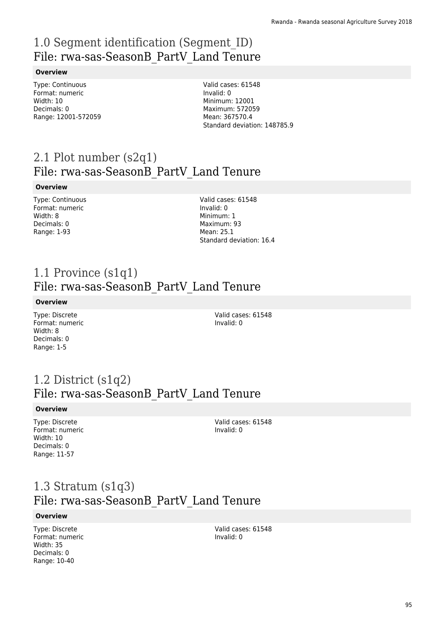# 1.0 Segment identification (Segment\_ID) File: rwa-sas-SeasonB\_PartV\_Land Tenure

### **Overview**

Type: Continuous Format: numeric Width: 10 Decimals: 0 Range: 12001-572059 Valid cases: 61548 Invalid: 0 Minimum: 12001 Maximum: 572059 Mean: 367570.4 Standard deviation: 148785.9

## 2.1 Plot number (s2q1) File: rwa-sas-SeasonB\_PartV\_Land Tenure

### **Overview**

Type: Continuous Format: numeric Width: 8 Decimals: 0 Range: 1-93

Valid cases: 61548 Invalid: 0 Minimum: 1 Maximum: 93 Mean: 25.1 Standard deviation: 16.4

## 1.1 Province (s1q1) File: rwa-sas-SeasonB\_PartV\_Land Tenure

### **Overview**

Type: Discrete Format: numeric Width: 8 Decimals: 0 Range: 1-5

Valid cases: 61548 Invalid: 0

## 1.2 District (s1q2) File: rwa-sas-SeasonB\_PartV\_Land Tenure

#### **Overview**

Type: Discrete Format: numeric Width: 10 Decimals: 0 Range: 11-57

Valid cases: 61548 Invalid: 0

## 1.3 Stratum (s1q3) File: rwa-sas-SeasonB\_PartV\_Land Tenure

### **Overview**

Type: Discrete Format: numeric Width: 35 Decimals: 0 Range: 10-40

Valid cases: 61548 Invalid: 0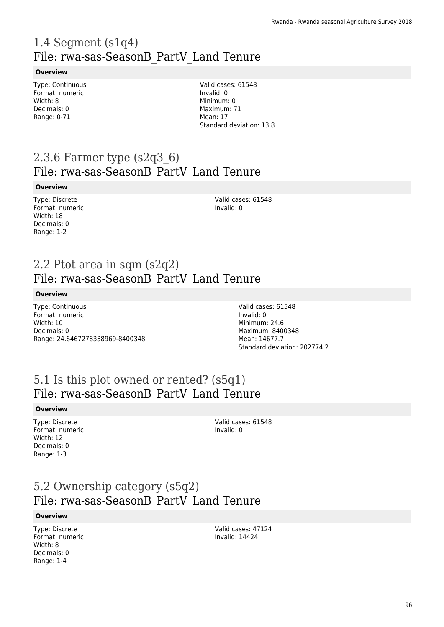# 1.4 Segment (s1q4) File: rwa-sas-SeasonB\_PartV\_Land Tenure

### **Overview**

Type: Continuous Format: numeric Width: 8 Decimals: 0 Range: 0-71

Valid cases: 61548 Invalid: 0 Minimum: 0 Maximum: 71 Mean: 17 Standard deviation: 13.8

## 2.3.6 Farmer type (s2q3\_6) File: rwa-sas-SeasonB\_PartV\_Land Tenure

### **Overview**

Type: Discrete Format: numeric Width: 18 Decimals: 0 Range: 1-2

Valid cases: 61548 Invalid: 0

## 2.2 Ptot area in sqm (s2q2) File: rwa-sas-SeasonB\_PartV\_Land Tenure

### **Overview**

Type: Continuous Format: numeric Width: 10 Decimals: 0 Range: 24.6467278338969-8400348

Valid cases: 61548 Invalid: 0 Minimum: 24.6 Maximum: 8400348 Mean: 14677.7 Standard deviation: 202774.2

## 5.1 Is this plot owned or rented? (s5q1) File: rwa-sas-SeasonB\_PartV\_Land Tenure

#### **Overview**

Type: Discrete Format: numeric Width: 12 Decimals: 0 Range: 1-3

Valid cases: 61548 Invalid: 0

## 5.2 Ownership category (s5q2) File: rwa-sas-SeasonB\_PartV\_Land Tenure

#### **Overview**

Type: Discrete Format: numeric Width: 8 Decimals: 0 Range: 1-4

Valid cases: 47124 Invalid: 14424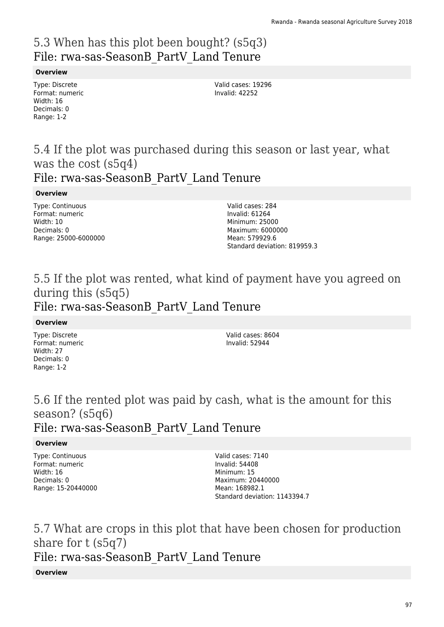# 5.3 When has this plot been bought? (s5q3) File: rwa-sas-SeasonB\_PartV\_Land Tenure

### **Overview**

Type: Discrete Format: numeric Width: 16 Decimals: 0 Range: 1-2

Valid cases: 19296 Invalid: 42252

# 5.4 If the plot was purchased during this season or last year, what was the cost (s5q4)

## File: rwa-sas-SeasonB\_PartV\_Land Tenure

### **Overview**

Type: Continuous Format: numeric Width: 10 Decimals: 0 Range: 25000-6000000 Valid cases: 284 Invalid: 61264 Minimum: 25000 Maximum: 6000000 Mean: 579929.6 Standard deviation: 819959.3

## 5.5 If the plot was rented, what kind of payment have you agreed on during this (s5q5) File: rwa-sas-SeasonB\_PartV\_Land Tenure

### **Overview**

Type: Discrete Format: numeric Width: 27 Decimals: 0 Range: 1-2

Valid cases: 8604 Invalid: 52944

## 5.6 If the rented plot was paid by cash, what is the amount for this season? (s5q6) File: rwa-sas-SeasonB\_PartV\_Land Tenure

### **Overview**

Type: Continuous Format: numeric Width: 16 Decimals: 0 Range: 15-20440000 Valid cases: 7140 Invalid: 54408 Minimum: 15 Maximum: 20440000 Mean: 168982.1 Standard deviation: 1143394.7

## 5.7 What are crops in this plot that have been chosen for production share for t (s5q7) File: rwa-sas-SeasonB\_PartV\_Land Tenure

### **Overview**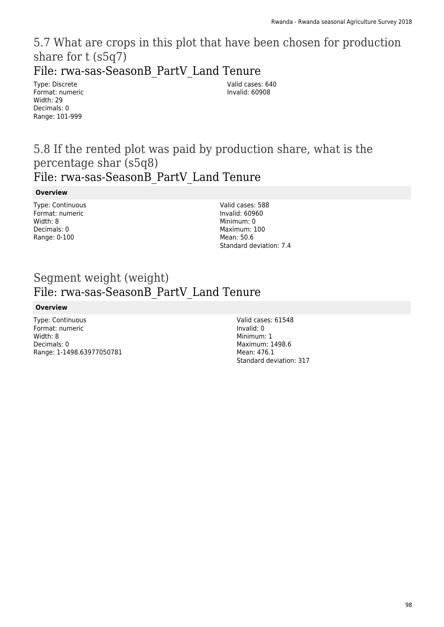# 5.7 What are crops in this plot that have been chosen for production share for t (s5q7)

File: rwa-sas-SeasonB\_PartV\_Land Tenure

Type: Discrete Format: numeric Width: 29 Decimals: 0 Range: 101-999

Valid cases: 640 Invalid: 60908

## 5.8 If the rented plot was paid by production share, what is the percentage shar (s5q8) File: rwa-sas-SeasonB\_PartV\_Land Tenure

### **Overview**

Type: Continuous Format: numeric Width: 8 Decimals: 0 Range: 0-100

Valid cases: 588 Invalid: 60960 Minimum: 0 Maximum: 100 Mean: 50.6 Standard deviation: 7.4

## Segment weight (weight) File: rwa-sas-SeasonB\_PartV\_Land Tenure

### **Overview**

Type: Continuous Format: numeric Width: 8 Decimals: 0 Range: 1-1498.63977050781 Valid cases: 61548 Invalid: 0 Minimum: 1 Maximum: 1498.6 Mean: 476.1 Standard deviation: 317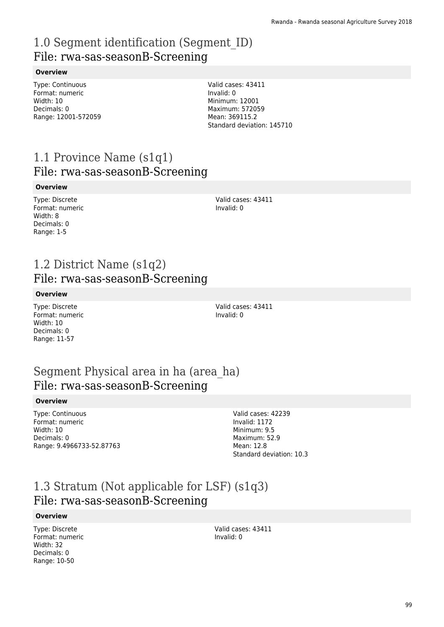## 1.0 Segment identification (Segment\_ID) File: rwa-sas-seasonB-Screening

### **Overview**

Type: Continuous Format: numeric Width: 10 Decimals: 0 Range: 12001-572059 Valid cases: 43411 Invalid: 0 Minimum: 12001 Maximum: 572059 Mean: 369115.2 Standard deviation: 145710

## 1.1 Province Name (s1q1) File: rwa-sas-seasonB-Screening

#### **Overview**

Type: Discrete Format: numeric Width: 8 Decimals: 0 Range: 1-5

Valid cases: 43411 Invalid: 0

## 1.2 District Name (s1q2) File: rwa-sas-seasonB-Screening

### **Overview**

Type: Discrete Format: numeric Width: 10 Decimals: 0 Range: 11-57

Valid cases: 43411 Invalid: 0

## Segment Physical area in ha (area\_ha) File: rwa-sas-seasonB-Screening

#### **Overview**

Type: Continuous Format: numeric Width: 10 Decimals: 0 Range: 9.4966733-52.87763 Valid cases: 42239 Invalid: 1172 Minimum: 9.5 Maximum: 52.9 Mean: 12.8 Standard deviation: 10.3

## 1.3 Stratum (Not applicable for LSF) (s1q3) File: rwa-sas-seasonB-Screening

### **Overview**

Type: Discrete Format: numeric Width: 32 Decimals: 0 Range: 10-50

Valid cases: 43411 Invalid: 0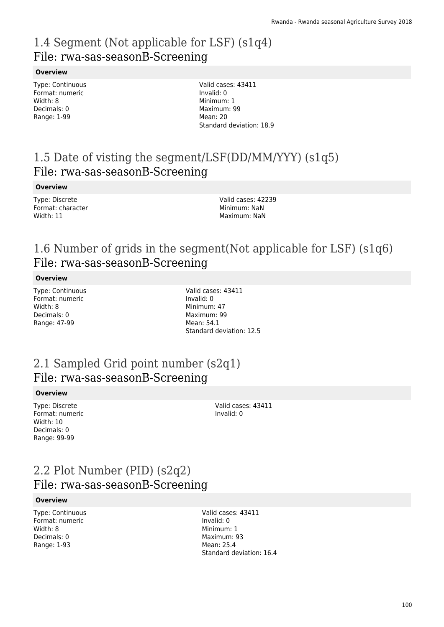# 1.4 Segment (Not applicable for LSF) (s1q4) File: rwa-sas-seasonB-Screening

### **Overview**

Type: Continuous Format: numeric Width: 8 Decimals: 0 Range: 1-99

Valid cases: 43411 Invalid: 0 Minimum: 1 Maximum: 99 Mean: 20 Standard deviation: 18.9

# 1.5 Date of visting the segment/LSF(DD/MM/YYY) (s1q5) File: rwa-sas-seasonB-Screening

#### **Overview**

Type: Discrete Format: character Width: 11

Valid cases: 42239 Minimum: NaN Maximum: NaN

## 1.6 Number of grids in the segment(Not applicable for LSF) (s1q6) File: rwa-sas-seasonB-Screening

### **Overview**

Type: Continuous Format: numeric Width: 8 Decimals: 0 Range: 47-99

Valid cases: 43411 Invalid: 0 Minimum: 47 Maximum: 99 Mean: 54.1 Standard deviation: 12.5

# 2.1 Sampled Grid point number (s2q1) File: rwa-sas-seasonB-Screening

### **Overview**

Type: Discrete Format: numeric Width: 10 Decimals: 0 Range: 99-99

Valid cases: 43411 Invalid: 0

## 2.2 Plot Number (PID) (s2q2) File: rwa-sas-seasonB-Screening

### **Overview**

Type: Continuous Format: numeric Width: 8 Decimals: 0 Range: 1-93

Valid cases: 43411 Invalid: 0 Minimum: 1 Maximum: 93 Mean: 25.4 Standard deviation: 16.4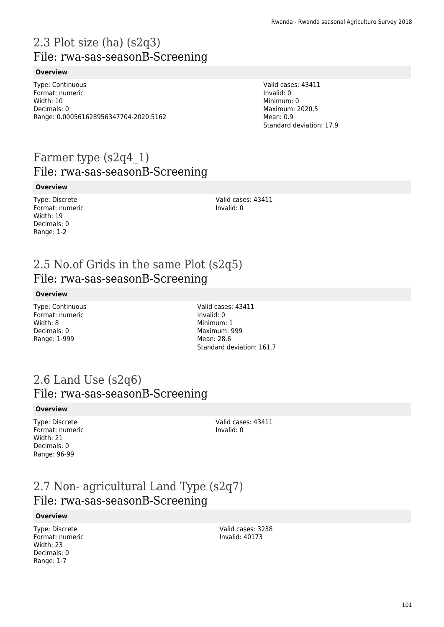## 2.3 Plot size (ha) (s2q3) File: rwa-sas-seasonB-Screening

### **Overview**

Type: Continuous Format: numeric Width: 10 Decimals: 0 Range: 0.000561628956347704-2020.5162 Valid cases: 43411 Invalid: 0 Minimum: 0 Maximum: 2020.5 Mean: 0.9 Standard deviation: 17.9

## Farmer type (s2q4\_1) File: rwa-sas-seasonB-Screening

#### **Overview**

Type: Discrete Format: numeric Width: 19 Decimals: 0 Range: 1-2

Valid cases: 43411 Invalid: 0

## 2.5 No.of Grids in the same Plot (s2q5) File: rwa-sas-seasonB-Screening

### **Overview**

Type: Continuous Format: numeric Width: 8 Decimals: 0 Range: 1-999

Valid cases: 43411 Invalid: 0 Minimum: 1 Maximum: 999 Mean: 28.6 Standard deviation: 161.7

### 2.6 Land Use (s2q6) File: rwa-sas-seasonB-Screening

#### **Overview**

Type: Discrete Format: numeric Width: 21 Decimals: 0 Range: 96-99

Valid cases: 43411 Invalid: 0

## 2.7 Non- agricultural Land Type (s2q7) File: rwa-sas-seasonB-Screening

#### **Overview**

Type: Discrete Format: numeric Width: 23 Decimals: 0 Range: 1-7

Valid cases: 3238 Invalid: 40173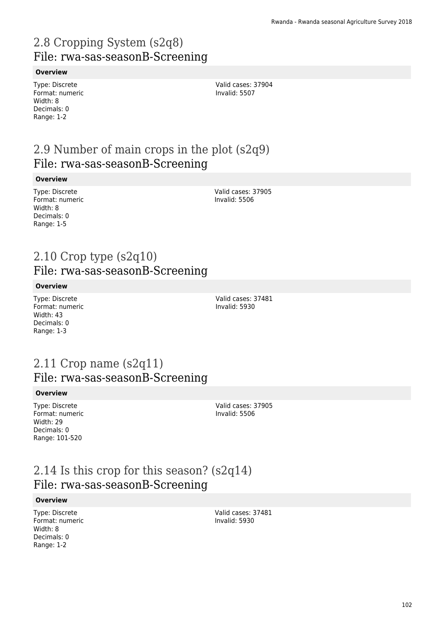# 2.8 Cropping System (s2q8) File: rwa-sas-seasonB-Screening

### **Overview**

Type: Discrete Format: numeric Width: 8 Decimals: 0 Range: 1-2

Valid cases: 37904 Invalid: 5507

## 2.9 Number of main crops in the plot (s2q9) File: rwa-sas-seasonB-Screening

### **Overview**

Type: Discrete Format: numeric Width: 8 Decimals: 0 Range: 1-5

Valid cases: 37905 Invalid: 5506

# 2.10 Crop type (s2q10) File: rwa-sas-seasonB-Screening

### **Overview**

Type: Discrete Format: numeric Width: 43 Decimals: 0 Range: 1-3

Valid cases: 37481 Invalid: 5930

## 2.11 Crop name (s2q11) File: rwa-sas-seasonB-Screening

### **Overview**

Type: Discrete Format: numeric Width: 29 Decimals: 0 Range: 101-520

Valid cases: 37905 Invalid: 5506

## 2.14 Is this crop for this season? (s2q14) File: rwa-sas-seasonB-Screening

#### **Overview**

Type: Discrete Format: numeric Width: 8 Decimals: 0 Range: 1-2

Valid cases: 37481 Invalid: 5930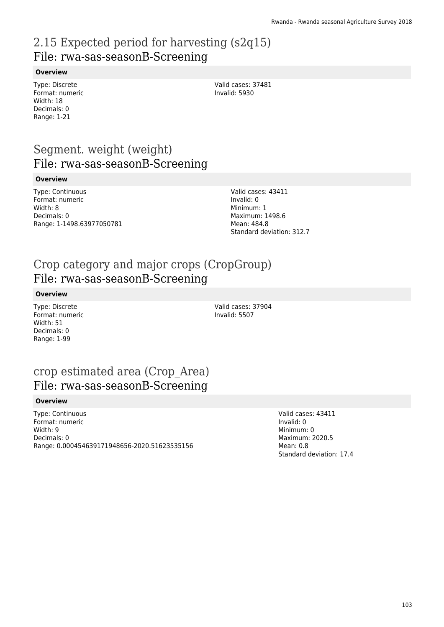# 2.15 Expected period for harvesting (s2q15) File: rwa-sas-seasonB-Screening

### **Overview**

Type: Discrete Format: numeric Width: 18 Decimals: 0 Range: 1-21

Valid cases: 37481 Invalid: 5930

## Segment. weight (weight) File: rwa-sas-seasonB-Screening

#### **Overview**

Type: Continuous Format: numeric Width: 8 Decimals: 0 Range: 1-1498.63977050781

Valid cases: 43411 Invalid: 0 Minimum: 1 Maximum: 1498.6 Mean: 484.8 Standard deviation: 312.7

## Crop category and major crops (CropGroup) File: rwa-sas-seasonB-Screening

### **Overview**

Type: Discrete Format: numeric Width: 51 Decimals: 0 Range: 1-99

Valid cases: 37904 Invalid: 5507

## crop estimated area (Crop\_Area) File: rwa-sas-seasonB-Screening

#### **Overview**

Type: Continuous Format: numeric Width: 9 Decimals: 0 Range: 0.000454639171948656-2020.51623535156 Valid cases: 43411 Invalid: 0 Minimum: 0 Maximum: 2020.5 Mean: 0.8 Standard deviation: 17.4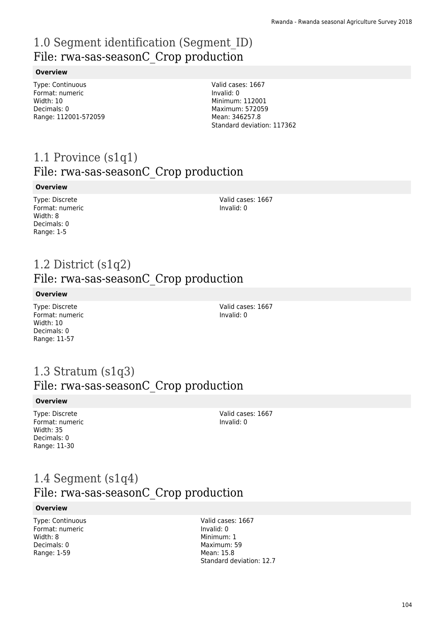## 1.0 Segment identification (Segment\_ID) File: rwa-sas-seasonC\_Crop production

### **Overview**

Type: Continuous Format: numeric Width: 10 Decimals: 0 Range: 112001-572059 Valid cases: 1667 Invalid: 0 Minimum: 112001 Maximum: 572059 Mean: 346257.8 Standard deviation: 117362

## 1.1 Province (s1q1) File: rwa-sas-seasonC\_Crop production

#### **Overview**

Type: Discrete Format: numeric Width: 8 Decimals: 0 Range: 1-5

Valid cases: 1667 Invalid: 0

## 1.2 District (s1q2) File: rwa-sas-seasonC\_Crop production

### **Overview**

Type: Discrete Format: numeric Width: 10 Decimals: 0 Range: 11-57

Valid cases: 1667 Invalid: 0

## 1.3 Stratum (s1q3) File: rwa-sas-seasonC\_Crop production

#### **Overview**

Type: Discrete Format: numeric Width: 35 Decimals: 0 Range: 11-30

Valid cases: 1667 Invalid: 0

## 1.4 Segment (s1q4) File: rwa-sas-seasonC\_Crop production

#### **Overview**

Type: Continuous Format: numeric Width: 8 Decimals: 0 Range: 1-59

Valid cases: 1667 Invalid: 0 Minimum: 1 Maximum: 59 Mean: 15.8 Standard deviation: 12.7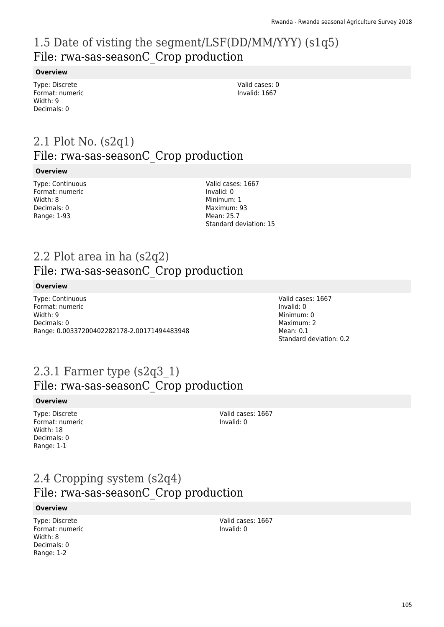# 1.5 Date of visting the segment/LSF(DD/MM/YYY) (s1q5) File: rwa-sas-seasonC\_Crop production

### **Overview**

Type: Discrete Format: numeric Width: 9 Decimals: 0

Valid cases: 0 Invalid: 1667

# 2.1 Plot No. (s2q1) File: rwa-sas-seasonC\_Crop production

### **Overview**

Type: Continuous Format: numeric Width: 8 Decimals: 0 Range: 1-93

Valid cases: 1667 Invalid: 0 Minimum: 1 Maximum: 93 Mean: 25.7 Standard deviation: 15

## 2.2 Plot area in ha (s2q2) File: rwa-sas-seasonC\_Crop production

#### **Overview**

Type: Continuous Format: numeric Width: 9 Decimals: 0 Range: 0.00337200402282178-2.00171494483948 Valid cases: 1667 Invalid: 0 Minimum: 0 Maximum: 2 Mean: 0.1 Standard deviation: 0.2

## 2.3.1 Farmer type (s2q3\_1) File: rwa-sas-seasonC\_Crop production

#### **Overview**

Type: Discrete Format: numeric Width: 18 Decimals: 0 Range: 1-1

Valid cases: 1667 Invalid: 0

# 2.4 Cropping system (s2q4) File: rwa-sas-seasonC\_Crop production

#### **Overview**

Type: Discrete Format: numeric Width: 8 Decimals: 0 Range: 1-2

Valid cases: 1667 Invalid: 0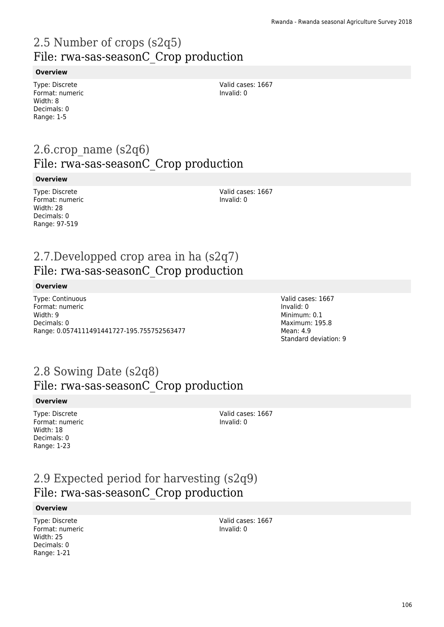# 2.5 Number of crops (s2q5) File: rwa-sas-seasonC\_Crop production

### **Overview**

Type: Discrete Format: numeric Width: 8 Decimals: 0 Range: 1-5

Valid cases: 1667 Invalid: 0

# 2.6.crop\_name  $(s2q6)$ File: rwa-sas-seasonC\_Crop production

#### **Overview**

Type: Discrete Format: numeric Width: 28 Decimals: 0 Range: 97-519

Valid cases: 1667 Invalid: 0

## 2.7.Developped crop area in ha (s2q7) File: rwa-sas-seasonC\_Crop production

#### **Overview**

Type: Continuous Format: numeric Width: 9 Decimals: 0 Range: 0.0574111491441727-195.755752563477 Valid cases: 1667 Invalid: 0 Minimum: 0.1 Maximum: 195.8 Mean: 4.9 Standard deviation: 9

## 2.8 Sowing Date (s2q8) File: rwa-sas-seasonC\_Crop production

#### **Overview**

Type: Discrete Format: numeric Width: 18 Decimals: 0 Range: 1-23

Valid cases: 1667 Invalid: 0

## 2.9 Expected period for harvesting (s2q9) File: rwa-sas-seasonC\_Crop production

#### **Overview**

Type: Discrete Format: numeric Width: 25 Decimals: 0 Range: 1-21

Valid cases: 1667 Invalid: 0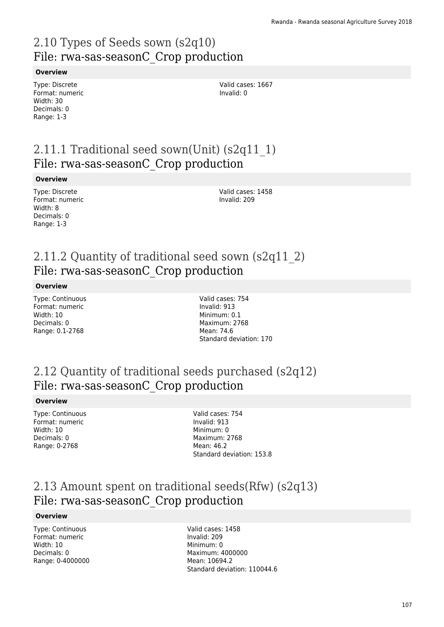# 2.10 Types of Seeds sown (s2q10) File: rwa-sas-seasonC\_Crop production

### **Overview**

Type: Discrete Format: numeric Width: 30 Decimals: 0 Range: 1-3

Valid cases: 1667 Invalid: 0

# 2.11.1 Traditional seed sown(Unit) (s2q11\_1) File: rwa-sas-seasonC\_Crop production

#### **Overview**

Type: Discrete Format: numeric Width: 8 Decimals: 0 Range: 1-3

Valid cases: 1458 Invalid: 209

# 2.11.2 Quantity of traditional seed sown (s2q11\_2) File: rwa-sas-seasonC\_Crop production

### **Overview**

Type: Continuous Format: numeric Width: 10 Decimals: 0 Range: 0.1-2768

Valid cases: 754 Invalid: 913 Minimum: 0.1 Maximum: 2768 Mean: 74.6 Standard deviation: 170

## 2.12 Quantity of traditional seeds purchased (s2q12) File: rwa-sas-seasonC\_Crop production

#### **Overview**

Type: Continuous Format: numeric Width: 10 Decimals: 0 Range: 0-2768

Valid cases: 754 Invalid: 913 Minimum: 0 Maximum: 2768 Mean: 46.2 Standard deviation: 153.8

## 2.13 Amount spent on traditional seeds(Rfw) (s2q13) File: rwa-sas-seasonC\_Crop production

#### **Overview**

Type: Continuous Format: numeric Width: 10 Decimals: 0 Range: 0-4000000 Valid cases: 1458 Invalid: 209 Minimum: 0 Maximum: 4000000 Mean: 10694.2 Standard deviation: 110044.6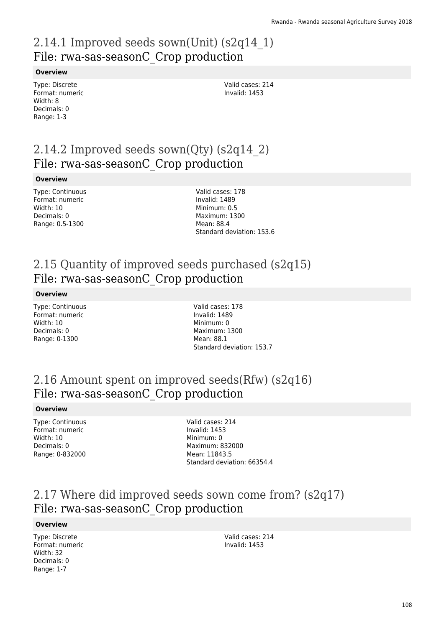# 2.14.1 Improved seeds sown(Unit) (s2q14\_1) File: rwa-sas-seasonC\_Crop production

### **Overview**

Type: Discrete Format: numeric Width: 8 Decimals: 0 Range: 1-3

Valid cases: 214 Invalid: 1453

## 2.14.2 Improved seeds sown(Qty) (s2q14\_2) File: rwa-sas-seasonC\_Crop production

#### **Overview**

Type: Continuous Format: numeric Width: 10 Decimals: 0 Range: 0.5-1300

Valid cases: 178 Invalid: 1489 Minimum: 0.5 Maximum: 1300 Mean: 88.4 Standard deviation: 153.6

## 2.15 Quantity of improved seeds purchased (s2q15) File: rwa-sas-seasonC\_Crop production

#### **Overview**

Type: Continuous Format: numeric Width: 10 Decimals: 0 Range: 0-1300

Valid cases: 178 Invalid: 1489 Minimum: 0 Maximum: 1300 Mean: 88.1 Standard deviation: 153.7

## 2.16 Amount spent on improved seeds(Rfw) (s2q16) File: rwa-sas-seasonC\_Crop production

#### **Overview**

Type: Continuous Format: numeric Width: 10 Decimals: 0 Range: 0-832000

Valid cases: 214 Invalid: 1453 Minimum: 0 Maximum: 832000 Mean: 11843.5 Standard deviation: 66354.4

## 2.17 Where did improved seeds sown come from? (s2q17) File: rwa-sas-seasonC\_Crop production

#### **Overview**

Type: Discrete Format: numeric Width: 32 Decimals: 0 Range: 1-7

Valid cases: 214 Invalid: 1453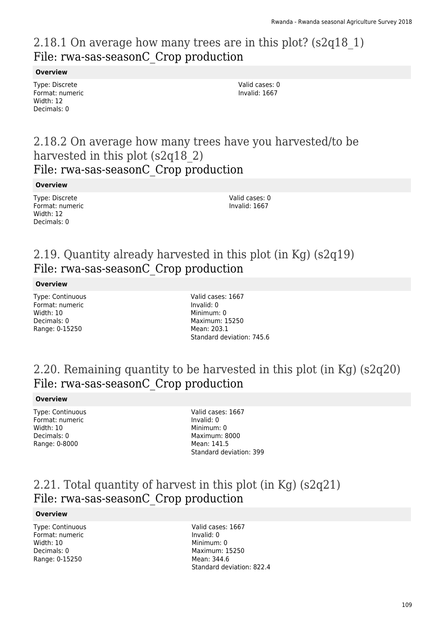### 2.18.1 On average how many trees are in this plot? (s2q18\_1) File: rwa-sas-seasonC\_Crop production

#### **Overview**

Type: Discrete Format: numeric Width: 12 Decimals: 0

Valid cases: 0 Invalid: 1667

### 2.18.2 On average how many trees have you harvested/to be harvested in this plot (s2q18\_2) File: rwa-sas-seasonC\_Crop production

#### **Overview**

Type: Discrete Format: numeric Width: 12 Decimals: 0

Valid cases: 0 Invalid: 1667

### 2.19. Quantity already harvested in this plot (in Kg) (s2q19) File: rwa-sas-seasonC\_Crop production

#### **Overview**

Type: Continuous Format: numeric Width: 10 Decimals: 0 Range: 0-15250

Valid cases: 1667 Invalid: 0 Minimum: 0 Maximum: 15250 Mean: 203.1 Standard deviation: 745.6

### 2.20. Remaining quantity to be harvested in this plot (in Kg) (s2q20) File: rwa-sas-seasonC\_Crop production

#### **Overview**

Type: Continuous Format: numeric Width: 10 Decimals: 0 Range: 0-8000

Valid cases: 1667 Invalid: 0 Minimum: 0 Maximum: 8000 Mean: 141.5 Standard deviation: 399

### 2.21. Total quantity of harvest in this plot (in Kg) (s2q21) File: rwa-sas-seasonC\_Crop production

#### **Overview**

Type: Continuous Format: numeric Width: 10 Decimals: 0 Range: 0-15250

Valid cases: 1667 Invalid: 0 Minimum: 0 Maximum: 15250 Mean: 344.6 Standard deviation: 822.4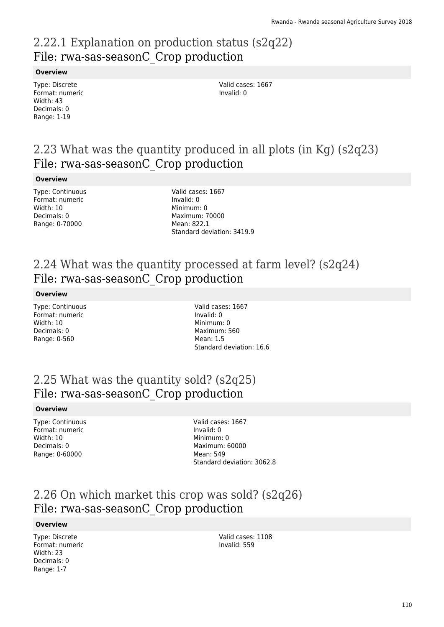# 2.22.1 Explanation on production status (s2q22) File: rwa-sas-seasonC\_Crop production

#### **Overview**

Type: Discrete Format: numeric Width: 43 Decimals: 0 Range: 1-19

Valid cases: 1667 Invalid: 0

### 2.23 What was the quantity produced in all plots (in Kg) (s2q23) File: rwa-sas-seasonC\_Crop production

#### **Overview**

| <b>Type: Continuous</b> |
|-------------------------|
| Format: numeric         |
| Width: 10               |
| Decimals: 0             |
| Range: 0-70000          |

Valid cases: 1667 Invalid: 0 Minimum: 0 Maximum: 70000 Mean: 822.1 Standard deviation: 3419.9

### 2.24 What was the quantity processed at farm level? (s2q24) File: rwa-sas-seasonC\_Crop production

#### **Overview**

| Type: Continuous |
|------------------|
| Format: numeric  |
| Width: 10        |
| Decimals: 0      |
| Range: 0-560     |

Valid cases: 1667 Invalid: 0 Minimum: 0 Maximum: 560 Mean: 1.5 Standard deviation: 16.6

### 2.25 What was the quantity sold? (s2q25) File: rwa-sas-seasonC\_Crop production

#### **Overview**

Type: Continuous Format: numeric Width: 10 Decimals: 0 Range: 0-60000

Valid cases: 1667 Invalid: 0 Minimum: 0 Maximum: 60000 Mean: 549 Standard deviation: 3062.8

### 2.26 On which market this crop was sold? (s2q26) File: rwa-sas-seasonC\_Crop production

#### **Overview**

Type: Discrete Format: numeric Width: 23 Decimals: 0 Range: 1-7

Valid cases: 1108 Invalid: 559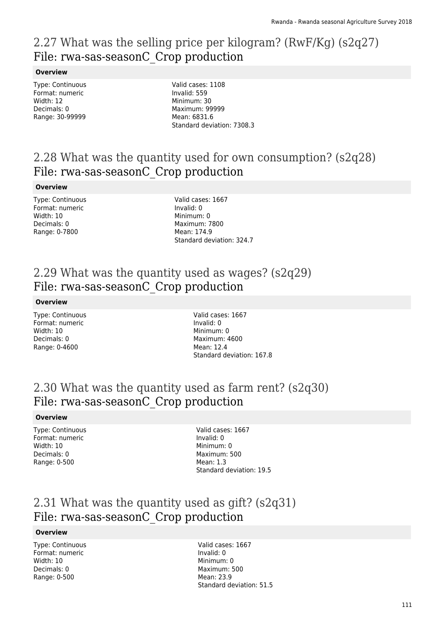## 2.27 What was the selling price per kilogram? (RwF/Kg) (s2q27) File: rwa-sas-seasonC\_Crop production

#### **Overview**

Type: Continuous Format: numeric Width: 12 Decimals: 0 Range: 30-99999

Valid cases: 1108 Invalid: 559 Minimum: 30 Maximum: 99999 Mean: 6831.6 Standard deviation: 7308.3

### 2.28 What was the quantity used for own consumption? (s2q28) File: rwa-sas-seasonC\_Crop production

#### **Overview**

Type: Continuous Format: numeric Width: 10 Decimals: 0 Range: 0-7800

Valid cases: 1667 Invalid: 0 Minimum: 0 Maximum: 7800 Mean: 174.9 Standard deviation: 324.7

### 2.29 What was the quantity used as wages? (s2q29) File: rwa-sas-seasonC\_Crop production

#### **Overview**

Type: Continuous Format: numeric Width: 10 Decimals: 0 Range: 0-4600

Valid cases: 1667 Invalid: 0 Minimum: 0 Maximum: 4600 Mean: 12.4 Standard deviation: 167.8

### 2.30 What was the quantity used as farm rent? (s2q30) File: rwa-sas-seasonC\_Crop production

#### **Overview**

Type: Continuous Format: numeric Width: 10 Decimals: 0 Range: 0-500

Valid cases: 1667 Invalid: 0 Minimum: 0 Maximum: 500 Mean: 1.3 Standard deviation: 19.5

### 2.31 What was the quantity used as gift? (s2q31) File: rwa-sas-seasonC\_Crop production

#### **Overview**

Type: Continuous Format: numeric Width: 10 Decimals: 0 Range: 0-500

Valid cases: 1667 Invalid: 0 Minimum: 0 Maximum: 500 Mean: 23.9 Standard deviation: 51.5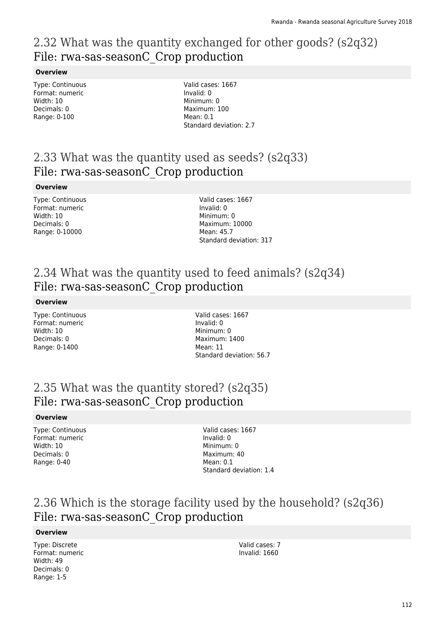# 2.32 What was the quantity exchanged for other goods? (s2q32) File: rwa-sas-seasonC\_Crop production

#### **Overview**

Type: Continuous Format: numeric Width: 10 Decimals: 0 Range: 0-100

Valid cases: 1667 Invalid: 0 Minimum: 0 Maximum: 100 Mean: 0.1 Standard deviation: 2.7

## 2.33 What was the quantity used as seeds? (s2q33) File: rwa-sas-seasonC\_Crop production

#### **Overview**

Type: Continuous Format: numeric Width: 10 Decimals: 0 Range: 0-10000

Valid cases: 1667 Invalid: 0 Minimum: 0 Maximum: 10000 Mean: 45.7 Standard deviation: 317

### 2.34 What was the quantity used to feed animals? (s2q34) File: rwa-sas-seasonC\_Crop production

#### **Overview**

Type: Continuous Format: numeric Width: 10 Decimals: 0 Range: 0-1400

Valid cases: 1667 Invalid: 0 Minimum: 0 Maximum: 1400 Mean: 11 Standard deviation: 56.7

## 2.35 What was the quantity stored? (s2q35) File: rwa-sas-seasonC\_Crop production

### **Overview**

Type: Continuous Format: numeric Width: 10 Decimals: 0 Range: 0-40

Valid cases: 1667 Invalid: 0 Minimum: 0 Maximum: 40 Mean: 0.1 Standard deviation: 1.4

### 2.36 Which is the storage facility used by the household? (s2q36) File: rwa-sas-seasonC\_Crop production

### **Overview**

Type: Discrete Format: numeric Width: 49 Decimals: 0 Range: 1-5

Valid cases: 7 Invalid: 1660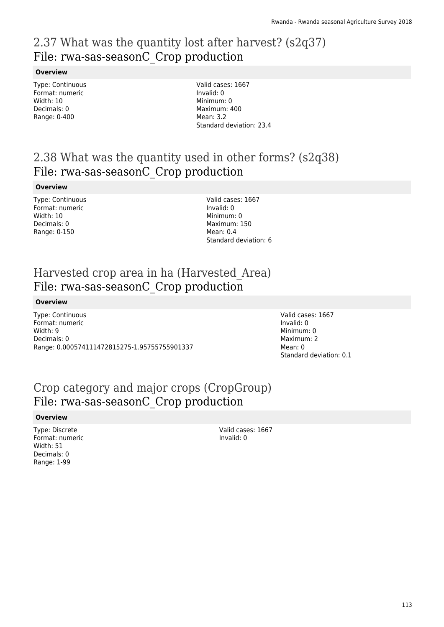# 2.37 What was the quantity lost after harvest? (s2q37) File: rwa-sas-seasonC\_Crop production

#### **Overview**

Type: Continuous Format: numeric Width: 10 Decimals: 0 Range: 0-400

Valid cases: 1667 Invalid: 0 Minimum: 0 Maximum: 400 Mean: 3.2 Standard deviation: 23.4

## 2.38 What was the quantity used in other forms? (s2q38) File: rwa-sas-seasonC\_Crop production

#### **Overview**

Type: Continuous Format: numeric Width: 10 Decimals: 0 Range: 0-150

Valid cases: 1667 Invalid: 0 Minimum: 0 Maximum: 150 Mean: 0.4 Standard deviation: 6

## Harvested crop area in ha (Harvested\_Area) File: rwa-sas-seasonC\_Crop production

#### **Overview**

Type: Continuous Format: numeric Width: 9 Decimals: 0 Range: 0.000574111472815275-1.95755755901337

Valid cases: 1667 Invalid: 0 Minimum: 0 Maximum: 2 Mean: 0 Standard deviation: 0.1

### Crop category and major crops (CropGroup) File: rwa-sas-seasonC\_Crop production

#### **Overview**

Type: Discrete Format: numeric Width: 51 Decimals: 0 Range: 1-99

Valid cases: 1667 Invalid: 0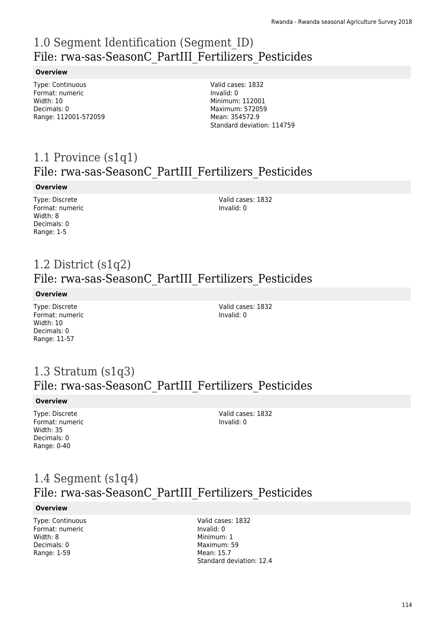## 1.0 Segment Identification (Segment\_ID) File: rwa-sas-SeasonC\_PartIII\_Fertilizers\_Pesticides

#### **Overview**

Type: Continuous Format: numeric Width: 10 Decimals: 0 Range: 112001-572059

Valid cases: 1832 Invalid: 0 Minimum: 112001 Maximum: 572059 Mean: 354572.9 Standard deviation: 114759

# 1.1 Province (s1q1) File: rwa-sas-SeasonC\_PartIII\_Fertilizers\_Pesticides

#### **Overview**

Type: Discrete Format: numeric Width: 8 Decimals: 0 Range: 1-5

Valid cases: 1832 Invalid: 0

### 1.2 District (s1q2) File: rwa-sas-SeasonC\_PartIII\_Fertilizers\_Pesticides

### **Overview**

Type: Discrete Format: numeric Width: 10 Decimals: 0 Range: 11-57

Valid cases: 1832 Invalid: 0

### 1.3 Stratum (s1q3) File: rwa-sas-SeasonC\_PartIII\_Fertilizers\_Pesticides

#### **Overview**

Type: Discrete Format: numeric Width: 35 Decimals: 0 Range: 0-40

Valid cases: 1832 Invalid: 0

# 1.4 Segment (s1q4) File: rwa-sas-SeasonC\_PartIII\_Fertilizers\_Pesticides

#### **Overview**

Type: Continuous Format: numeric Width: 8 Decimals: 0 Range: 1-59

Valid cases: 1832 Invalid: 0 Minimum: 1 Maximum: 59 Mean: 15.7 Standard deviation: 12.4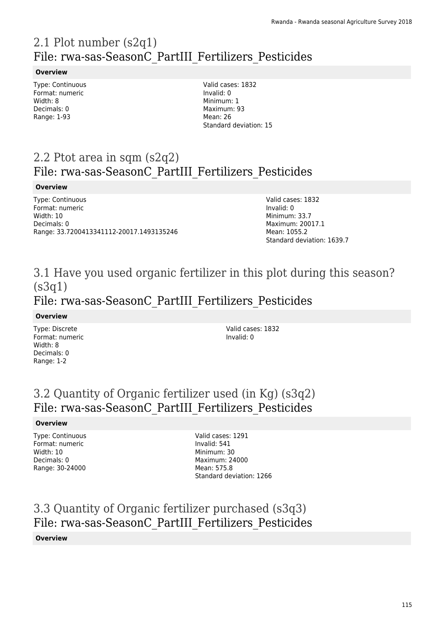# 2.1 Plot number (s2q1) File: rwa-sas-SeasonC\_PartIII\_Fertilizers\_Pesticides

#### **Overview**

Type: Continuous Format: numeric Width: 8 Decimals: 0 Range: 1-93

Valid cases: 1832 Invalid: 0 Minimum: 1 Maximum: 93 Mean: 26 Standard deviation: 15

# 2.2 Ptot area in sqm (s2q2) File: rwa-sas-SeasonC\_PartIII\_Fertilizers\_Pesticides

#### **Overview**

Type: Continuous Format: numeric Width: 10 Decimals: 0 Range: 33.7200413341112-20017.1493135246

Valid cases: 1832 Invalid: 0 Minimum: 33.7 Maximum: 20017.1 Mean: 1055.2 Standard deviation: 1639.7

# 3.1 Have you used organic fertilizer in this plot during this season? (s3q1)

## File: rwa-sas-SeasonC\_PartIII\_Fertilizers\_Pesticides

### **Overview**

Type: Discrete Format: numeric Width: 8 Decimals: 0 Range: 1-2

Valid cases: 1832 Invalid: 0

## 3.2 Quantity of Organic fertilizer used (in Kg) (s3q2) File: rwa-sas-SeasonC\_PartIII\_Fertilizers\_Pesticides

### **Overview**

Type: Continuous Format: numeric Width: 10 Decimals: 0 Range: 30-24000

Valid cases: 1291 Invalid: 541 Minimum: 30 Maximum: 24000 Mean: 575.8 Standard deviation: 1266

# 3.3 Quantity of Organic fertilizer purchased (s3q3) File: rwa-sas-SeasonC\_PartIII\_Fertilizers\_Pesticides

### **Overview**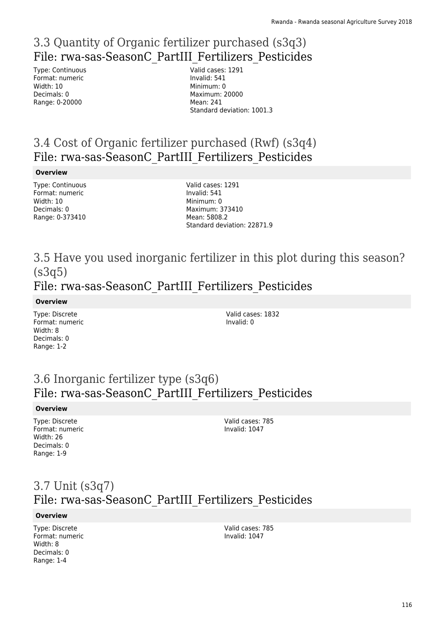# 3.3 Quantity of Organic fertilizer purchased (s3q3) File: rwa-sas-SeasonC\_PartIII\_Fertilizers\_Pesticides

Type: Continuous Format: numeric Width: 10 Decimals: 0 Range: 0-20000

Valid cases: 1291 Invalid: 541 Minimum: 0 Maximum: 20000 Mean: 241 Standard deviation: 1001.3

# 3.4 Cost of Organic fertilizer purchased (Rwf) (s3q4) File: rwa-sas-SeasonC\_PartIII\_Fertilizers\_Pesticides

#### **Overview**

Type: Continuous Format: numeric Width: 10 Decimals: 0 Range: 0-373410

Valid cases: 1291 Invalid: 541 Minimum: 0 Maximum: 373410 Mean: 5808.2 Standard deviation: 22871.9

# 3.5 Have you used inorganic fertilizer in this plot during this season? (s3q5)

# File: rwa-sas-SeasonC\_PartIII\_Fertilizers\_Pesticides

### **Overview**

Type: Discrete Format: numeric Width: 8 Decimals: 0 Range: 1-2

Valid cases: 1832 Invalid: 0

### 3.6 Inorganic fertilizer type (s3q6) File: rwa-sas-SeasonC\_PartIII\_Fertilizers\_Pesticides

### **Overview**

Type: Discrete Format: numeric Width: 26 Decimals: 0 Range: 1-9

Valid cases: 785 Invalid: 1047

## 3.7 Unit (s3q7) File: rwa-sas-SeasonC\_PartIII\_Fertilizers\_Pesticides

### **Overview**

Type: Discrete Format: numeric Width: 8 Decimals: 0 Range: 1-4

Valid cases: 785 Invalid: 1047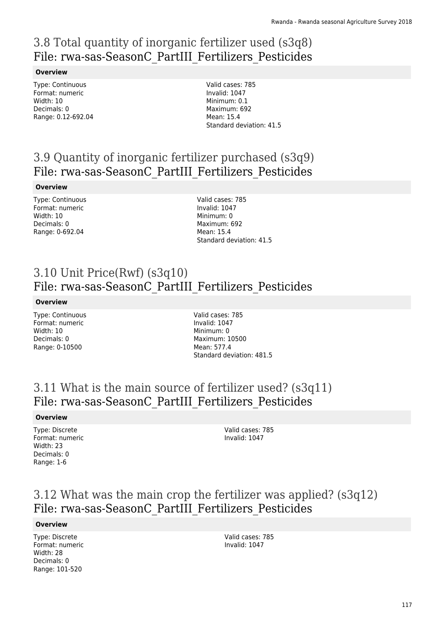# 3.8 Total quantity of inorganic fertilizer used (s3q8) File: rwa-sas-SeasonC\_PartIII\_Fertilizers\_Pesticides

#### **Overview**

Type: Continuous Format: numeric Width: 10 Decimals: 0 Range: 0.12-692.04 Valid cases: 785 Invalid: 1047 Minimum: 0.1 Maximum: 692 Mean: 15.4 Standard deviation: 41.5

# 3.9 Quantity of inorganic fertilizer purchased (s3q9) File: rwa-sas-SeasonC\_PartIII\_Fertilizers\_Pesticides

#### **Overview**

Type: Continuous Format: numeric Width: 10 Decimals: 0 Range: 0-692.04

Valid cases: 785 Invalid: 1047 Minimum: 0 Maximum: 692 Mean: 15.4 Standard deviation: 41.5

### 3.10 Unit Price(Rwf) (s3q10) File: rwa-sas-SeasonC\_PartIII\_Fertilizers\_Pesticides

#### **Overview**

Type: Continuous Format: numeric Width: 10 Decimals: 0 Range: 0-10500

Valid cases: 785 Invalid: 1047 Minimum: 0 Maximum: 10500 Mean: 577.4 Standard deviation: 481.5

### 3.11 What is the main source of fertilizer used? (s3q11) File: rwa-sas-SeasonC\_PartIII\_Fertilizers\_Pesticides

### **Overview**

Type: Discrete Format: numeric Width: 23 Decimals: 0 Range: 1-6

Valid cases: 785 Invalid: 1047

### 3.12 What was the main crop the fertilizer was applied? (s3q12) File: rwa-sas-SeasonC\_PartIII\_Fertilizers\_Pesticides

### **Overview**

Type: Discrete Format: numeric Width: 28 Decimals: 0 Range: 101-520

Valid cases: 785 Invalid: 1047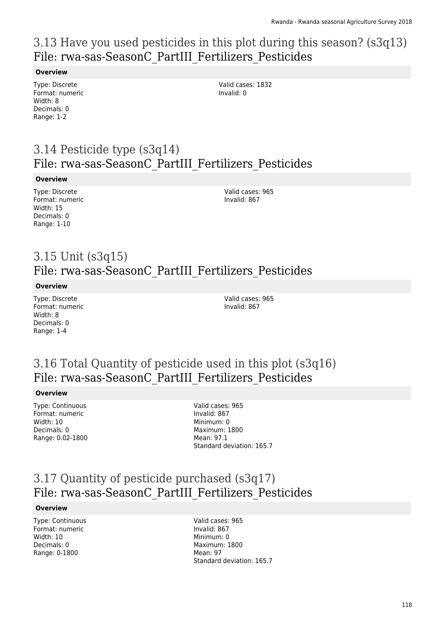### 3.13 Have you used pesticides in this plot during this season? (s3q13) File: rwa-sas-SeasonC\_PartIII\_Fertilizers\_Pesticides

**Overview**

Type: Discrete Format: numeric Width: 8 Decimals: 0 Range: 1-2

Valid cases: 1832 Invalid: 0

### 3.14 Pesticide type (s3q14) File: rwa-sas-SeasonC\_PartIII\_Fertilizers\_Pesticides

#### **Overview**

Type: Discrete Format: numeric Width: 15 Decimals: 0 Range: 1-10

Valid cases: 965 Invalid: 867

# 3.15 Unit (s3q15) File: rwa-sas-SeasonC\_PartIII\_Fertilizers\_Pesticides

#### **Overview**

Type: Discrete Format: numeric Width: 8 Decimals: 0 Range: 1-4

Valid cases: 965 Invalid: 867

### 3.16 Total Quantity of pesticide used in this plot (s3q16) File: rwa-sas-SeasonC\_PartIII\_Fertilizers\_Pesticides

#### **Overview**

Type: Continuous Format: numeric Width: 10 Decimals: 0 Range: 0.02-1800

Valid cases: 965 Invalid: 867 Minimum: 0 Maximum: 1800 Mean: 97.1 Standard deviation: 165.7

# 3.17 Quantity of pesticide purchased (s3q17) File: rwa-sas-SeasonC\_PartIII\_Fertilizers\_Pesticides

#### **Overview**

Type: Continuous Format: numeric Width: 10 Decimals: 0 Range: 0-1800

Valid cases: 965 Invalid: 867 Minimum: 0 Maximum: 1800 Mean: 97 Standard deviation: 165.7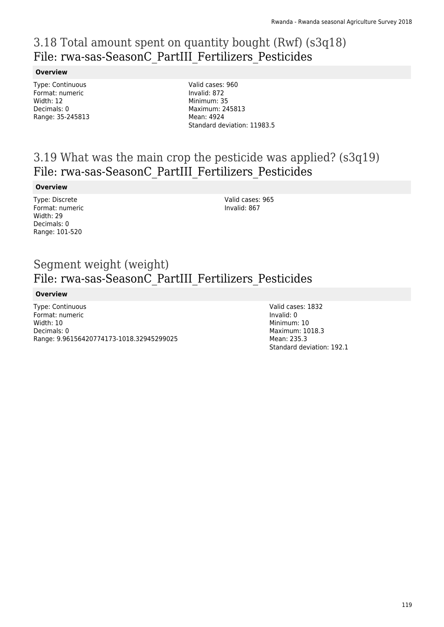# 3.18 Total amount spent on quantity bought (Rwf) (s3q18) File: rwa-sas-SeasonC\_PartIII\_Fertilizers\_Pesticides

#### **Overview**

Type: Continuous Format: numeric Width: 12 Decimals: 0 Range: 35-245813 Valid cases: 960 Invalid: 872 Minimum: 35 Maximum: 245813 Mean: 4924 Standard deviation: 11983.5

### 3.19 What was the main crop the pesticide was applied? (s3q19) File: rwa-sas-SeasonC\_PartIII\_Fertilizers\_Pesticides

#### **Overview**

Type: Discrete Format: numeric Width: 29 Decimals: 0 Range: 101-520

Valid cases: 965 Invalid: 867

### Segment weight (weight) File: rwa-sas-SeasonC\_PartIII\_Fertilizers\_Pesticides

#### **Overview**

Type: Continuous Format: numeric Width: 10 Decimals: 0 Range: 9.96156420774173-1018.32945299025

Valid cases: 1832 Invalid: 0 Minimum: 10 Maximum: 1018.3 Mean: 235.3 Standard deviation: 192.1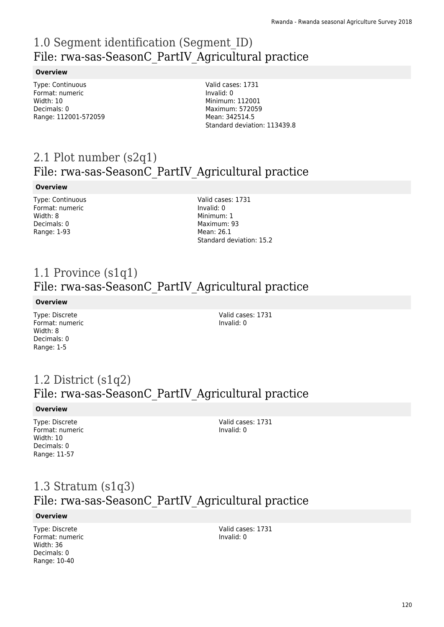## 1.0 Segment identification (Segment\_ID) File: rwa-sas-SeasonC\_PartIV\_Agricultural practice

#### **Overview**

Type: Continuous Format: numeric Width: 10 Decimals: 0 Range: 112001-572059

Valid cases: 1731 Invalid: 0 Minimum: 112001 Maximum: 572059 Mean: 342514.5 Standard deviation: 113439.8

## 2.1 Plot number (s2q1) File: rwa-sas-SeasonC\_PartIV\_Agricultural practice

#### **Overview**

Type: Continuous Format: numeric Width: 8 Decimals: 0 Range: 1-93

Valid cases: 1731 Invalid: 0 Minimum: 1 Maximum: 93 Mean: 26.1 Standard deviation: 15.2

### 1.1 Province (s1q1) File: rwa-sas-SeasonC\_PartIV\_Agricultural practice

#### **Overview**

Type: Discrete Format: numeric Width: 8 Decimals: 0 Range: 1-5

Valid cases: 1731 Invalid: 0

### 1.2 District (s1q2) File: rwa-sas-SeasonC\_PartIV\_Agricultural practice

#### **Overview**

Type: Discrete Format: numeric Width: 10 Decimals: 0 Range: 11-57

Valid cases: 1731 Invalid: 0

## 1.3 Stratum (s1q3) File: rwa-sas-SeasonC\_PartIV\_Agricultural practice

#### **Overview**

Type: Discrete Format: numeric Width: 36 Decimals: 0 Range: 10-40

Valid cases: 1731 Invalid: 0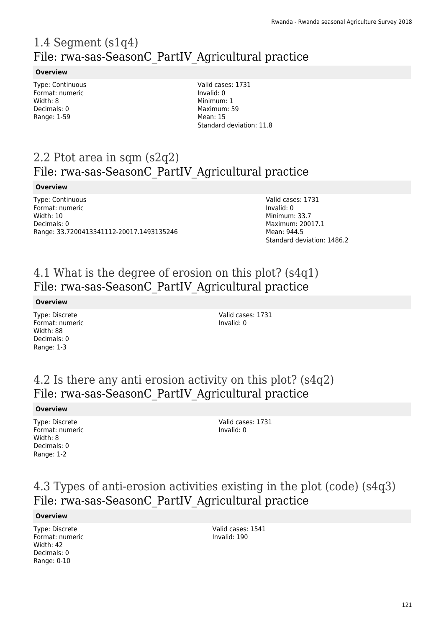# 1.4 Segment (s1q4) File: rwa-sas-SeasonC\_PartIV\_Agricultural practice

#### **Overview**

Type: Continuous Format: numeric Width: 8 Decimals: 0 Range: 1-59

Valid cases: 1731 Invalid: 0 Minimum: 1 Maximum: 59 Mean: 15 Standard deviation: 11.8

# 2.2 Ptot area in sqm (s2q2) File: rwa-sas-SeasonC\_PartIV\_Agricultural practice

#### **Overview**

Type: Continuous Format: numeric Width: 10 Decimals: 0 Range: 33.7200413341112-20017.1493135246

Valid cases: 1731 Invalid: 0 Minimum: 33.7 Maximum: 20017.1 Mean: 944.5 Standard deviation: 1486.2

### 4.1 What is the degree of erosion on this plot? (s4q1) File: rwa-sas-SeasonC\_PartIV\_Agricultural practice

#### **Overview**

Type: Discrete Format: numeric Width: 88 Decimals: 0 Range: 1-3

Valid cases: 1731 Invalid: 0

### 4.2 Is there any anti erosion activity on this plot? (s4q2) File: rwa-sas-SeasonC\_PartIV\_Agricultural practice

#### **Overview**

Type: Discrete Format: numeric Width: 8 Decimals: 0 Range: 1-2

Valid cases: 1731 Invalid: 0

### 4.3 Types of anti-erosion activities existing in the plot (code) (s4q3) File: rwa-sas-SeasonC\_PartIV\_Agricultural practice

### **Overview**

Type: Discrete Format: numeric Width: 42 Decimals: 0 Range: 0-10

Valid cases: 1541 Invalid: 190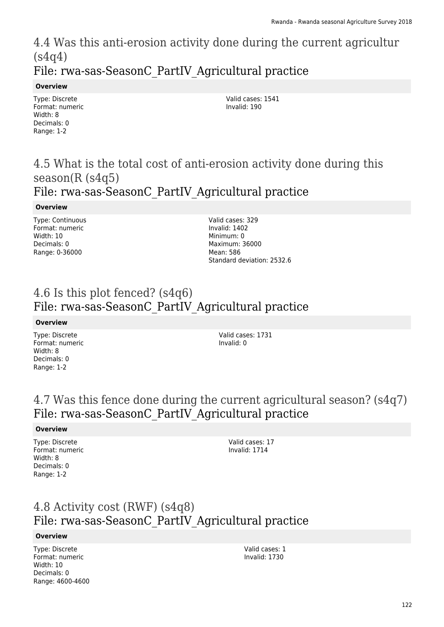4.4 Was this anti-erosion activity done during the current agricultur  $(s4q4)$ File: rwa-sas-SeasonC\_PartIV\_Agricultural practice

#### **Overview**

Type: Discrete Format: numeric Width: 8 Decimals: 0 Range: 1-2

Valid cases: 1541 Invalid: 190

### 4.5 What is the total cost of anti-erosion activity done during this season(R (s4q5) File: rwa-sas-SeasonC\_PartIV\_Agricultural practice

#### **Overview**

Type: Continuous Format: numeric Width: 10 Decimals: 0 Range: 0-36000

Valid cases: 329 Invalid: 1402 Minimum: 0 Maximum: 36000 Mean: 586 Standard deviation: 2532.6

## 4.6 Is this plot fenced? (s4q6) File: rwa-sas-SeasonC\_PartIV\_Agricultural practice

#### **Overview**

Type: Discrete Format: numeric Width: 8 Decimals: 0 Range: 1-2

Valid cases: 1731 Invalid: 0

### 4.7 Was this fence done during the current agricultural season? (s4q7) File: rwa-sas-SeasonC\_PartIV\_Agricultural practice

#### **Overview**

Type: Discrete Format: numeric Width: 8 Decimals: 0 Range: 1-2

Valid cases: 17 Invalid: 1714

### 4.8 Activity cost (RWF) (s4q8) File: rwa-sas-SeasonC\_PartIV\_Agricultural practice

#### **Overview**

Type: Discrete Format: numeric Width: 10 Decimals: 0 Range: 4600-4600

Valid cases: 1 Invalid: 1730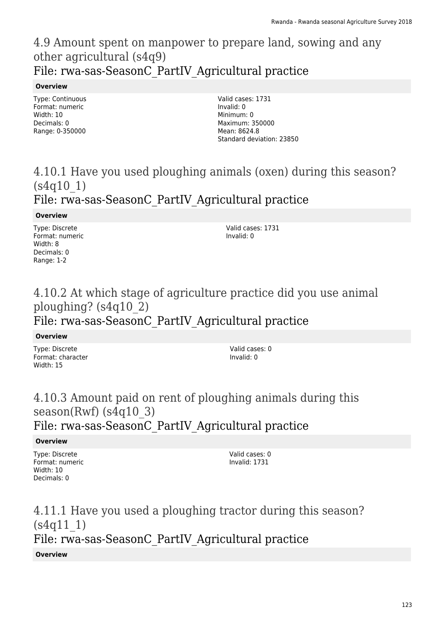### 4.9 Amount spent on manpower to prepare land, sowing and any other agricultural (s4q9) File: rwa-sas-SeasonC\_PartIV\_Agricultural practice

#### **Overview**

Type: Continuous Format: numeric Width: 10 Decimals: 0 Range: 0-350000

Valid cases: 1731 Invalid: 0 Minimum: 0 Maximum: 350000 Mean: 8624.8 Standard deviation: 23850

4.10.1 Have you used ploughing animals (oxen) during this season?  $(s4q101)$ 

### File: rwa-sas-SeasonC\_PartIV\_Agricultural practice

### **Overview**

Type: Discrete Format: numeric Width: 8 Decimals: 0 Range: 1-2

Valid cases: 1731 Invalid: 0

# 4.10.2 At which stage of agriculture practice did you use animal ploughing? (s4q10\_2)

### File: rwa-sas-SeasonC\_PartIV\_Agricultural practice

### **Overview**

Type: Discrete Format: character Width: 15

Valid cases: 0 Invalid: 0

### 4.10.3 Amount paid on rent of ploughing animals during this season(Rwf)  $(s4q10\ 3)$ File: rwa-sas-SeasonC\_PartIV\_Agricultural practice

### **Overview**

Type: Discrete Format: numeric Width: 10 Decimals: 0

Valid cases: 0 Invalid: 1731

4.11.1 Have you used a ploughing tractor during this season?  $(s4q11 1)$ File: rwa-sas-SeasonC\_PartIV\_Agricultural practice **Overview**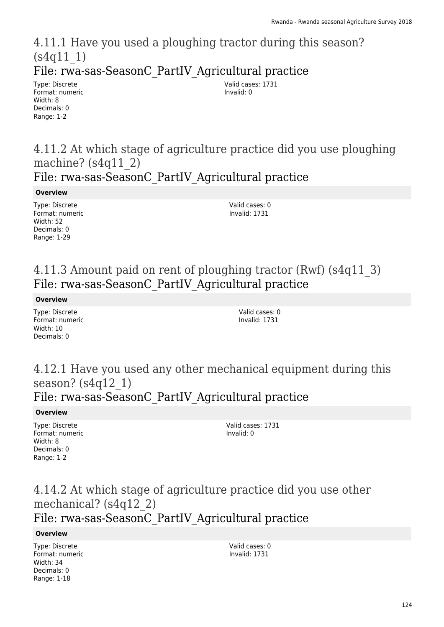### 4.11.1 Have you used a ploughing tractor during this season?  $(s4q11 1)$ File: rwa-sas-SeasonC\_PartIV\_Agricultural practice

Type: Discrete Format: numeric Width: 8 Decimals: 0 Range: 1-2

Valid cases: 1731 Invalid: 0

# 4.11.2 At which stage of agriculture practice did you use ploughing machine?  $(s4q11\;2)$

File: rwa-sas-SeasonC\_PartIV\_Agricultural practice

**Overview**

Type: Discrete Format: numeric Width: 52 Decimals: 0 Range: 1-29

Valid cases: 0 Invalid: 1731

# 4.11.3 Amount paid on rent of ploughing tractor (Rwf) (s4q11\_3) File: rwa-sas-SeasonC\_PartIV\_Agricultural practice

**Overview**

Type: Discrete Format: numeric Width: 10 Decimals: 0

Valid cases: 0 Invalid: 1731

### 4.12.1 Have you used any other mechanical equipment during this season?  $(s4q12_1)$ File: rwa-sas-SeasonC\_PartIV\_Agricultural practice

**Overview**

Type: Discrete Format: numeric Width: 8 Decimals: 0 Range: 1-2

Valid cases: 1731 Invalid: 0

# 4.14.2 At which stage of agriculture practice did you use other mechanical? (s4q12\_2)

### File: rwa-sas-SeasonC\_PartIV\_Agricultural practice

### **Overview**

Type: Discrete Format: numeric Width: 34 Decimals: 0 Range: 1-18

Valid cases: 0 Invalid: 1731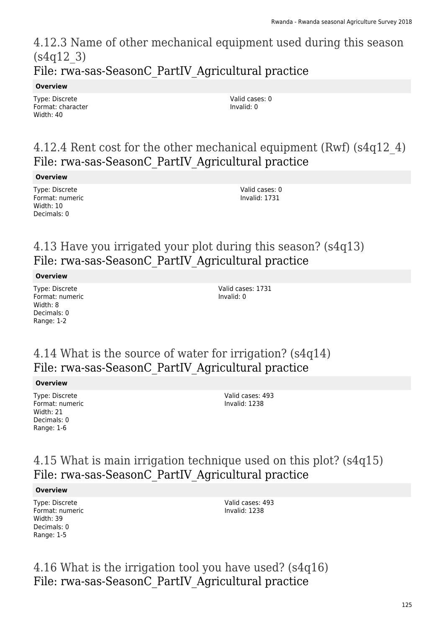### 4.12.3 Name of other mechanical equipment used during this season (s4q12\_3) File: rwa-sas-SeasonC\_PartIV\_Agricultural practice

**Overview**

Type: Discrete Format: character Width: 40

Valid cases: 0 Invalid: 0

### 4.12.4 Rent cost for the other mechanical equipment (Rwf) (s4q12\_4) File: rwa-sas-SeasonC\_PartIV\_Agricultural practice

**Overview**

Type: Discrete Format: numeric Width: 10 Decimals: 0

Valid cases: 0 Invalid: 1731

### 4.13 Have you irrigated your plot during this season? (s4q13) File: rwa-sas-SeasonC\_PartIV\_Agricultural practice

**Overview**

Type: Discrete Format: numeric Width: 8 Decimals: 0 Range: 1-2

Valid cases: 1731 Invalid: 0

## 4.14 What is the source of water for irrigation? (s4q14) File: rwa-sas-SeasonC\_PartIV\_Agricultural practice

**Overview**

Type: Discrete Format: numeric Width: 21 Decimals: 0 Range: 1-6

Valid cases: 493 Invalid: 1238

### 4.15 What is main irrigation technique used on this plot? (s4q15) File: rwa-sas-SeasonC\_PartIV\_Agricultural practice

### **Overview**

Type: Discrete Format: numeric Width: 39 Decimals: 0 Range: 1-5

Valid cases: 493 Invalid: 1238

4.16 What is the irrigation tool you have used? (s4q16) File: rwa-sas-SeasonC\_PartIV\_Agricultural practice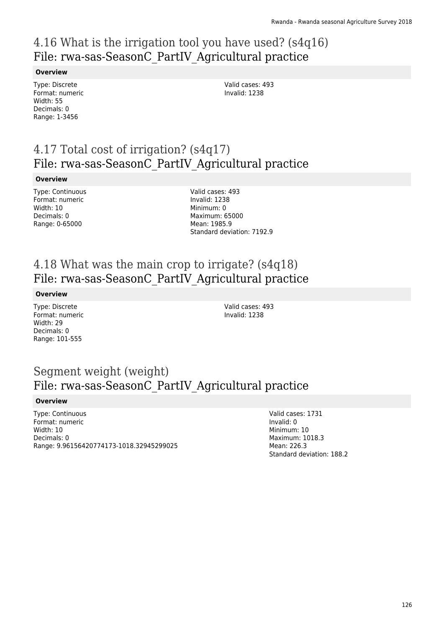# 4.16 What is the irrigation tool you have used? (s4q16) File: rwa-sas-SeasonC\_PartIV\_Agricultural practice

#### **Overview**

Type: Discrete Format: numeric Width: 55 Decimals: 0 Range: 1-3456

Valid cases: 493 Invalid: 1238

## 4.17 Total cost of irrigation? (s4q17) File: rwa-sas-SeasonC\_PartIV\_Agricultural practice

#### **Overview**

Type: Continuous Format: numeric Width: 10 Decimals: 0 Range: 0-65000

Valid cases: 493 Invalid: 1238 Minimum: 0 Maximum: 65000 Mean: 1985.9 Standard deviation: 7192.9

### 4.18 What was the main crop to irrigate? (s4q18) File: rwa-sas-SeasonC\_PartIV\_Agricultural practice

#### **Overview**

Type: Discrete Format: numeric Width: 29 Decimals: 0 Range: 101-555

Valid cases: 493 Invalid: 1238

### Segment weight (weight) File: rwa-sas-SeasonC\_PartIV\_Agricultural practice

#### **Overview**

Type: Continuous Format: numeric Width: 10 Decimals: 0 Range: 9.96156420774173-1018.32945299025

Valid cases: 1731 Invalid: 0 Minimum: 10 Maximum: 1018.3 Mean: 226.3 Standard deviation: 188.2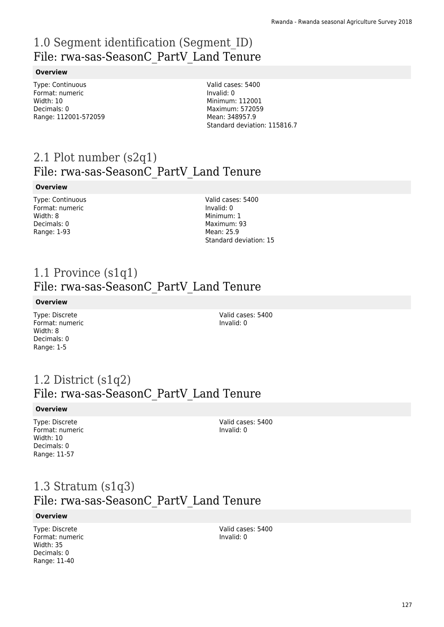## 1.0 Segment identification (Segment\_ID) File: rwa-sas-SeasonC\_PartV\_Land Tenure

#### **Overview**

Type: Continuous Format: numeric Width: 10 Decimals: 0 Range: 112001-572059 Valid cases: 5400 Invalid: 0 Minimum: 112001 Maximum: 572059 Mean: 348957.9 Standard deviation: 115816.7

### 2.1 Plot number (s2q1) File: rwa-sas-SeasonC\_PartV\_Land Tenure

#### **Overview**

Type: Continuous Format: numeric Width: 8 Decimals: 0 Range: 1-93

Valid cases: 5400 Invalid: 0 Minimum: 1 Maximum: 93 Mean: 25.9 Standard deviation: 15

### 1.1 Province (s1q1) File: rwa-sas-SeasonC\_PartV\_Land Tenure

#### **Overview**

Type: Discrete Format: numeric Width: 8 Decimals: 0 Range: 1-5

Valid cases: 5400 Invalid: 0

### 1.2 District (s1q2) File: rwa-sas-SeasonC\_PartV\_Land Tenure

#### **Overview**

Type: Discrete Format: numeric Width: 10 Decimals: 0 Range: 11-57

Valid cases: 5400 Invalid: 0

### 1.3 Stratum (s1q3) File: rwa-sas-SeasonC\_PartV\_Land Tenure

#### **Overview**

Type: Discrete Format: numeric Width: 35 Decimals: 0 Range: 11-40

Valid cases: 5400 Invalid: 0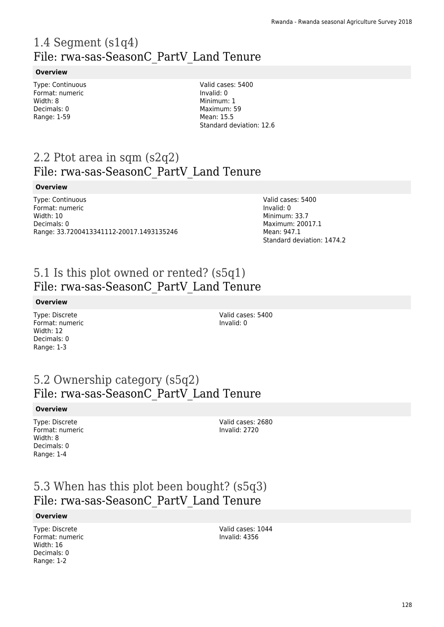# 1.4 Segment (s1q4) File: rwa-sas-SeasonC\_PartV\_Land Tenure

#### **Overview**

Type: Continuous Format: numeric Width: 8 Decimals: 0 Range: 1-59

Valid cases: 5400 Invalid: 0 Minimum: 1 Maximum: 59 Mean: 15.5 Standard deviation: 12.6

## 2.2 Ptot area in sqm (s2q2) File: rwa-sas-SeasonC\_PartV\_Land Tenure

#### **Overview**

Type: Continuous Format: numeric Width: 10 Decimals: 0 Range: 33.7200413341112-20017.1493135246 Valid cases: 5400 Invalid: 0 Minimum: 33.7 Maximum: 20017.1 Mean: 947.1 Standard deviation: 1474.2

# 5.1 Is this plot owned or rented? (s5q1) File: rwa-sas-SeasonC\_PartV\_Land Tenure

#### **Overview**

Type: Discrete Format: numeric Width: 12 Decimals: 0 Range: 1-3

Valid cases: 5400 Invalid: 0

### 5.2 Ownership category (s5q2) File: rwa-sas-SeasonC\_PartV\_Land Tenure

#### **Overview**

Type: Discrete Format: numeric Width: 8 Decimals: 0 Range: 1-4

Valid cases: 2680 Invalid: 2720

### 5.3 When has this plot been bought? (s5q3) File: rwa-sas-SeasonC\_PartV\_Land Tenure

#### **Overview**

Type: Discrete Format: numeric Width: 16 Decimals: 0 Range: 1-2

Valid cases: 1044 Invalid: 4356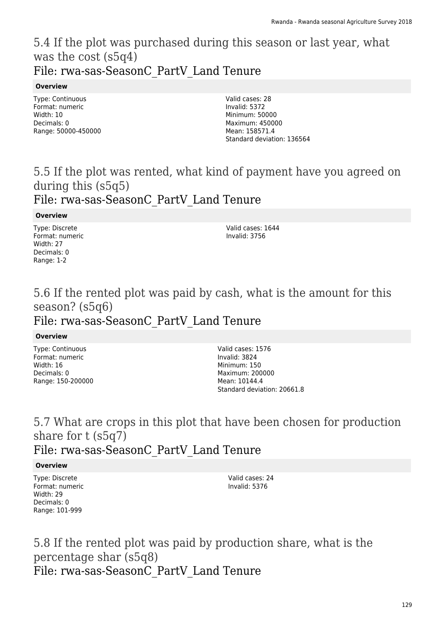### 5.4 If the plot was purchased during this season or last year, what was the cost (s5q4) File: rwa-sas-SeasonC\_PartV\_Land Tenure

#### **Overview**

Type: Continuous Format: numeric Width: 10 Decimals: 0 Range: 50000-450000 Valid cases: 28 Invalid: 5372 Minimum: 50000 Maximum: 450000 Mean: 158571.4 Standard deviation: 136564

# 5.5 If the plot was rented, what kind of payment have you agreed on during this (s5q5)

### File: rwa-sas-SeasonC\_PartV\_Land Tenure

### **Overview**

Type: Discrete Format: numeric Width: 27 Decimals: 0 Range: 1-2

Valid cases: 1644 Invalid: 3756

# 5.6 If the rented plot was paid by cash, what is the amount for this season? (s5q6)

### File: rwa-sas-SeasonC\_PartV\_Land Tenure

### **Overview**

Type: Continuous Format: numeric Width: 16 Decimals: 0 Range: 150-200000

Valid cases: 1576 Invalid: 3824 Minimum: 150 Maximum: 200000 Mean: 10144.4 Standard deviation: 20661.8

### 5.7 What are crops in this plot that have been chosen for production share for t (s5q7) File: rwa-sas-SeasonC\_PartV\_Land Tenure

### **Overview**

Type: Discrete Format: numeric Width: 29 Decimals: 0 Range: 101-999

Valid cases: 24 Invalid: 5376

5.8 If the rented plot was paid by production share, what is the percentage shar (s5q8) File: rwa-sas-SeasonC\_PartV\_Land Tenure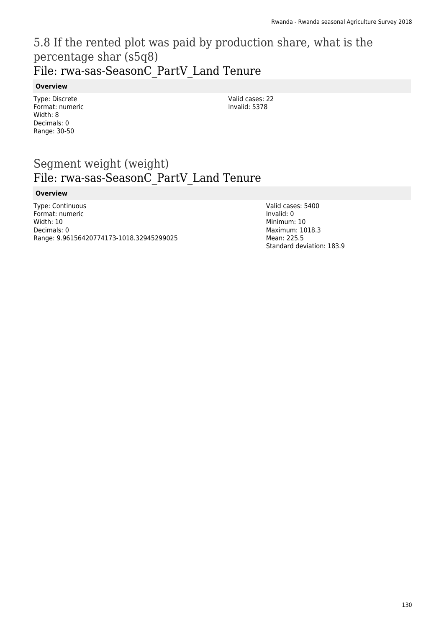### 5.8 If the rented plot was paid by production share, what is the percentage shar (s5q8) File: rwa-sas-SeasonC\_PartV\_Land Tenure

#### **Overview**

Type: Discrete Format: numeric Width: 8 Decimals: 0 Range: 30-50

Valid cases: 22 Invalid: 5378

### Segment weight (weight) File: rwa-sas-SeasonC\_PartV\_Land Tenure

#### **Overview**

Type: Continuous Format: numeric Width: 10 Decimals: 0 Range: 9.96156420774173-1018.32945299025

Valid cases: 5400 Invalid: 0 Minimum: 10 Maximum: 1018.3 Mean: 225.5 Standard deviation: 183.9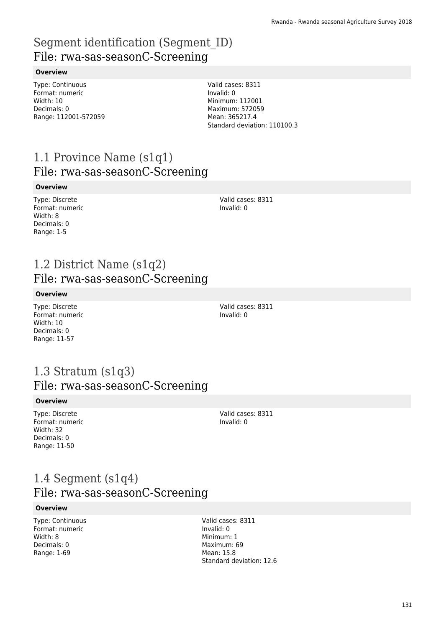### Segment identification (Segment\_ID) File: rwa-sas-seasonC-Screening

#### **Overview**

Type: Continuous Format: numeric Width: 10 Decimals: 0 Range: 112001-572059 Valid cases: 8311 Invalid: 0 Minimum: 112001 Maximum: 572059 Mean: 365217.4 Standard deviation: 110100.3

### 1.1 Province Name (s1q1) File: rwa-sas-seasonC-Screening

#### **Overview**

Type: Discrete Format: numeric Width: 8 Decimals: 0 Range: 1-5

Valid cases: 8311 Invalid: 0

### 1.2 District Name (s1q2) File: rwa-sas-seasonC-Screening

#### **Overview**

Type: Discrete Format: numeric Width: 10 Decimals: 0 Range: 11-57

Valid cases: 8311 Invalid: 0

### 1.3 Stratum (s1q3) File: rwa-sas-seasonC-Screening

#### **Overview**

Type: Discrete Format: numeric Width: 32 Decimals: 0 Range: 11-50

Valid cases: 8311 Invalid: 0

### 1.4 Segment (s1q4) File: rwa-sas-seasonC-Screening

#### **Overview**

Type: Continuous Format: numeric Width: 8 Decimals: 0 Range: 1-69

Valid cases: 8311 Invalid: 0 Minimum: 1 Maximum: 69 Mean: 15.8 Standard deviation: 12.6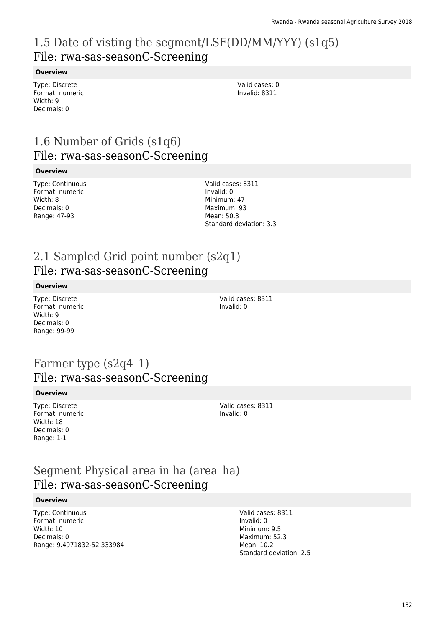## 1.5 Date of visting the segment/LSF(DD/MM/YYY) (s1q5) File: rwa-sas-seasonC-Screening

#### **Overview**

Type: Discrete Format: numeric Width: 9 Decimals: 0

Valid cases: 0 Invalid: 8311

# 1.6 Number of Grids (s1q6) File: rwa-sas-seasonC-Screening

#### **Overview**

Type: Continuous Format: numeric Width: 8 Decimals: 0 Range: 47-93

Valid cases: 8311 Invalid: 0 Minimum: 47 Maximum: 93 Mean: 50.3 Standard deviation: 3.3

# 2.1 Sampled Grid point number (s2q1) File: rwa-sas-seasonC-Screening

#### **Overview**

Type: Discrete Format: numeric Width: 9 Decimals: 0 Range: 99-99

Valid cases: 8311 Invalid: 0

### Farmer type (s2q4\_1) File: rwa-sas-seasonC-Screening

#### **Overview**

Type: Discrete Format: numeric Width: 18 Decimals: 0 Range: 1-1

Valid cases: 8311 Invalid: 0

## Segment Physical area in ha (area\_ha) File: rwa-sas-seasonC-Screening

#### **Overview**

Type: Continuous Format: numeric Width: 10 Decimals: 0 Range: 9.4971832-52.333984 Valid cases: 8311 Invalid: 0 Minimum: 9.5 Maximum: 52.3 Mean: 10.2 Standard deviation: 2.5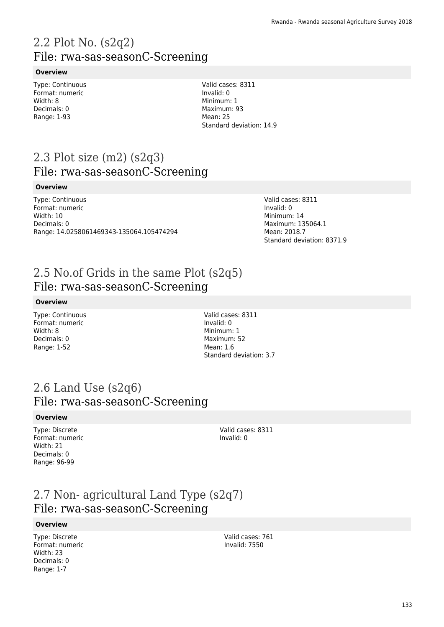## 2.2 Plot No. (s2q2) File: rwa-sas-seasonC-Screening

#### **Overview**

Type: Continuous Format: numeric Width: 8 Decimals: 0 Range: 1-93

Valid cases: 8311 Invalid: 0 Minimum: 1 Maximum: 93 Mean: 25 Standard deviation: 14.9

### 2.3 Plot size (m2) (s2q3) File: rwa-sas-seasonC-Screening

#### **Overview**

Type: Continuous Format: numeric Width: 10 Decimals: 0 Range: 14.0258061469343-135064.105474294

Valid cases: 8311 Invalid: 0 Minimum: 14 Maximum: 135064.1 Mean: 2018.7 Standard deviation: 8371.9

### 2.5 No.of Grids in the same Plot (s2q5) File: rwa-sas-seasonC-Screening

#### **Overview**

Type: Continuous Format: numeric Width: 8 Decimals: 0 Range: 1-52

Valid cases: 8311 Invalid: 0 Minimum: 1 Maximum: 52 Mean: 1.6 Standard deviation: 3.7

### 2.6 Land Use (s2q6) File: rwa-sas-seasonC-Screening

#### **Overview**

Type: Discrete Format: numeric Width: 21 Decimals: 0 Range: 96-99

Valid cases: 8311 Invalid: 0

### 2.7 Non- agricultural Land Type (s2q7) File: rwa-sas-seasonC-Screening

#### **Overview**

Type: Discrete Format: numeric Width: 23 Decimals: 0 Range: 1-7

Valid cases: 761 Invalid: 7550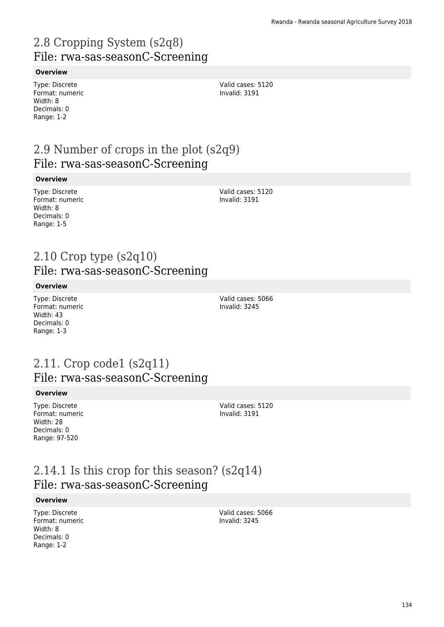# 2.8 Cropping System (s2q8) File: rwa-sas-seasonC-Screening

### **Overview**

Type: Discrete Format: numeric Width: 8 Decimals: 0 Range: 1-2

### 2.9 Number of crops in the plot (s2q9) File: rwa-sas-seasonC-Screening

### **Overview**

Type: Discrete Format: numeric Width: 8 Decimals: 0 Range: 1-5

Valid cases: 5120 Invalid: 3191

Valid cases: 5120 Invalid: 3191

### 2.10 Crop type (s2q10) File: rwa-sas-seasonC-Screening

#### **Overview**

Type: Discrete Format: numeric Width: 43 Decimals: 0 Range: 1-3

Valid cases: 5066 Invalid: 3245

### 2.11. Crop code1 (s2q11) File: rwa-sas-seasonC-Screening

#### **Overview**

Type: Discrete Format: numeric Width: 28 Decimals: 0 Range: 97-520

Valid cases: 5120 Invalid: 3191

### 2.14.1 Is this crop for this season? (s2q14) File: rwa-sas-seasonC-Screening

#### **Overview**

Type: Discrete Format: numeric Width: 8 Decimals: 0 Range: 1-2

Valid cases: 5066 Invalid: 3245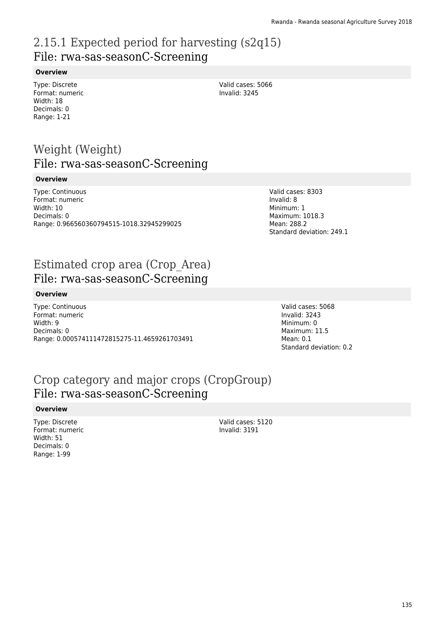# 2.15.1 Expected period for harvesting (s2q15) File: rwa-sas-seasonC-Screening

### **Overview**

Type: Discrete Format: numeric Width: 18 Decimals: 0 Range: 1-21

Valid cases: 5066 Invalid: 3245

### Weight (Weight) File: rwa-sas-seasonC-Screening

#### **Overview**

Type: Continuous Format: numeric Width: 10 Decimals: 0 Range: 0.966560360794515-1018.32945299025 Valid cases: 8303 Invalid: 8 Minimum: 1 Maximum: 1018.3 Mean: 288.2 Standard deviation: 249.1

### Estimated crop area (Crop\_Area) File: rwa-sas-seasonC-Screening

#### **Overview**

Type: Continuous Format: numeric Width: 9 Decimals: 0 Range: 0.000574111472815275-11.4659261703491 Valid cases: 5068 Invalid: 3243 Minimum: 0 Maximum: 11.5 Mean: 0.1 Standard deviation: 0.2

### Crop category and major crops (CropGroup) File: rwa-sas-seasonC-Screening

#### **Overview**

Type: Discrete Format: numeric Width: 51 Decimals: 0 Range: 1-99

Valid cases: 5120 Invalid: 3191